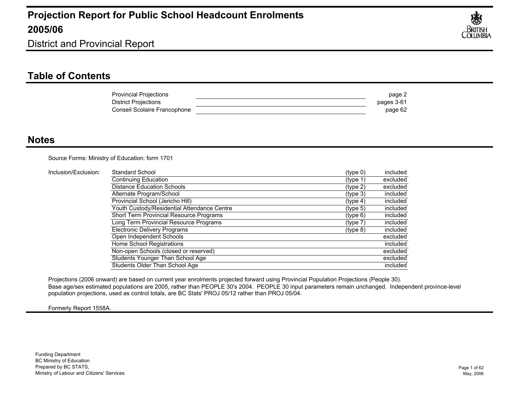

District and Provincial Report

### **Table of Contents**

| <b>Provincial Projections</b> | page 2     |
|-------------------------------|------------|
| <b>District Projections</b>   | pages 3-61 |
| Conseil Scolaire Francophone  | page 62    |

#### **Notes**

Source Forms: Ministry of Education: form 1701

| Inclusion/Exclusion: | Standard School                             | (type 0)             | included |
|----------------------|---------------------------------------------|----------------------|----------|
|                      | Continuing Education                        | (type 1)             | excluded |
|                      | <b>Distance Education Schools</b>           | (type 2)             | excluded |
|                      | Alternate Program/School                    | (type 3)             | included |
|                      | Provincial School (Jericho Hill)            | (typ <sub>e</sub> 4) | included |
|                      | Youth Custody/Residential Attendance Centre | (type 5)             | included |
|                      | Short Term Provincial Resource Programs     | $(t$ ype 6)          | included |
|                      | Long Term Provincial Resource Programs      | (type 7)             | included |
|                      | Electronic Delivery Programs                | (type 8)             | included |
|                      | Open Independent Schools                    |                      | excluded |
|                      | Home School Registrations                   |                      | included |
|                      | Non-open Schools (closed or reserved)       |                      | excluded |
|                      | Students Younger Than School Age            |                      | excluded |
|                      | Students Older Than School Age              |                      | included |

Projections (2006 onward) are based on current year enrolments projected forward using Provincial Population Projections (People 30). Base age/sex estimated populations are 2005, rather than PEOPLE 30's 2004. PEOPLE 30 input parameters remain unchanged. Independent province-level population projections, used as control totals, are BC Stats' PROJ 05/12 rather than PROJ 05/04.

Formerly Report 1558A.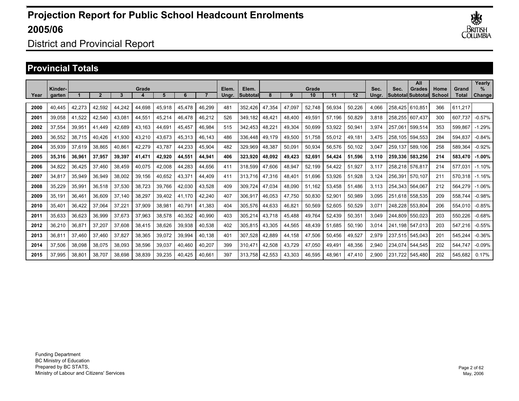

### District and Provincial Report

#### **Provincial Totals**

|      | Kinder- |        |        |        | Grade  |        |        |        | Elem. | Elem.    |        |        | Grade  |        |        | Sec.  | Sec.    | All<br>Grades             | Home   | Grand   | Yearly<br>%   |
|------|---------|--------|--------|--------|--------|--------|--------|--------|-------|----------|--------|--------|--------|--------|--------|-------|---------|---------------------------|--------|---------|---------------|
| Year | garten  |        |        | 3      |        | 5      | 6      |        | Unar. | Subtotal | 8      | 9      | 10     | 11     | 12     | Unar. |         | <b>SubtotallSubtotall</b> | School | Total   | <b>Change</b> |
| 2000 | 40.445  | 42,273 | 42,592 | 44,242 | 44,698 | 45,918 | 45,478 | 46,299 | 481   | 352.426  | 47,354 | 47.097 | 52,748 | 56,934 | 50,226 | 4.066 | 258.425 | 610.851                   | 366    | 611.217 |               |
| 2001 | 39.058  | 41.522 | 42,540 | 43,081 | 44,551 | 45,214 | 46,478 | 46,212 | 526   | 349.182  | 48,421 | 48,400 | 49,591 | 57.196 | 50,829 | 3,818 | 258.255 | 607.437                   | 300    | 607.737 | $-0.57%$      |
| 2002 | 37.554  | 39.951 | 41.449 | 42,689 | 43,163 | 44.691 | 45.457 | 46,984 | 515   | 342.453  | 48,221 | 49,304 | 50.699 | 53.922 | 50,941 | 3.974 | 257.061 | 599.514                   | 353    | 599.867 | $-1.29%$      |
| 2003 | 36.552  | 38.715 | 40,426 | 41,930 | 43,210 | 43.673 | 45,313 | 46,143 | 486   | 336.448  | 49,179 | 49,500 | 51.758 | 55.012 | 49,181 | 3.475 | 258.105 | 594.553                   | 284    | 594.837 | $-0.84%$      |
| 2004 | 35,939  | 37,619 | 38,865 | 40,861 | 42,279 | 43,787 | 44,233 | 45,904 | 482   | 329,969  | 48,387 | 50,091 | 50,934 | 56,576 | 50,102 | 3,047 | 259,137 | 589,106                   | 258    | 589,364 | $-0.92%$      |
| 2005 | 35,316  | 36,961 | 37,957 | 39,397 | 41,471 | 42,920 | 44,551 | 44,941 | 406   | 323,920  | 48,092 | 49,423 | 52,691 | 54,424 | 51,596 | 3,110 | 259.336 | 583,256                   | 214    | 583,470 | $-1.00%$      |
| 2006 | 34,822  | 36,425 | 37,460 | 38,459 | 40,075 | 42,008 | 44,283 | 44,656 | 411   | 318,599  | 47,606 | 48,947 | 52,199 | 54,422 | 51,927 | 3,117 | 258,218 | 576.817                   | 214    | 577,031 | $-1.10%$      |
| 2007 | 34,817  | 35,949 | 36,949 | 38,002 | 39,156 | 40,652 | 43,371 | 44,409 | 411   | 313,716  | 47,316 | 48,401 | 51,696 | 53,926 | 51,928 | 3,124 | 256,391 | 570.107                   | 211    | 570,318 | $-1.16%$      |
| 2008 | 35,229  | 35,991 | 36,518 | 37,530 | 38,723 | 39,766 | 42,030 | 43,528 | 409   | 309,724  | 47,034 | 48,090 | 51,162 | 53,458 | 51,486 | 3.113 | 254.343 | 564.067                   | 212    | 564,279 | $-1.06%$      |
| 2009 | 35,191  | 36,461 | 36,609 | 37.140 | 38,297 | 39,402 | 41,170 | 42,240 | 407   | 306,917  | 46,053 | 47,750 | 50,830 | 52,901 | 50,989 | 3,095 | 251.618 | 558.535                   | 209    | 558.744 | $-0.98%$      |
| 2010 | 35,401  | 36,422 | 37,064 | 37,221 | 37,909 | 38,981 | 40.791 | 41,383 | 404   | 305,576  | 44,633 | 46,821 | 50,569 | 52,605 | 50,529 | 3,071 | 248.228 | 553.804                   | 206    | 554.010 | $-0.85%$      |
| 2011 | 35.633  | 36,623 | 36,999 | 37,673 | 37,963 | 38,578 | 40,352 | 40,990 | 403   | 305,214  | 43,718 | 45,488 | 49,764 | 52,439 | 50,351 | 3,049 | 244.809 | 550.023                   | 203    | 550,226 | $-0.68%$      |
| 2012 | 36,210  | 36,871 | 37,207 | 37,608 | 38,415 | 38,626 | 39,938 | 40,538 | 402   | 305,815  | 43,305 | 44,565 | 48,439 | 51.685 | 50,190 | 3.014 | 241.198 | 547.013                   | 203    | 547,216 | $-0.55%$      |
| 2013 | 36,811  | 37,460 | 37.460 | 37,827 | 38,365 | 39,072 | 39,994 | 40,138 | 401   | 307,528  | 42,889 | 44,158 | 47,506 | 50.456 | 49,527 | 2,979 | 237.515 | 545.043                   | 201    | 545.244 | $-0.36%$      |
| 2014 | 37,506  | 38,098 | 38,075 | 38,093 | 38,596 | 39,037 | 40,460 | 40,207 | 399   | 310.47   | 42,508 | 43,729 | 47,050 | 49,491 | 48,356 | 2.940 | 234.074 | 544.545                   | 202    | 544.747 | $-0.09%$      |
| 2015 | 37.995  | 38,801 | 38.707 | 38.698 | 38,839 | 39.235 | 40.425 | 40,661 | 397   | 313.758  | 42,553 | 43,303 | 46,595 | 48.961 | 47.410 | 2.900 | 231.722 | 545.480                   | 202    | 545.682 | 0.17%         |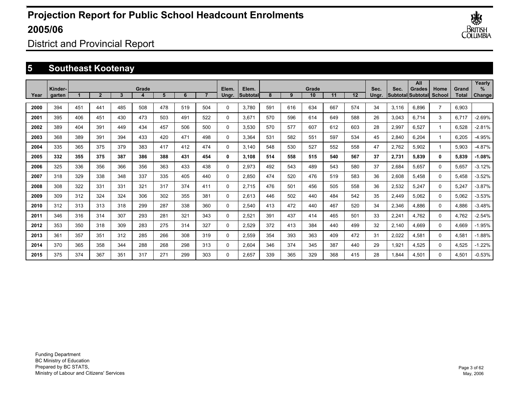

District and Provincial Report

## **5 Southeast Kootenay**

|      |                   |     |                |     |       |     |     |     |                |                   |     |     |             |     |     |               |       | All                                       |                |                | Yearly      |
|------|-------------------|-----|----------------|-----|-------|-----|-----|-----|----------------|-------------------|-----|-----|-------------|-----|-----|---------------|-------|-------------------------------------------|----------------|----------------|-------------|
| Year | Kinder-<br>garten |     | $\overline{2}$ | 3   | Grade | 5   | 6   |     | Elem.<br>Ungr. | Elem.<br>Subtotal | 8   | 9   | Grade<br>10 | 11  | 12  | Sec.<br>Unar. | Sec.  | <b>Grades</b><br><b>Subtotal Subtotal</b> | Home<br>School | Grand<br>Total | ℅<br>Change |
|      |                   |     |                |     |       |     |     |     |                |                   |     |     |             |     |     |               |       |                                           |                |                |             |
| 2000 | 394               | 451 | 441            | 485 | 508   | 478 | 519 | 504 | $\Omega$       | 3,780             | 591 | 616 | 634         | 667 | 574 | 34            | 3,116 | 6,896                                     | $\overline{7}$ | 6,903          |             |
| 2001 | 395               | 406 | 451            | 430 | 473   | 503 | 491 | 522 | $\Omega$       | 3,671             | 570 | 596 | 614         | 649 | 588 | 26            | 3,043 | 6.714                                     | 3              | 6,717          | $-2.69%$    |
| 2002 | 389               | 404 | 391            | 449 | 434   | 457 | 506 | 500 | $\Omega$       | 3.530             | 570 | 577 | 607         | 612 | 603 | 28            | 2,997 | 6.527                                     | -1             | 6.528          | $-2.81%$    |
| 2003 | 368               | 389 | 391            | 394 | 433   | 420 | 471 | 498 | $\Omega$       | 3.364             | 531 | 582 | 551         | 597 | 534 | 45            | 2,840 | 6.204                                     | -1             | 6.205          | $-4.95%$    |
| 2004 | 335               | 365 | 375            | 379 | 383   | 417 | 412 | 474 | $\Omega$       | 3.140             | 548 | 530 | 527         | 552 | 558 | 47            | 2,762 | 5,902                                     | -1             | 5,903          | $-4.87%$    |
| 2005 | 332               | 355 | 375            | 387 | 386   | 388 | 431 | 454 | 0              | 3,108             | 514 | 558 | 515         | 540 | 567 | 37            | 2,731 | 5,839                                     | 0              | 5,839          | $-1.08%$    |
| 2006 | 325               | 336 | 356            | 366 | 356   | 363 | 433 | 438 | $\mathbf 0$    | 2,973             | 492 | 543 | 489         | 543 | 580 | 37            | 2,684 | 5.657                                     | 0              | 5,657          | $-3.12%$    |
| 2007 | 318               | 329 | 338            | 348 | 337   | 335 | 405 | 440 | 0              | 2,850             | 474 | 520 | 476         | 519 | 583 | 36            | 2,608 | 5.458                                     | 0              | 5,458          | $-3.52%$    |
| 2008 | 308               | 322 | 331            | 331 | 321   | 317 | 374 | 411 | 0              | 2,715             | 476 | 501 | 456         | 505 | 558 | 36            | 2,532 | 5,247                                     | 0              | 5,247          | $-3.87%$    |
| 2009 | 309               | 312 | 324            | 324 | 306   | 302 | 355 | 381 | $\Omega$       | 2,613             | 446 | 502 | 440         | 484 | 542 | 35            | 2,449 | 5,062                                     | 0              | 5,062          | $-3.53%$    |
| 2010 | 312               | 313 | 313            | 318 | 299   | 287 | 338 | 360 | $\Omega$       | 2,540             | 413 | 472 | 440         | 467 | 520 | 34            | 2,346 | 4,886                                     | 0              | 4,886          | $-3.48%$    |
| 2011 | 346               | 316 | 314            | 307 | 293   | 281 | 321 | 343 | 0              | 2,521             | 391 | 437 | 414         | 465 | 501 | 33            | 2,241 | 4,762                                     | 0              | 4,762          | $-2.54%$    |
| 2012 | 353               | 350 | 318            | 309 | 283   | 275 | 314 | 327 | 0              | 2,529             | 372 | 413 | 384         | 440 | 499 | 32            | 2,140 | 4,669                                     | 0              | 4,669          | $-1.95%$    |
| 2013 | 361               | 357 | 351            | 312 | 285   | 266 | 308 | 319 | 0              | 2,559             | 354 | 393 | 363         | 409 | 472 | 31            | 2,022 | 4,581                                     | 0              | 4,581          | $-1.88%$    |
| 2014 | 370               | 365 | 358            | 344 | 288   | 268 | 298 | 313 | $\Omega$       | 2.604             | 346 | 374 | 345         | 387 | 440 | 29            | 1,921 | 4,525                                     | 0              | 4,525          | $-1.22%$    |
| 2015 | 375               | 374 | 367            | 351 | 317   | 271 | 299 | 303 | $\Omega$       | 2.657             | 339 | 365 | 329         | 368 | 415 | 28            | 1.844 | 4.501                                     | 0              | 4.501          | $-0.53%$    |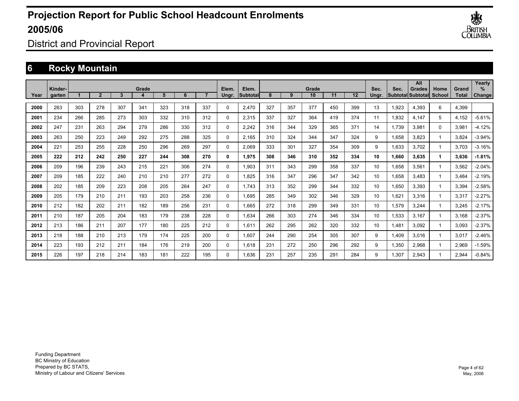

District and Provincial Report

## **6 Rocky Mountain**

|      |                   |     |                |     |       |     |     |     |                |                    |     |     |             |     |     |               |       | All                                |                |                       | Yearly         |
|------|-------------------|-----|----------------|-----|-------|-----|-----|-----|----------------|--------------------|-----|-----|-------------|-----|-----|---------------|-------|------------------------------------|----------------|-----------------------|----------------|
| Year | Kinder-<br>garten |     | $\overline{2}$ | 3   | Grade | 5   | 6   |     | Elem.<br>Ungr. | Elem.<br>Subtotall | 8   | 9   | Grade<br>10 | 11  | 12  | Sec.<br>Ungr. | Sec.  | Grades<br><b>SubtotallSubtotal</b> | Home<br>School | Grand<br><b>Total</b> | $\%$<br>Change |
|      |                   |     |                |     |       |     |     |     |                |                    |     |     |             |     |     |               |       |                                    |                |                       |                |
| 2000 | 263               | 303 | 278            | 307 | 341   | 323 | 318 | 337 | 0              | 2,470              | 327 | 357 | 377         | 450 | 399 | 13            | 1,923 | 4,393                              | 6              | 4,399                 |                |
| 2001 | 234               | 266 | 285            | 273 | 303   | 332 | 310 | 312 | 0              | 2,315              | 337 | 327 | 364         | 419 | 374 | 11            | 1,832 | 4,147                              | 5              | 4,152                 | $-5.61%$       |
| 2002 | 247               | 231 | 263            | 294 | 279   | 286 | 330 | 312 | 0              | 2,242              | 316 | 344 | 329         | 365 | 371 | 14            | 1,739 | 3,981                              | $\Omega$       | 3,981                 | $-4.12%$       |
| 2003 | 263               | 250 | 223            | 249 | 292   | 275 | 288 | 325 | 0              | 2,165              | 310 | 324 | 344         | 347 | 324 | 9             | 1,658 | 3.823                              | 1              | 3,824                 | $-3.94%$       |
| 2004 | 221               | 253 | 255            | 228 | 250   | 296 | 269 | 297 | 0              | 2.069              | 333 | 301 | 327         | 354 | 309 | 9             | 1,633 | 3,702                              |                | 3.703                 | $-3.16%$       |
| 2005 | 222               | 212 | 242            | 250 | 227   | 244 | 308 | 270 | 0              | 1,975              | 308 | 346 | 310         | 352 | 334 | 10            | 1,660 | 3.635                              |                | 3,636                 | $-1.81%$       |
| 2006 | 209               | 196 | 239            | 243 | 215   | 221 | 306 | 274 | 0              | 1,903              | 311 | 343 | 299         | 358 | 337 | 10            | 1,658 | 3.561                              | 1              | 3,562                 | $-2.04%$       |
| 2007 | 209               | 185 | 222            | 240 | 210   | 210 | 277 | 272 | 0              | 1.825              | 316 | 347 | 296         | 347 | 342 | 10            | 1,658 | 3.483                              |                | 3,484                 | $-2.19%$       |
| 2008 | 202               | 185 | 209            | 223 | 208   | 205 | 264 | 247 | 0              | 1.743              | 313 | 352 | 299         | 344 | 332 | 10            | 1,650 | 3,393                              |                | 3,394                 | $-2.58%$       |
| 2009 | 205               | 179 | 210            | 211 | 193   | 203 | 258 | 236 | 0              | 1.695              | 285 | 349 | 302         | 346 | 329 | 10            | 1,621 | 3,316                              |                | 3,317                 | $-2.27%$       |
| 2010 | 212               | 182 | 202            | 211 | 182   | 189 | 256 | 231 | 0              | 1,665              | 272 | 318 | 299         | 349 | 331 | 10            | 1,579 | 3,244                              |                | 3,245                 | $-2.17%$       |
| 2011 | 210               | 187 | 205            | 204 | 183   | 179 | 238 | 228 | 0              | 1,634              | 266 | 303 | 274         | 346 | 334 | 10            | 1,533 | 3,167                              |                | 3,168                 | $-2.37%$       |
| 2012 | 213               | 186 | 211            | 207 | 177   | 180 | 225 | 212 | 0              | 1,611              | 262 | 295 | 262         | 320 | 332 | 10            | 1,481 | 3,092                              |                | 3,093                 | $-2.37%$       |
| 2013 | 218               | 188 | 210            | 213 | 179   | 174 | 225 | 200 | 0              | 1.607              | 244 | 290 | 254         | 305 | 307 | 9             | 1,409 | 3.016                              |                | 3,017                 | $-2.46%$       |
| 2014 | 223               | 193 | 212            | 211 | 184   | 176 | 219 | 200 | 0              | 1.618              | 231 | 272 | 250         | 296 | 292 | 9             | 1,350 | 2,968                              |                | 2,969                 | $-1.59%$       |
| 2015 | 226               | 197 | 218            | 214 | 183   | 181 | 222 | 195 | $\Omega$       | 1.636              | 231 | 257 | 235         | 291 | 284 | 9             | 1.307 | 2.943                              |                | 2.944                 | $-0.84%$       |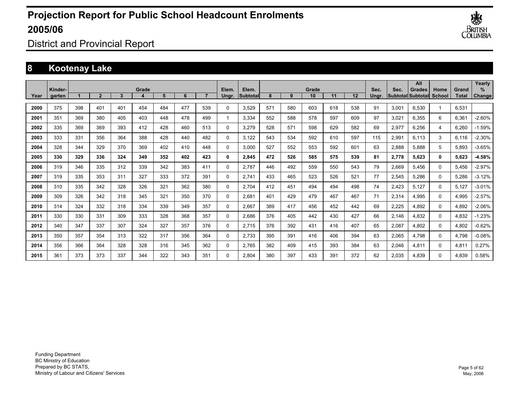

District and Provincial Report

### **8 Kootenay Lake**

|      | Kinder- |     |                |     | Grade |     |     |     | Elem.       | Elem.    |     |     | Grade |     |     | Sec.  | Sec.  | All<br><b>Grades</b>     | Home   | Grand        | Yearly<br>% |
|------|---------|-----|----------------|-----|-------|-----|-----|-----|-------------|----------|-----|-----|-------|-----|-----|-------|-------|--------------------------|--------|--------------|-------------|
| Year | garten  |     | $\overline{2}$ | 3   |       | 5   | 6   |     | Ungr.       | Subtotal | 8   | 9   | 10    | 11  | 12  | Ungr. |       | <b>Subtotal Subtotal</b> | School | <b>Total</b> | Change      |
| 2000 | 375     | 398 | 401            | 401 | 454   | 484 | 477 | 539 | $\Omega$    | 3.529    | 571 | 580 | 603   | 618 | 538 | 91    | 3,001 | 6.530                    |        | 6.531        |             |
| 2001 | 351     | 369 | 380            | 405 | 403   | 448 | 478 | 499 | 1           | 3.334    | 552 | 588 | 578   | 597 | 609 | 97    | 3,021 | 6.355                    | 6      | 6,361        | $-2.60%$    |
| 2002 | 335     | 369 | 369            | 393 | 412   | 428 | 460 | 513 | 0           | 3.279    | 528 | 571 | 598   | 629 | 582 | 69    | 2,977 | 6.256                    | 4      | 6.260        | $-1.59%$    |
| 2003 | 333     | 331 | 356            | 364 | 388   | 428 | 440 | 482 | 0           | 3,122    | 543 | 534 | 592   | 610 | 597 | 115   | 2,991 | 6.113                    | 3      | 6,116        | $-2.30%$    |
| 2004 | 328     | 344 | 329            | 370 | 369   | 402 | 410 | 448 | 0           | 3.000    | 527 | 552 | 553   | 592 | 601 | 63    | 2,888 | 5.888                    | 5      | 5,893        | $-3.65%$    |
| 2005 | 330     | 329 | 336            | 324 | 349   | 352 | 402 | 423 | 0           | 2,845    | 472 | 526 | 585   | 575 | 539 | 81    | 2,778 | 5.623                    | 0      | 5,623        | $-4.58%$    |
| 2006 | 319     | 346 | 335            | 312 | 339   | 342 | 383 | 411 | 0           | 2.787    | 446 | 492 | 559   | 550 | 543 | 79    | 2,669 | 5.456                    | 0      | 5,456        | $-2.97%$    |
| 2007 | 319     | 335 | 353            | 311 | 327   | 333 | 372 | 391 | $\Omega$    | 2.741    | 433 | 465 | 523   | 526 | 521 | 77    | 2,545 | 5.286                    | 0      | 5,286        | $-3.12%$    |
| 2008 | 310     | 335 | 342            | 328 | 326   | 321 | 362 | 380 | 0           | 2,704    | 412 | 451 | 494   | 494 | 498 | 74    | 2,423 | 5.127                    | 0      | 5,127        | $-3.01%$    |
| 2009 | 309     | 326 | 342            | 318 | 345   | 321 | 350 | 370 | 0           | 2,681    | 401 | 429 | 479   | 467 | 467 | 71    | 2,314 | 4,995                    | 0      | 4,995        | $-2.57%$    |
| 2010 | 314     | 324 | 332            | 318 | 334   | 339 | 349 | 357 | $\mathbf 0$ | 2,667    | 389 | 417 | 456   | 452 | 442 | 69    | 2,225 | 4,892                    | 0      | 4,892        | $-2.06%$    |
| 2011 | 330     | 330 | 331            | 309 | 333   | 328 | 368 | 357 | 0           | 2.686    | 376 | 405 | 442   | 430 | 427 | 66    | 2,146 | 4.832                    | 0      | 4,832        | $-1.23%$    |
| 2012 | 340     | 347 | 337            | 307 | 324   | 327 | 357 | 376 | 0           | 2.715    | 376 | 392 | 431   | 416 | 407 | 65    | 2,087 | 4.802                    | 0      | 4,802        | $-0.62%$    |
| 2013 | 350     | 357 | 354            | 313 | 322   | 317 | 356 | 364 | 0           | 2.733    | 395 | 391 | 416   | 406 | 394 | 63    | 2,065 | 4.798                    | 0      | 4.798        | $-0.08%$    |
| 2014 | 356     | 366 | 364            | 328 | 328   | 316 | 345 | 362 | 0           | 2.765    | 382 | 409 | 415   | 393 | 384 | 63    | 2,046 | 4.811                    | 0      | 4,811        | 0.27%       |
| 2015 | 361     | 373 | 373            | 337 | 344   | 322 | 343 | 351 | 0           | 2.804    | 380 | 397 | 433   | 391 | 372 | 62    | 2,035 | 4.839                    | 0      | 4.839        | 0.58%       |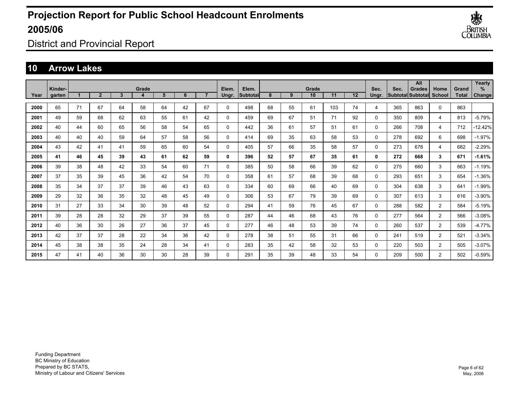

District and Provincial Report

### **10 Arrow Lakes**

|      | Kinder- |    |                |              | Grade |    |    |                | Elem.        | Elem.    |    |    | Grade |     |    | Sec.     | Sec. | All<br>Grades     | Home           | Grand        | Yearly<br>% |
|------|---------|----|----------------|--------------|-------|----|----|----------------|--------------|----------|----|----|-------|-----|----|----------|------|-------------------|----------------|--------------|-------------|
| Year | garten  |    | $\overline{2}$ | $\mathbf{3}$ | 4     | 5  | 6  | $\overline{7}$ | Ungr.        | Subtotal | 8  | 9  | 10    | 11  | 12 | Ungr.    |      | Subtotal Subtotal | School         | <b>Total</b> | Change      |
| 2000 | 65      | 71 | 67             | 64           | 58    | 64 | 42 | 67             | 0            | 498      | 68 | 55 | 61    | 103 | 74 | 4        | 365  | 863               | 0              | 863          |             |
| 2001 | 49      | 59 | 68             | 62           | 63    | 55 | 61 | 42             | 0            | 459      | 69 | 67 | 51    | 71  | 92 | $\Omega$ | 350  | 809               | 4              | 813          | $-5.79%$    |
| 2002 | 40      | 44 | 60             | 65           | 56    | 58 | 54 | 65             | 0            | 442      | 36 | 61 | 57    | 51  | 61 | 0        | 266  | 708               | 4              | 712          | $-12.42%$   |
| 2003 | 40      | 40 | 40             | 59           | 64    | 57 | 58 | 56             | 0            | 414      | 69 | 35 | 63    | 58  | 53 | 0        | 278  | 692               | 6              | 698          | $-1.97%$    |
| 2004 | 43      | 42 | 41             | 41           | 59    | 65 | 60 | 54             | 0            | 405      | 57 | 66 | 35    | 58  | 57 | 0        | 273  | 678               | 4              | 682          | $-2.29%$    |
| 2005 | 41      | 46 | 45             | 39           | 43    | 61 | 62 | 59             | 0            | 396      | 52 | 57 | 67    | 35  | 61 | 0        | 272  | 668               | 3              | 671          | $-1.61%$    |
| 2006 | 39      | 38 | 48             | 42           | 33    | 54 | 60 | 71             | $\Omega$     | 385      | 50 | 58 | 66    | 39  | 62 | 0        | 275  | 660               | 3              | 663          | $-1.19%$    |
| 2007 | 37      | 35 | 39             | 45           | 36    | 42 | 54 | 70             | 0            | 358      | 61 | 57 | 68    | 39  | 68 | 0        | 293  | 651               | 3              | 654          | $-1.36%$    |
| 2008 | 35      | 34 | 37             | 37           | 39    | 46 | 43 | 63             | 0            | 334      | 60 | 69 | 66    | 40  | 69 | 0        | 304  | 638               | 3              | 641          | $-1.99%$    |
| 2009 | 29      | 32 | 36             | 35           | 32    | 48 | 45 | 49             | 0            | 306      | 53 | 67 | 79    | 39  | 69 | 0        | 307  | 613               | 3              | 616          | $-3.90%$    |
| 2010 | 31      | 27 | 33             | 34           | 30    | 39 | 48 | 52             | 0            | 294      | 41 | 59 | 76    | 45  | 67 | 0        | 288  | 582               | $\overline{2}$ | 584          | -5.19%      |
| 2011 | 39      | 28 | 28             | 32           | 29    | 37 | 39 | 55             | 0            | 287      | 44 | 46 | 68    | 43  | 76 | 0        | 277  | 564               | $\overline{2}$ | 566          | $-3.08%$    |
| 2012 | 40      | 36 | 30             | 26           | 27    | 36 | 37 | 45             | 0            | 277      | 46 | 48 | 53    | 39  | 74 | $\Omega$ | 260  | 537               | $\overline{2}$ | 539          | $-4.77%$    |
| 2013 | 42      | 37 | 37             | 28           | 22    | 34 | 36 | 42             | $\mathbf{0}$ | 278      | 38 | 51 | 55    | 31  | 66 | $\Omega$ | 241  | 519               | $\overline{2}$ | 521          | $-3.34%$    |
| 2014 | 45      | 38 | 38             | 35           | 24    | 28 | 34 | 41             | 0            | 283      | 35 | 42 | 58    | 32  | 53 | 0        | 220  | 503               | $\overline{2}$ | 505          | $-3.07%$    |
| 2015 | 47      | 41 | 40             | 36           | 30    | 30 | 28 | 39             | 0            | 291      | 35 | 39 | 48    | 33  | 54 | $\Omega$ | 209  | 500               | $\overline{2}$ | 502          | $-0.59%$    |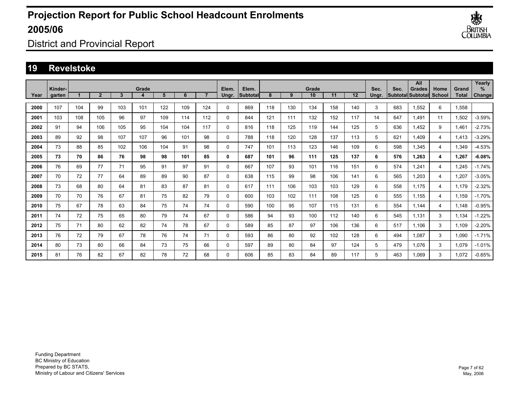

District and Provincial Report

### **19 Revelstoke**

|      | Kinder- |     |                |     | Grade |     |     |     | Elem.       | Elem.    |     |     | Grade |     |     | Sec.  | Sec. | All<br><b>Grades</b>     | Home           | Grand        | Yearly<br>$\%$ |
|------|---------|-----|----------------|-----|-------|-----|-----|-----|-------------|----------|-----|-----|-------|-----|-----|-------|------|--------------------------|----------------|--------------|----------------|
| Year | garten  |     | $\overline{2}$ | 3   | 4     | 5   | 6   |     | Ungr.       | Subtotal | 8   | 9   | 10    | 11  | 12  | Ungr. |      | <b>Subtotal Subtotal</b> | <b>School</b>  | <b>Total</b> | Change         |
| 2000 | 107     | 104 | 99             | 103 | 101   | 122 | 109 | 124 | 0           | 869      | 118 | 130 | 134   | 158 | 140 | 3     | 683  | 1,552                    | 6              | 1,558        |                |
| 2001 | 103     | 108 | 105            | 96  | 97    | 109 | 114 | 112 | 0           | 844      | 121 | 111 | 132   | 152 | 117 | 14    | 647  | 1.491                    | 11             | 1,502        | $-3.59%$       |
| 2002 | 91      | 94  | 106            | 105 | 95    | 104 | 104 | 117 | 0           | 816      | 118 | 125 | 119   | 144 | 125 | 5     | 636  | 1.452                    | 9              | 1.461        | $-2.73%$       |
| 2003 | 89      | 92  | 98             | 107 | 107   | 96  | 101 | 98  | 0           | 788      | 118 | 120 | 128   | 137 | 113 | 5     | 621  | 1.409                    | 4              | 1.413        | $-3.29%$       |
| 2004 | 73      | 88  | 85             | 102 | 106   | 104 | 91  | 98  | 0           | 747      | 101 | 113 | 123   | 146 | 109 | 6     | 598  | 1.345                    | 4              | 1,349        | $-4.53%$       |
| 2005 | 73      | 70  | 86             | 76  | 98    | 98  | 101 | 85  | 0           | 687      | 101 | 96  | 111   | 125 | 137 | 6     | 576  | 1.263                    | 4              | 1.267        | $-6.08%$       |
| 2006 | 76      | 69  | 77             | 71  | 95    | 91  | 97  | 91  | 0           | 667      | 107 | 93  | 101   | 116 | 151 | 6     | 574  | 1.241                    | $\overline{4}$ | 1.245        | $-1.74%$       |
| 2007 | 70      | 72  | 77             | 64  | 89    | 89  | 90  | 87  | 0           | 638      | 115 | 99  | 98    | 106 | 141 | 6     | 565  | 1,203                    | $\overline{4}$ | 1,207        | $-3.05%$       |
| 2008 | 73      | 68  | 80             | 64  | 81    | 83  | 87  | 81  | $\mathbf 0$ | 617      | 111 | 106 | 103   | 103 | 129 | 6     | 558  | 1,175                    | $\overline{4}$ | 1,179        | $-2.32%$       |
| 2009 | 70      | 70  | 76             | 67  | 81    | 75  | 82  | 79  | 0           | 600      | 103 | 102 | 111   | 108 | 125 | 6     | 555  | 1,155                    | 4              | 1,159        | $-1.70%$       |
| 2010 | 75      | 67  | 78             | 63  | 84    | 75  | 74  | 74  | $\mathbf 0$ | 590      | 100 | 95  | 107   | 115 | 131 | 6     | 554  | 1,144                    | 4              | 1,148        | $-0.95%$       |
| 2011 | 74      | 72  | 75             | 65  | 80    | 79  | 74  | 67  | $\mathbf 0$ | 586      | 94  | 93  | 100   | 112 | 140 | 6     | 545  | 1,131                    | 3              | 1,134        | $-1.22%$       |
| 2012 | 75      | 71  | 80             | 62  | 82    | 74  | 78  | 67  | 0           | 589      | 85  | 87  | 97    | 106 | 136 | 6     | 517  | 1,106                    | 3              | 1,109        | $-2.20%$       |
| 2013 | 76      | 72  | 79             | 67  | 78    | 76  | 74  | 71  | 0           | 593      | 86  | 80  | 92    | 102 | 128 | 6     | 494  | 1,087                    | 3              | 1,090        | $-1.71%$       |
| 2014 | 80      | 73  | 80             | 66  | 84    | 73  | 75  | 66  | 0           | 597      | 89  | 80  | 84    | 97  | 124 | 5     | 479  | 1.076                    | 3              | 1,079        | $-1.01%$       |
| 2015 | 81      | 76  | 82             | 67  | 82    | 78  | 72  | 68  | 0           | 606      | 85  | 83  | 84    | 89  | 117 | 5     | 463  | 1.069                    | 3              | 1.072        | $-0.65%$       |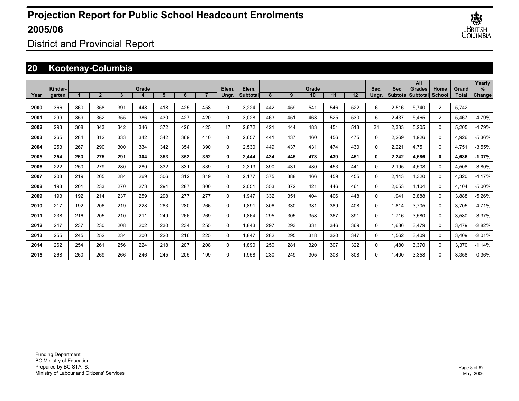

District and Provincial Report

## **20 Kootenay-Columbia**

|      |                   |     |                |     |       |     |     |     |                |                    |     |     |             |     |     |               |       | All                                        |                |                       | Yearly         |
|------|-------------------|-----|----------------|-----|-------|-----|-----|-----|----------------|--------------------|-----|-----|-------------|-----|-----|---------------|-------|--------------------------------------------|----------------|-----------------------|----------------|
| Year | Kinder-<br>garten |     | $\overline{2}$ | 3   | Grade | 5   | 6   |     | Elem.<br>Unar. | Elem.<br>lSubtotal | 8   | 9   | Grade<br>10 | 11  | 12  | Sec.<br>Unar. | Sec.  | <b>Grades</b><br><b>SubtotallSubtotall</b> | Home<br>School | <b>Grand</b><br>Total | $\%$<br>Change |
| 2000 | 366               | 360 | 358            | 391 | 448   | 418 | 425 | 458 | $\Omega$       | 3,224              | 442 | 459 | 541         | 546 | 522 | 6             | 2,516 | 5,740                                      | $\overline{2}$ | 5,742                 |                |
| 2001 | 299               | 359 | 352            | 355 | 386   | 430 | 427 | 420 | $\Omega$       | 3,028              | 463 | 451 | 463         | 525 | 530 | 5             | 2,437 | 5,465                                      | $\overline{2}$ | 5,467                 | $-4.79%$       |
| 2002 | 293               | 308 | 343            | 342 | 346   | 372 | 426 | 425 | 17             | 2.872              | 421 | 444 | 483         | 451 | 513 | 21            | 2,333 | 5.205                                      | $\mathbf 0$    | 5,205                 | -4.79%         |
| 2003 | 265               | 284 | 312            | 333 | 342   | 342 | 369 | 410 | 0              | 2.657              | 441 | 437 | 460         | 456 | 475 | 0             | 2,269 | 4,926                                      | $\mathbf 0$    | 4,926                 | $-5.36%$       |
| 2004 | 253               | 267 | 290            | 300 | 334   | 342 | 354 | 390 | 0              | 2,530              | 449 | 437 | 431         | 474 | 430 | 0             | 2.221 | 4.751                                      | $\mathbf 0$    | 4.751                 | $-3.55%$       |
| 2005 | 254               | 263 | 275            | 291 | 304   | 353 | 352 | 352 | 0              | 2,444              | 434 | 445 | 473         | 439 | 451 | 0             | 2,242 | 4.686                                      | $\mathbf{0}$   | 4,686                 | $-1.37%$       |
| 2006 | 222               | 250 | 279            | 280 | 280   | 332 | 331 | 339 | 0              | 2,313              | 390 | 431 | 480         | 453 | 441 | 0             | 2,195 | 4,508                                      | 0              | 4,508                 | $-3.80%$       |
| 2007 | 203               | 219 | 265            | 284 | 269   | 306 | 312 | 319 | 0              | 2,177              | 375 | 388 | 466         | 459 | 455 | 0             | 2.143 | 4,320                                      | 0              | 4,320                 | $-4.17%$       |
| 2008 | 193               | 201 | 233            | 270 | 273   | 294 | 287 | 300 | 0              | 2,051              | 353 | 372 | 421         | 446 | 461 | 0             | 2,053 | 4,104                                      | 0              | 4,104                 | $-5.00%$       |
| 2009 | 193               | 192 | 214            | 237 | 259   | 298 | 277 | 277 | 0              | 1,947              | 332 | 351 | 404         | 406 | 448 | $\Omega$      | 1,941 | 3,888                                      | $\Omega$       | 3,888                 | $-5.26%$       |
| 2010 | 217               | 192 | 206            | 219 | 228   | 283 | 280 | 266 | 0              | 1,891              | 306 | 330 | 381         | 389 | 408 | $\Omega$      | 1,814 | 3,705                                      | $\Omega$       | 3,705                 | $-4.71%$       |
| 2011 | 238               | 216 | 205            | 210 | 211   | 249 | 266 | 269 | 0              | 1,864              | 295 | 305 | 358         | 367 | 391 | 0             | 1,716 | 3,580                                      | $\Omega$       | 3,580                 | $-3.37%$       |
| 2012 | 247               | 237 | 230            | 208 | 202   | 230 | 234 | 255 | 0              | 1,843              | 297 | 293 | 331         | 346 | 369 | 0             | 1,636 | 3,479                                      | 0              | 3,479                 | $-2.82%$       |
| 2013 | 255               | 245 | 252            | 234 | 200   | 220 | 216 | 225 | 0              | 1,847              | 282 | 295 | 318         | 320 | 347 | 0             | 1,562 | 3,409                                      | 0              | 3,409                 | $-2.01%$       |
| 2014 | 262               | 254 | 261            | 256 | 224   | 218 | 207 | 208 | 0              | 1.890              | 250 | 281 | 320         | 307 | 322 | $\Omega$      | 1.480 | 3,370                                      | 0              | 3,370                 | $-1.14%$       |
| 2015 | 268               | 260 | 269            | 266 | 246   | 245 | 205 | 199 | $\Omega$       | 1.958              | 230 | 249 | 305         | 308 | 308 | $\Omega$      | 1.400 | 3,358                                      | $\Omega$       | 3.358                 | $-0.36%$       |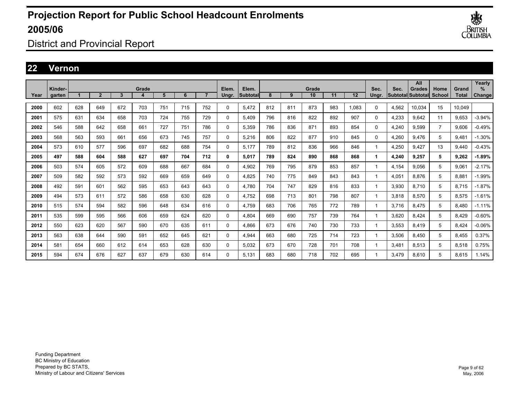

District and Provincial Report

### **22 Vernon**

|      | Kinder- |     |                |     | Grade |     |     |                | Elem.       | Elem.    |     |     | Grade |     |       | Sec.         | Sec.  | All<br>Grades             | Home           | Grand        | Yearly<br>% |
|------|---------|-----|----------------|-----|-------|-----|-----|----------------|-------------|----------|-----|-----|-------|-----|-------|--------------|-------|---------------------------|----------------|--------------|-------------|
| Year | aarten  |     | $\overline{2}$ | 3   | 4     | 5   | 6   | $\overline{ }$ | Ungr.       | Subtotal | 8   | 9   | 10    | 11  | 12    | Ungr.        |       | <b>Subtotal Subtotall</b> | School         | <b>Total</b> | Change      |
| 2000 | 602     | 628 | 649            | 672 | 703   | 751 | 715 | 752            | $\mathbf 0$ | 5,472    | 812 | 811 | 873   | 983 | 1,083 | $\Omega$     | 4,562 | 10.034                    | 15             | 10,049       |             |
| 2001 | 575     | 631 | 634            | 658 | 703   | 724 | 755 | 729            | $\mathbf 0$ | 5,409    | 796 | 816 | 822   | 892 | 907   | $\Omega$     | 4,233 | 9.642                     | 11             | 9,653        | $-3.94%$    |
| 2002 | 546     | 588 | 642            | 658 | 661   | 727 | 751 | 786            | 0           | 5.359    | 786 | 836 | 871   | 893 | 854   | 0            | 4,240 | 9,599                     | $\overline{7}$ | 9.606        | $-0.49%$    |
| 2003 | 568     | 563 | 593            | 661 | 656   | 673 | 745 | 757            | 0           | 5.216    | 806 | 822 | 877   | 910 | 845   | 0            | 4,260 | 9.476                     | 5              | 9,481        | $-1.30%$    |
| 2004 | 573     | 610 | 577            | 596 | 697   | 682 | 688 | 754            | 0           | 5.177    | 789 | 812 | 836   | 966 | 846   | $\mathbf{1}$ | 4,250 | 9.427                     | 13             | 9.440        | $-0.43%$    |
| 2005 | 497     | 588 | 604            | 588 | 627   | 697 | 704 | 712            | 0           | 5,017    | 789 | 824 | 890   | 868 | 868   | 1            | 4,240 | 9,257                     | 5              | 9,262        | $-1.89%$    |
| 2006 | 503     | 574 | 605            | 572 | 609   | 688 | 667 | 684            | $\mathbf 0$ | 4,902    | 769 | 795 | 879   | 853 | 857   | 1            | 4,154 | 9.056                     | 5              | 9,061        | $-2.17%$    |
| 2007 | 509     | 582 | 592            | 573 | 592   | 669 | 659 | 649            | $\mathbf 0$ | 4.825    | 740 | 775 | 849   | 843 | 843   | 1            | 4,051 | 8.876                     | 5              | 8,881        | $-1.99%$    |
| 2008 | 492     | 591 | 601            | 562 | 595   | 653 | 643 | 643            | 0           | 4.780    | 704 | 747 | 829   | 816 | 833   | 1            | 3,930 | 8.710                     | 5              | 8.715        | $-1.87%$    |
| 2009 | 494     | 573 | 611            | 572 | 586   | 658 | 630 | 628            | 0           | 4.752    | 698 | 713 | 801   | 798 | 807   | 1            | 3,818 | 8,570                     | 5              | 8,575        | $-1.61%$    |
| 2010 | 515     | 574 | 594            | 582 | 596   | 648 | 634 | 616            | 0           | 4.759    | 683 | 706 | 765   | 772 | 789   | 1            | 3.716 | 8.475                     | 5              | 8.480        | $-1.11%$    |
| 2011 | 535     | 599 | 595            | 566 | 606   | 659 | 624 | 620            | 0           | 4,804    | 669 | 690 | 757   | 739 | 764   | 1            | 3,620 | 8,424                     | 5              | 8,429        | $-0.60%$    |
| 2012 | 550     | 623 | 620            | 567 | 590   | 670 | 635 | 611            | $\Omega$    | 4,866    | 673 | 676 | 740   | 730 | 733   | 1            | 3,553 | 8,419                     | 5              | 8,424        | $-0.06%$    |
| 2013 | 563     | 638 | 644            | 590 | 591   | 652 | 645 | 621            | $\Omega$    | 4,944    | 663 | 680 | 725   | 714 | 723   | 1            | 3,506 | 8.450                     | 5              | 8,455        | 0.37%       |
| 2014 | 581     | 654 | 660            | 612 | 614   | 653 | 628 | 630            | 0           | 5,032    | 673 | 670 | 728   | 701 | 708   | 1            | 3,481 | 8,513                     | 5              | 8,518        | 0.75%       |
| 2015 | 594     | 674 | 676            | 627 | 637   | 679 | 630 | 614            | $\Omega$    | 5.131    | 683 | 680 | 718   | 702 | 695   | 1            | 3.479 | 8.610                     | 5              | 8.615        | 1.14%       |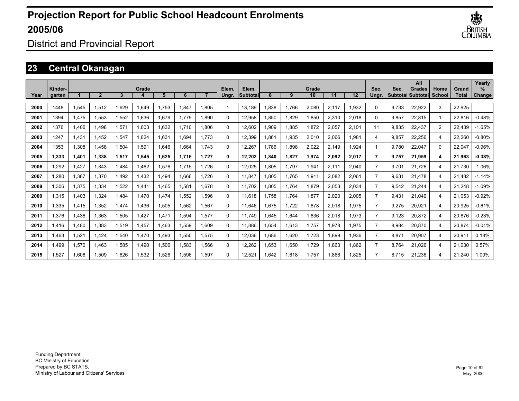

District and Provincial Report

## **23 Central Okanagan**

|      |                   |       |       |       |       |       |       |       |                |                          |      |       |             |       |       |                |       | All                                |                |                | Yearly             |
|------|-------------------|-------|-------|-------|-------|-------|-------|-------|----------------|--------------------------|------|-------|-------------|-------|-------|----------------|-------|------------------------------------|----------------|----------------|--------------------|
| Year | Kinder-<br>garten |       |       | 3     | Grade | 5     | 6     |       | Elem.<br>Unar. | Elem.<br><b>Subtotal</b> | 8    | 9     | Grade<br>10 | 11    | 12    | Sec.<br>Unar.  | Sec.  | <b>Grades</b><br>Subtotal Subtotal | Home<br>School | Grand<br>Total | %<br><b>Change</b> |
|      |                   |       |       |       |       |       |       |       |                |                          |      |       |             |       |       |                |       |                                    |                |                |                    |
| 2000 | 1448              | 1,545 | 1,512 | 1.629 | 1,649 | 1.753 | 1.847 | 1.805 | 1              | 13.189                   | .838 | 1,766 | 2,080       | 2,117 | 1,932 | 0              | 9.733 | 22,922                             | 3              | 22,925         |                    |
| 2001 | 1394              | 1,475 | 1.553 | 1,552 | 1,636 | 1,679 | 1.779 | 1.890 | 0              | 12,958                   | .850 | 1,829 | 1,850       | 2,310 | 2,018 | $\Omega$       | 9,857 | 22.815                             | $\mathbf 1$    | 22,816         | $-0.48%$           |
| 2002 | 1376              | 1.406 | 1.498 | 1,571 | 1,603 | 1,632 | 1.710 | 1.806 | 0              | 12,602                   | .909 | 1,885 | 1,872       | 2,057 | 2,101 | 11             | 9,835 | 22.437                             | $\overline{2}$ | 22,439         | $-1.65%$           |
| 2003 | 1247              | 1,431 | 1,452 | 1,547 | 1.624 | 1,631 | 1.694 | 1.773 | 0              | 12,399                   | .861 | 1,935 | 2,010       | 2,066 | 1,981 | 4              | 9,857 | 22,256                             | 4              | 22,260         | $-0.80%$           |
| 2004 | 1353              | 1,308 | 1,458 | 1,504 | 1,591 | 1,646 | 1.664 | 1.743 | 0              | 12,267                   | .786 | 1,898 | 2,022       | 2,149 | 1,924 |                | 9,780 | 22,047                             | 0              | 22,047         | $-0.96%$           |
| 2005 | 1,333             | 1,401 | 1,338 | 1,517 | 1,545 | 1,625 | 1,716 | 1.727 | 0              | 12,202                   | ,840 | 1,827 | 1,974       | 2,092 | 2,017 | $\overline{7}$ | 9,757 | 21,959                             | 4              | 21,963         | $-0.38%$           |
| 2006 | 1.292             | 1,427 | 1.343 | .484  | 1,462 | 1,576 | 1.715 | 1.726 | 0              | 12,025                   | .805 | 1,797 | 1,941       | 2,111 | 2,040 | $\overline{7}$ | 9.701 | 21.726                             | 4              | 21,730         | $-1.06%$           |
| 2007 | 1.280             | 1,387 | 1.370 | .492  | 1,432 | 1,494 | 1.666 | 1.726 | $\Omega$       | 11.847                   | .805 | 1,765 | 1,911       | 2,082 | 2,061 | $\overline{7}$ | 9,631 | 21.478                             | 4              | 21,482         | $-1.14%$           |
| 2008 | 1,306             | 1,375 | 1,334 | 1,522 | 1,441 | 1,465 | 1.581 | 1.678 | 0              | 11,702                   | .805 | 1,764 | 1,879       | 2,053 | 2,034 | $\overline{7}$ | 9,542 | 21.244                             | 4              | 21,248         | $-1.09%$           |
| 2009 | 1,315             | 1,403 | 1,324 | .484  | 1,470 | 1,474 | 1,552 | 1,596 | 0              | 11.618                   | .758 | 1,764 | 1,877       | 2,020 | 2,005 | $\overline{7}$ | 9,431 | 21.049                             | 4              | 21,053         | $-0.92%$           |
| 2010 | 1,335             | 1,415 | 1,352 | 1,474 | 1,436 | 1,505 | 1,562 | 1,567 | 0              | 11,646                   | .675 | 1,722 | 1,878       | 2,018 | 1,975 | $\overline{7}$ | 9,275 | 20,921                             | 4              | 20,925         | $-0.61%$           |
| 2011 | 1,376             | 1,436 | 1,363 | 1,505 | 1,427 | 1,471 | 1,594 | 1,577 | 0              | 11.749                   | .645 | 1,644 | 1,836       | 2,018 | 1,973 | $\overline{7}$ | 9,123 | 20,872                             | 4              | 20,876         | $-0.23%$           |
| 2012 | 1,416             | 1.480 | 1.383 | 1,519 | 1,457 | 1,463 | 1,559 | 1.609 | 0              | 11,886                   | .654 | 1,613 | 1,757       | 1,978 | 1,975 | $\overline{7}$ | 8,984 | 20,870                             | 4              | 20,874         | $-0.01%$           |
| 2013 | 1,463             | 1,521 | 1.424 | 540,ا | 1,470 | 1,493 | 1,550 | 1,575 | 0              | 12,036                   | .686 | 1,620 | 1,723       | 1,899 | 1,936 | $\overline{7}$ | 8,871 | 20,907                             | 4              | 20,911         | 0.18%              |
| 2014 | 1,499             | 1,570 | 1,463 | 1,585 | 1,490 | 1,506 | 1,583 | 1,566 | 0              | 12,262                   | .653 | 1,650 | 1,729       | 1,863 | 1.862 | $\overline{7}$ | 8,764 | 21,026                             | 4              | 21,030         | 0.57%              |
| 2015 | 1.527             | 1,608 | 1,509 | 1,626 | 1,532 | 1,526 | 1.596 | 1.597 | $\Omega$       | 12,521                   | .642 | 1,618 | 1.757       | 1.866 | 1.825 | $\overline{7}$ | 8.715 | 21.236                             | 4              | 21.240         | 1.00%              |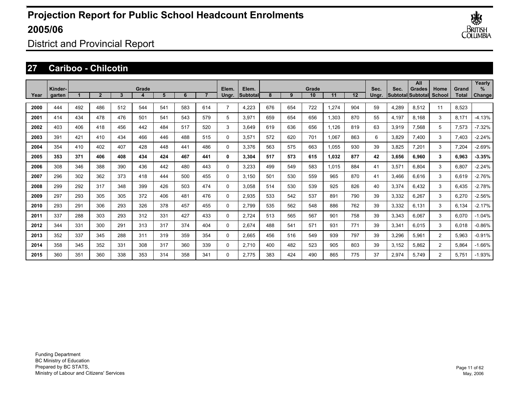

District and Provincial Report

### **27 Cariboo - Chilcotin**

|      |                   |     |                |     |       |     |     |     |                |                   |     |     |             |       |     |               |       | All                          |                |                       | Yearly         |
|------|-------------------|-----|----------------|-----|-------|-----|-----|-----|----------------|-------------------|-----|-----|-------------|-------|-----|---------------|-------|------------------------------|----------------|-----------------------|----------------|
| Year | Kinder-<br>garten |     | $\overline{2}$ | 3   | Grade | 5   | 6   |     | Elem.<br>Ungr. | Elem.<br>Subtotal | 8   | 9   | Grade<br>10 | 11    | 12  | Sec.<br>Ungr. | Sec.  | Grades<br> Subtotal Subtotal | Home<br>School | Grand<br><b>Total</b> | $\%$<br>Change |
| 2000 | 444               | 492 | 486            | 512 | 544   | 541 | 583 | 614 | $\overline{7}$ | 4,223             | 676 | 654 | 722         | 1,274 | 904 | 59            | 4,289 | 8,512                        | 11             | 8,523                 |                |
| 2001 | 414               | 434 | 478            | 476 | 501   | 541 | 543 | 579 | 5              | 3,971             | 659 | 654 | 656         | 1,303 | 870 | 55            | 4,197 | 8.168                        | 3              | 8,171                 | $-4.13%$       |
| 2002 | 403               | 406 | 418            | 456 | 442   | 484 | 517 | 520 | 3              | 3,649             | 619 | 636 | 656         | 1,126 | 819 | 63            | 3,919 | 7,568                        | 5              | 7,573                 | $-7.32%$       |
| 2003 | 391               | 421 | 410            | 434 | 466   | 446 | 488 | 515 | $\Omega$       | 3,571             | 572 | 620 | 701         | 1.067 | 863 | 6             | 3,829 | 7,400                        | 3              | 7,403                 | $-2.24%$       |
| 2004 | 354               | 410 | 402            | 407 | 428   | 448 | 441 | 486 | 0              | 3,376             | 563 | 575 | 663         | 1,055 | 930 | 39            | 3,825 | 7,201                        | 3              | 7,204                 | $-2.69%$       |
| 2005 | 353               | 371 | 406            | 408 | 434   | 424 | 467 | 441 | 0              | 3,304             | 517 | 573 | 615         | 1,032 | 877 | 42            | 3,656 | 6,960                        | 3              | 6,963                 | $-3.35%$       |
| 2006 | 308               | 346 | 388            | 390 | 436   | 442 | 480 | 443 | 0              | 3,233             | 499 | 549 | 583         | 1,015 | 884 | 41            | 3,571 | 6.804                        | 3              | 6,807                 | $-2.24%$       |
| 2007 | 296               | 302 | 362            | 373 | 418   | 444 | 500 | 455 | 0              | 3,150             | 501 | 530 | 559         | 965   | 870 | 41            | 3,466 | 6.616                        | 3              | 6,619                 | $-2.76%$       |
| 2008 | 299               | 292 | 317            | 348 | 399   | 426 | 503 | 474 | 0              | 3,058             | 514 | 530 | 539         | 925   | 826 | 40            | 3,374 | 6.432                        | 3              | 6,435                 | $-2.78%$       |
| 2009 | 297               | 293 | 305            | 305 | 372   | 406 | 481 | 476 | 0              | 2,935             | 533 | 542 | 537         | 891   | 790 | 39            | 3,332 | 6.267                        | 3              | 6,270                 | $-2.56%$       |
| 2010 | 293               | 291 | 306            | 293 | 326   | 378 | 457 | 455 | 0              | 2.799             | 535 | 562 | 548         | 886   | 762 | 39            | 3,332 | 6.131                        | 3              | 6,134                 | $-2.17%$       |
| 2011 | 337               | 288 | 303            | 293 | 312   | 331 | 427 | 433 | $\Omega$       | 2,724             | 513 | 565 | 567         | 901   | 758 | 39            | 3,343 | 6,067                        | 3              | 6,070                 | $-1.04%$       |
| 2012 | 344               | 331 | 300            | 291 | 313   | 317 | 374 | 404 | $\Omega$       | 2,674             | 488 | 541 | 571         | 931   | 771 | 39            | 3,341 | 6,015                        | 3              | 6,018                 | $-0.86%$       |
| 2013 | 352               | 337 | 345            | 288 | 311   | 319 | 359 | 354 | $\Omega$       | 2,665             | 456 | 516 | 549         | 939   | 797 | 39            | 3,296 | 5,961                        | $\overline{2}$ | 5,963                 | $-0.91%$       |
| 2014 | 358               | 345 | 352            | 331 | 308   | 317 | 360 | 339 | $\Omega$       | 2,710             | 400 | 482 | 523         | 905   | 803 | 39            | 3,152 | 5,862                        | $\overline{2}$ | 5,864                 | $-1.66%$       |
| 2015 | 360               | 351 | 360            | 338 | 353   | 314 | 358 | 341 | $\Omega$       | 2.775             | 383 | 424 | 490         | 865   | 775 | 37            | 2,974 | 5,749                        | $\overline{2}$ | 5,751                 | $-1.93%$       |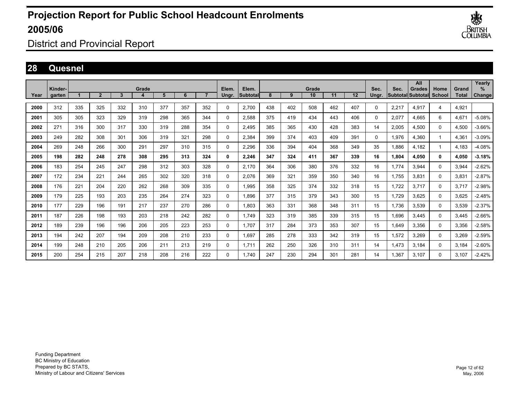

District and Provincial Report

### **28 Quesnel**

|      | Kinder- |     |              |              | Grade |     |     |     | Elem. | Elem.    |     |     | Grade |     |                   | Sec.  | Sec.  | All<br><b>Grades</b> | Home          | Grand | Yearly<br>$\%$ |
|------|---------|-----|--------------|--------------|-------|-----|-----|-----|-------|----------|-----|-----|-------|-----|-------------------|-------|-------|----------------------|---------------|-------|----------------|
| Year | garten  |     | $\mathbf{2}$ | $\mathbf{3}$ |       | 5   | 6   |     | Ungr. | Subtotal | 8   | 9   | 10    | 11  | $12 \overline{ }$ | Unar. |       | Subtotal Subtotal    | <b>School</b> | Total | Change         |
| 2000 | 312     | 335 | 325          | 332          | 310   | 377 | 357 | 352 | 0     | 2,700    | 438 | 402 | 508   | 462 | 407               | 0     | 2,217 | 4,917                | 4             | 4,921 |                |
| 2001 | 305     | 305 | 323          | 329          | 319   | 298 | 365 | 344 | 0     | 2,588    | 375 | 419 | 434   | 443 | 406               | 0     | 2,077 | 4.665                | 6             | 4,671 | $-5.08%$       |
| 2002 | 271     | 316 | 300          | 317          | 330   | 319 | 288 | 354 | 0     | 2,495    | 385 | 365 | 430   | 428 | 383               | 14    | 2,005 | 4.500                | 0             | 4,500 | $-3.66%$       |
| 2003 | 249     | 282 | 308          | 301          | 306   | 319 | 321 | 298 | 0     | 2,384    | 399 | 374 | 403   | 409 | 391               | 0     | 1,976 | 4.360                |               | 4,361 | $-3.09%$       |
| 2004 | 269     | 248 | 266          | 300          | 291   | 297 | 310 | 315 | 0     | 2,296    | 336 | 394 | 404   | 368 | 349               | 35    | 1.886 | 4.182                |               | 4.183 | $-4.08%$       |
| 2005 | 198     | 282 | 248          | 278          | 308   | 295 | 313 | 324 | 0     | 2,246    | 347 | 324 | 411   | 367 | 339               | 16    | 1,804 | 4.050                | 0             | 4,050 | $-3.18%$       |
| 2006 | 183     | 254 | 245          | 247          | 298   | 312 | 303 | 328 | 0     | 2.170    | 364 | 306 | 380   | 376 | 332               | 16    | 1.774 | 3.944                | $\Omega$      | 3,944 | $-2.62%$       |
| 2007 | 172     | 234 | 221          | 244          | 265   | 302 | 320 | 318 | 0     | 2,076    | 369 | 321 | 359   | 350 | 340               | 16    | 1,755 | 3,831                | $\Omega$      | 3,831 | $-2.87%$       |
| 2008 | 176     | 221 | 204          | 220          | 262   | 268 | 309 | 335 | 0     | 1,995    | 358 | 325 | 374   | 332 | 318               | 15    | 1,722 | 3,717                | $\Omega$      | 3,717 | $-2.98%$       |
| 2009 | 179     | 225 | 193          | 203          | 235   | 264 | 274 | 323 | 0     | 1.896    | 377 | 315 | 379   | 343 | 300               | 15    | 1,729 | 3,625                | 0             | 3,625 | $-2.48%$       |
| 2010 | 177     | 229 | 196          | 191          | 217   | 237 | 270 | 286 | 0     | 1,803    | 363 | 331 | 368   | 348 | 311               | 15    | 1,736 | 3,539                | 0             | 3,539 | $-2.37%$       |
| 2011 | 187     | 226 | 198          | 193          | 203   | 218 | 242 | 282 | 0     | 1.749    | 323 | 319 | 385   | 339 | 315               | 15    | 1,696 | 3,445                | 0             | 3,445 | $-2.66%$       |
| 2012 | 189     | 239 | 196          | 196          | 206   | 205 | 223 | 253 | 0     | 1.707    | 317 | 284 | 373   | 353 | 307               | 15    | 1,649 | 3,356                | 0             | 3,356 | $-2.58%$       |
| 2013 | 194     | 242 | 207          | 194          | 209   | 208 | 210 | 233 | 0     | 1,697    | 285 | 278 | 333   | 342 | 319               | 15    | 1,572 | 3,269                | 0             | 3,269 | $-2.59%$       |
| 2014 | 199     | 248 | 210          | 205          | 206   | 211 | 213 | 219 | 0     | 1.711    | 262 | 250 | 326   | 310 | 311               | 14    | 1.473 | 3.184                | 0             | 3,184 | $-2.60%$       |
| 2015 | 200     | 254 | 215          | 207          | 218   | 208 | 216 | 222 | 0     | 1.740    | 247 | 230 | 294   | 301 | 281               | 14    | 1.367 | 3.107                | $\Omega$      | 3.107 | $-2.42%$       |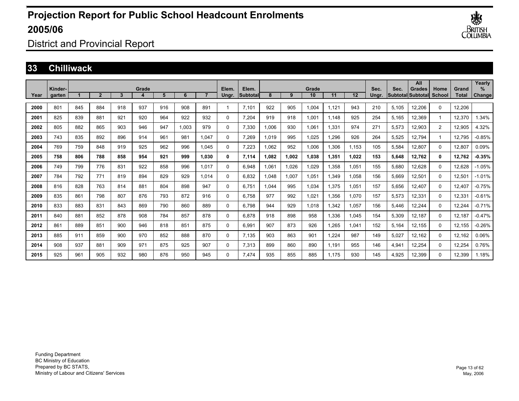

District and Provincial Report

#### **33 Chilliwack**

|      | Kinder- |     |                |     | Grade |     |       |       | Elem.    | Elem.     |       |       | Grade |       |       | Sec.  | Sec.  | All<br>Grades      | Home        | Grand        | Yearly<br>% |
|------|---------|-----|----------------|-----|-------|-----|-------|-------|----------|-----------|-------|-------|-------|-------|-------|-------|-------|--------------------|-------------|--------------|-------------|
| Year | garten  |     | $\overline{2}$ | 3   | 4     | 5   | 6     |       | Ungr.    | lSubtotal | 8     | 9     | 10    | 11    | 12    | Unar. |       | lSubtotallSubtotal | School      | <b>Total</b> | Change      |
| 2000 | 801     | 845 | 884            | 918 | 937   | 916 | 908   | 891   |          | 7.101     | 922   | 905   | 1.004 | 1.121 | 943   | 210   | 5.105 | 12,206             | $\Omega$    | 12,206       |             |
| 2001 | 825     | 839 | 881            | 921 | 920   | 964 | 922   | 932   | $\Omega$ | 7.204     | 919   | 918   | 1.001 | 1.148 | 925   | 254   | 5,165 | 12.369             | $\mathbf 1$ | 12,370       | 1.34%       |
| 2002 | 805     | 882 | 865            | 903 | 946   | 947 | 1,003 | 979   | $\Omega$ | 7,330     | 1,006 | 930   | 1,061 | 1,331 | 974   | 271   | 5,573 | 12,903             | 2           | 12,905       | 4.32%       |
| 2003 | 743     | 835 | 892            | 896 | 914   | 961 | 981   | 1.047 | $\Omega$ | 7,269     | 1.019 | 995   | 1,025 | 1,296 | 926   | 264   | 5,525 | 12,794             | 1           | 12,795       | $-0.85%$    |
| 2004 | 769     | 759 | 848            | 919 | 925   | 962 | 996   | 1.045 | $\Omega$ | 7,223     | 1,062 | 952   | 1,006 | 1,306 | 1,153 | 105   | 5,584 | 12,807             | 0           | 12,807       | 0.09%       |
| 2005 | 758     | 806 | 788            | 858 | 954   | 921 | 999   | 1,030 | 0        | 7,114     | 1.082 | 1,002 | 1,038 | 1,351 | 1.022 | 153   | 5,648 | 12,762             | 0           | 12,762       | $-0.35%$    |
| 2006 | 749     | 799 | 776            | 831 | 922   | 858 | 996   | 1.017 | $\Omega$ | 6,948     | 1.061 | 1,026 | 1,029 | 1,358 | 1.051 | 155   | 5,680 | 12,628             | 0           | 12,628       | $-1.05%$    |
| 2007 | 784     | 792 | 771            | 819 | 894   | 829 | 929   | 1.014 | $\Omega$ | 6.832     | 1.048 | 1,007 | 1,051 | 1,349 | 1.058 | 156   | 5,669 | 12,501             | $\Omega$    | 12,501       | $-1.01%$    |
| 2008 | 816     | 828 | 763            | 814 | 881   | 804 | 898   | 947   | $\Omega$ | 6,751     | 1,044 | 995   | 1,034 | 1,375 | 1,051 | 157   | 5,656 | 12,407             | $\Omega$    | 12,407       | $-0.75%$    |
| 2009 | 835     | 861 | 798            | 807 | 876   | 793 | 872   | 916   | $\Omega$ | 6.758     | 977   | 992   | 1,021 | 1,356 | 1,070 | 157   | 5,573 | 12,331             | $\Omega$    | 12,331       | $-0.61%$    |
| 2010 | 833     | 883 | 831            | 843 | 869   | 790 | 860   | 889   | $\Omega$ | 6.798     | 944   | 929   | 1.018 | 1,342 | 1,057 | 156   | 5,446 | 12,244             | 0           | 12,244       | $-0.71%$    |
| 2011 | 840     | 881 | 852            | 878 | 908   | 784 | 857   | 878   | $\Omega$ | 6.878     | 918   | 898   | 958   | 1,336 | 1,045 | 154   | 5,309 | 12,187             | $\Omega$    | 12,187       | $-0.47%$    |
| 2012 | 861     | 889 | 851            | 900 | 946   | 818 | 851   | 875   | $\Omega$ | 6.991     | 907   | 873   | 926   | 1.265 | 1.041 | 152   | 5,164 | 12.155             | $\Omega$    | 12,155       | $-0.26%$    |
| 2013 | 885     | 911 | 859            | 900 | 970   | 852 | 888   | 870   | $\Omega$ | 7,135     | 903   | 863   | 901   | 1.224 | 987   | 149   | 5,027 | 12.162             | $\Omega$    | 12,162       | 0.06%       |
| 2014 | 908     | 937 | 881            | 909 | 971   | 875 | 925   | 907   | $\Omega$ | 7,313     | 899   | 860   | 890   | 1,191 | 955   | 146   | 4,941 | 12,254             | $\Omega$    | 12,254       | 0.76%       |
| 2015 | 925     | 961 | 905            | 932 | 980   | 876 | 950   | 945   | $\Omega$ | 7.474     | 935   | 855   | 885   | 1.175 | 930   | 145   | 4,925 | 12,399             | $\Omega$    | 12,399       | 1.18%       |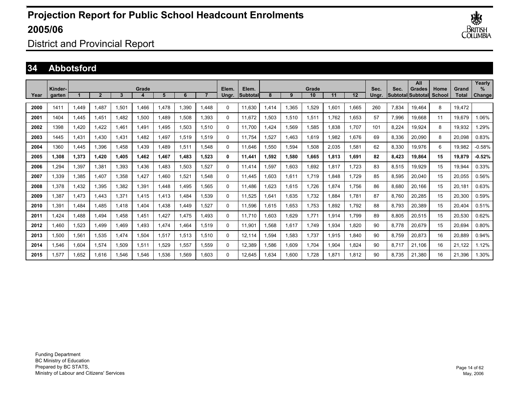

District and Provincial Report

### **34 Abbotsford**

| Year | Kinder-<br>garten |       | 2     | 3            | Grade | 5     | 6     |       | Elem.<br>Ungr. | Elem.<br>Subtotal | 8    | 9     | Grade<br>10 | 11    | 12    | Sec.<br>Ungr. | Sec.  | All<br>Grades<br><b>SubtotallSubtotal</b> | Home<br>School | Grand<br><b>Total</b> | Yearly<br>%<br>Change |
|------|-------------------|-------|-------|--------------|-------|-------|-------|-------|----------------|-------------------|------|-------|-------------|-------|-------|---------------|-------|-------------------------------------------|----------------|-----------------------|-----------------------|
|      |                   |       |       |              |       |       |       |       |                |                   |      |       |             |       |       |               |       |                                           |                |                       |                       |
| 2000 | 1411              | 1.449 | 1.487 | 1,501        | 1.466 | 1.478 | 1.390 | 1.448 | $\Omega$       | 11.630            | .414 | 1,365 | 1,529       | 1.601 | 1.665 | 260           | 7.834 | 19.464                                    | 8              | 19,472                |                       |
| 2001 | 1404              | 1.445 | 1.451 | .482         | 1,500 | 1,489 | 1,508 | 1.393 | 0              | 11.672            | .503 | 1,510 | 1,511       | 1.762 | 1.653 | 57            | 7,996 | 19.668                                    | 11             | 19.679                | 1.06%                 |
| 2002 | 1398              | 1.420 | 1.422 | l.461        | 1.491 | 1,495 | 1.503 | 1.510 | 0              | 11.700            | .424 | 1,569 | 1,585       | 1.838 | 1.707 | 101           | 8,224 | 19.924                                    | 8              | 19,932                | .29%                  |
| 2003 | 1445              | 1.431 | 1.430 | 1.431        | .482  | 1.497 | 1,519 | 1.519 | 0              | 11.754            | .527 | 1.463 | 1.619       | .982  | 1.676 | 69            | 8,336 | 20,090                                    | 8              | 20,098                | 0.83%                 |
| 2004 | 1360              | 1.445 | 1.396 | <b>1.458</b> | 1.439 | 1,489 | 1,511 | 1.548 | 0              | 11.646            | .550 | 1,594 | 1,508       | 2,035 | 1.581 | 62            | 8,330 | 19.976                                    | 6              | 19,982                | $-0.58%$              |
| 2005 | 1.308             | 1,373 | 1.420 | <b>1.405</b> | 1.462 | 1.467 | 1.483 | 1.523 | 0              | 11.441            | .592 | 1,580 | 1.665       | 1.813 | 1.691 | 82            | 8,423 | 19.864                                    | 15             | 19.879                | $-0.52%$              |
| 2006 | 1.294             | 1,397 | 1.381 | 1,393        | 1.436 | 1.483 | 1.503 | 1.527 | $\Omega$       | 11.414            | .597 | 1,603 | 1.692       | 1.817 | 1.723 | 83            | 8,515 | 19.929                                    | 15             | 19.944                | 0.33%                 |
| 2007 | 1,339             | 1,385 | 1,407 | 1,358        | 1.427 | 1,460 | 1,521 | 1,548 | $\Omega$       | 11.445            | .603 | 1,611 | 1.719       | .848  | 1.729 | 85            | 8,595 | 20,040                                    | 15             | 20,055                | 0.56%                 |
| 2008 | 1,378             | 1,432 | 1,395 | 1,382        | 1,391 | 1,448 | 1.495 | 1,565 | $\Omega$       | 11.486            | .623 | 1,615 | 1,726       | 1.874 | 1.756 | 86            | 8,680 | 20,166                                    | 15             | 20,181                | 0.63%                 |
| 2009 | 1,387             | 1,473 | 1.443 | 1,371        | 1,415 | 1,413 | .484  | 1.539 | $\Omega$       | 11,525            | .641 | 1,635 | 1,732       | 1,884 | 1.781 | 87            | 8,760 | 20,285                                    | 15             | 20,300                | 0.59%                 |
| 2010 | 1,391             | 1.484 | 1,485 | 1,418        | 1.404 | 1,438 | 1.449 | 1,527 | $\Omega$       | 11,596            | .615 | 1,653 | 1,753       | 1.892 | 1.792 | 88            | 8,793 | 20,389                                    | 15             | 20,404                | 0.51%                 |
| 2011 | 1,424             | 1.488 | 1.494 | A58.         | 1,451 | 1,427 | 1.475 | 1.493 | 0              | 11.710            | .603 | 1,629 | 1.771       | 1,914 | 1.799 | 89            | 8,805 | 20,515                                    | 15             | 20,530                | 0.62%                 |
| 2012 | 1.460             | 1,523 | 1.499 | 469. ا       | 1.493 | 1,474 | 1.464 | 1,519 | 0              | 11,901            | .568 | 1,617 | 1.749       | 1,934 | 1.820 | 90            | 8,778 | 20,679                                    | 15             | 20,694                | 0.80%                 |
| 2013 | 1,500             | 1,561 | 1,535 | 1,474        | 1,504 | 1,517 | 1,513 | 1,510 | 0              | 12.114            | .594 | 1,583 | 1,737       | 1.915 | 1.840 | 90            | 8,759 | 20,873                                    | 16             | 20.889                | 0.94%                 |
| 2014 | 1,546             | 1,604 | 1.574 | 1,509        | 1,511 | 1,529 | 1,557 | 1.559 | 0              | 12.389            | .586 | 1,609 | 1.704       | 1.904 | 1.824 | 90            | 8.717 | 21.106                                    | 16             | 21.122                | 1.12%                 |
| 2015 | 1.577             | 1.652 | 1.616 | .546         | 1.546 | 1.536 | 1.569 | 1.603 | $\Omega$       | 12.645            | .634 | 1.600 | 1.728       | .871  | 1.812 | 90            | 8.735 | 21.380                                    | 16             | 21.396                | .30%                  |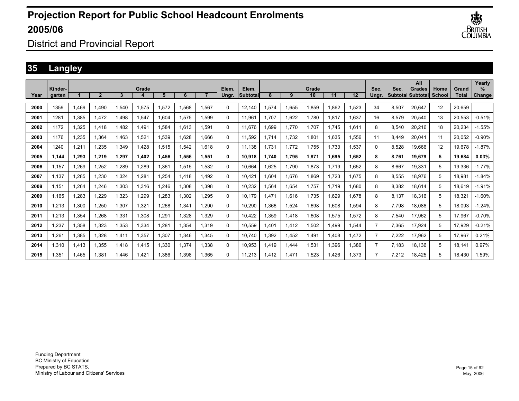

District and Provincial Report

### **35 Langley**

|      |                   |       |                |       |       |       |       |                |                |                          |      |       |             |       |       |                |       | All                                        |                |                       | Yearly         |
|------|-------------------|-------|----------------|-------|-------|-------|-------|----------------|----------------|--------------------------|------|-------|-------------|-------|-------|----------------|-------|--------------------------------------------|----------------|-----------------------|----------------|
| Year | Kinder-<br>garten |       | $\overline{2}$ | 3     | Grade | 5     | 6     | $\overline{ }$ | Elem.<br>Ungr. | Elem.<br><b>Subtotal</b> | 8    | 9     | Grade<br>10 | 11    | 12    | Sec.<br>Unar.  | Sec.  | <b>Grades</b><br><b>SubtotallSubtotall</b> | Home<br>School | Grand<br><b>Total</b> | $\%$<br>Change |
|      |                   |       |                |       |       |       |       |                |                |                          |      |       |             |       |       |                |       |                                            |                |                       |                |
| 2000 | 1359              | 1,469 | 1.490          | .540  | 1,575 | 1.572 | 1.568 | 1.567          | $\Omega$       | 12.140                   | .574 | 1.655 | 1.859       | 1.862 | 1.523 | 34             | 8.507 | 20.647                                     | 12             | 20.659                |                |
| 2001 | 1281              | 1,385 | 1,472          | .498  | 1,547 | 1,604 | 1,575 | .599           | $\Omega$       | 11,961                   | .707 | 1,622 | 1,780       | 1,817 | 1,637 | 16             | 8,579 | 20,540                                     | 13             | 20,553                | $-0.51%$       |
| 2002 | 1172              | 1,325 | 1.418          | .482  | 1.491 | 1,584 | 1.613 | .591           | $\Omega$       | 11.676                   | .699 | 1,770 | 1,707       | 1.745 | 1,611 | 8              | 8,540 | 20,216                                     | 18             | 20,234                | $-1.55%$       |
| 2003 | 1176              | 1,235 | 1.364          | .463  | 1,521 | 1,539 | 1,628 | .666           | 0              | 11.592                   | .714 | 1,732 | 1,801       | 1.635 | 1.556 | 11             | 8.449 | 20,041                                     | 11             | 20,052                | $-0.90\%$      |
| 2004 | 1240              | 1,211 | 1,235          | .349  | 1.428 | 1.515 | 1.542 | 1.618          | 0              | 11.138                   | .731 | 1,772 | 1.755       | 1.733 | 1.537 | $\Omega$       | 8.528 | 19.666                                     | 12             | 19.678                | $-1.87%$       |
| 2005 | 1,144             | 1,293 | 1,219          | 1,297 | 1,402 | 1,456 | 1,556 | 1,551          | 0              | 10,918                   | ,740 | 1,795 | 1,871       | 1,695 | 1,652 | 8              | 8,761 | 19,679                                     | 5              | 19,684                | 0.03%          |
| 2006 | 1.157             | 1,269 | 1,252          | .289  | 1,289 | 1,361 | 1,515 | .532           | $\Omega$       | 10.664                   | .625 | 1,790 | 1,873       | 1.719 | 1.652 | 8              | 8,667 | 19.331                                     | 5              | 19.336                | $-1.77%$       |
| 2007 | 1.137             | 1,285 | 1,230          | 1.324 | 1,281 | 1,254 | 1.418 | .492           | 0              | 10.421                   | .604 | 1,676 | 1.869       | 1.723 | 1.675 | 8              | 8,555 | 18.976                                     | 5              | 18.981                | $-1.84%$       |
| 2008 | 1.151             | 1.264 | 1.246          | 1.303 | 1,316 | 1.246 | 1.308 | .398           | 0              | 10.232                   | .564 | 1,654 | 1,757       | 1.719 | 1.680 | 8              | 8.382 | 18.614                                     | 5              | 18.619                | $-1.91%$       |
| 2009 | 1,165             | 1,283 | 1,229          | 1,323 | 1,299 | 1,283 | 1,302 | .295           | 0              | 10,179                   | .471 | 1,616 | 1,735       | 1,629 | 1,678 | 8              | 8,137 | 18,316                                     | 5              | 18,321                | $-1.60%$       |
| 2010 | 1,213             | 1,300 | 1,250          | 1,307 | 1,321 | 1,268 | 1,341 | ,290           | 0              | 10,290                   | ,366 | 1,524 | 1,698       | 1,608 | 1,594 | 8              | 7.798 | 18,088                                     | 5              | 18.093                | $-1.24%$       |
| 2011 | 1,213             | 1,354 | 1,268          | 1,331 | 1,308 | 1,291 | 1,328 | .329           | 0              | 10,422                   | ,359 | 1,418 | 1,608       | 1,575 | 1,572 | 8              | 7,540 | 17,962                                     | 5              | 17,967                | $-0.70%$       |
| 2012 | .237              | 1,358 | 1,323          | 1,353 | 1,334 | 1,281 | 1.354 | 1.319          | 0              | 10.559                   | .401 | 1.412 | 1,502       | .499  | 1,544 | $\overline{7}$ | 7,365 | 17.924                                     | 5              | 17.929                | $-0.21%$       |
| 2013 | ,261              | 1,385 | 1,328          | 1,411 | 1,357 | 1,307 | 1,346 | 1,345          | $\Omega$       | 10.740                   | ,392 | 1,452 | 1,491       | 1,408 | 1,472 | $\overline{7}$ | 7,222 | 17,962                                     | 5              | 17,967                | 0.21%          |
| 2014 | 1,310             | 1,413 | 1,355          | 1.418 | 1,415 | 1,330 | 1,374 | 1.338          | 0              | 10,953                   | .419 | 1,444 | 1,531       | 1,396 | 1,386 | $\overline{7}$ | 7.183 | 18,136                                     | 5              | 18.141                | 0.97%          |
| 2015 | 1.351             | 1.465 | 1.381          | .446  | 1.421 | 1.386 | 1.398 | 1.365          | $\Omega$       | 11.213                   | .412 | 1.471 | 1.523       | 1.426 | 1.373 | $\overline{7}$ | 7.212 | 18.425                                     | 5              | 18.430                | 1.59%          |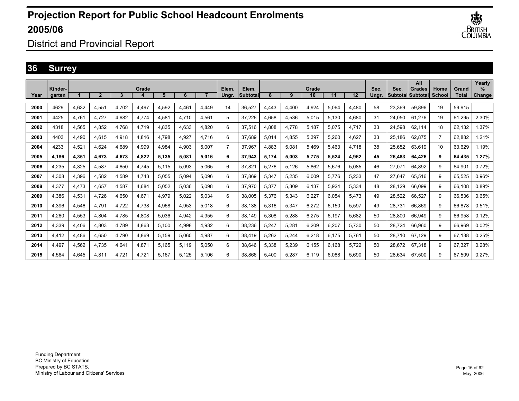

District and Provincial Report

### **36 Surrey**

|      |                   |       |                |       |       |       |       |                |                |                    |       |       |             |       |       |               |        | All                                       |                |                       | Yearly      |
|------|-------------------|-------|----------------|-------|-------|-------|-------|----------------|----------------|--------------------|-------|-------|-------------|-------|-------|---------------|--------|-------------------------------------------|----------------|-----------------------|-------------|
| Year | Kinder-<br>garten |       | $\overline{2}$ | 3     | Grade | 5     | 6     | $\overline{ }$ | Elem.<br>Ungr. | Elem.<br>lSubtotal | 8     | 9     | Grade<br>10 | 11    | 12    | Sec.<br>Unar. | Sec.   | <b>Grades</b><br><b>Subtotal Subtotal</b> | Home<br>School | Grand<br><b>Total</b> | %<br>Change |
| 2000 | 4629              |       |                | 4.702 |       | 4.592 | 4.461 |                | 14             |                    |       | 4.400 | 4.924       | 5.064 |       | 58            | 23.369 |                                           | 19             | 59.915                |             |
|      |                   | 4,632 | 4.551          |       | 4,497 |       |       | 4.449          |                | 36.527             | 4.443 |       |             |       | 4.480 |               |        | 59.896                                    |                |                       |             |
| 2001 | 4425              | 4,761 | 4.727          | 4.682 | 4,774 | 4,581 | 4,710 | 4.561          | 5              | 37,226             | 4.658 | 4,536 | 5,015       | 5,130 | 4,680 | 31            | 24,050 | 61.276                                    | 19             | 61,295                | 2.30%       |
| 2002 | 4318              | 4,565 | 4,852          | 4.768 | 4,719 | 4,835 | 4,633 | 4.820          | 6              | 37,516             | 4,808 | 4,778 | 5,187       | 5.075 | 4,717 | 33            | 24.598 | 62.114                                    | 18             | 62,132                | 1.37%       |
| 2003 | 4403              | 4,490 | 4.615          | 4.918 | 4,816 | 4.798 | 4,927 | 4.716          | 6              | 37.689             | 5.014 | 4,855 | 5,397       | 5.260 | 4,627 | 33            | 25.186 | 62.875                                    | $\overline{7}$ | 62.882                | 1.21%       |
| 2004 | 4233              | 4,521 | 4.624          | 4.689 | 4.999 | 4.984 | 4.903 | 5.007          | $\overline{7}$ | 37.967             | 4.883 | 5,081 | 5,469       | 5.463 | 4.718 | 38            | 25,652 | 63.619                                    | 10             | 63.629                | 1.19%       |
| 2005 | 4,186             | 4,351 | 4,673          | 4,673 | 4,822 | 5,135 | 5,081 | 5,016          | 6              | 37,943             | 5,174 | 5,003 | 5,775       | 5,524 | 4,962 | 45            | 26,483 | 64,426                                    | 9              | 64,435                | 1.27%       |
| 2006 | 4.235             | 4,325 | 4.587          | 4.650 | 4,745 | 5.115 | 5,093 | 5.065          | 6              | 37,821             | 5,276 | 5,126 | 5,862       | 5,676 | 5,085 | 46            | 27,071 | 64.892                                    | 9              | 64.901                | 0.72%       |
| 2007 | 4.308             | 4,396 | 4.582          | 4,589 | 4.743 | 5.055 | 5,094 | 5.096          | 6              | 37.869             | 5,347 | 5,235 | 6.009       | 5.776 | 5.233 | 47            | 27,647 | 65.516                                    | 9              | 65.525                | 0.96%       |
| 2008 | 4.377             | 4,473 | 4.657          | 4.587 | 4.684 | 5.052 | 5.036 | 5.098          | 6              | 37,970             | 5.377 | 5,309 | 6.137       | 5.924 | 5,334 | 48            | 28.129 | 66.099                                    | 9              | 66.108                | 0.89%       |
| 2009 | 4,386             | 4,531 | 4,726          | 4,650 | 4,671 | 4,979 | 5,022 | 5.034          | 6              | 38,005             | 5,376 | 5,343 | 6,227       | 6,054 | 5,473 | 49            | 28,522 | 66,527                                    | 9              | 66,536                | 0.65%       |
| 2010 | 4.396             | 4,546 | 4.791          | 4.722 | 4,738 | 4,968 | 4,953 | 5.018          | 6              | 38,138             | 5,316 | 5,347 | 6,272       | 6,150 | 5,597 | 49            | 28.731 | 66.869                                    | 9              | 66.878                | 0.51%       |
| 2011 | 4.260             | 4,553 | 4.804          | 4.785 | 4,808 | 5,036 | 4,942 | 4.955          | 6              | 38.149             | 5,308 | 5,288 | 6,275       | 6.197 | 5.682 | 50            | 28.800 | 66.949                                    | 9              | 66.958                | 0.12%       |
| 2012 | 4.339             | 4,406 | 4.803          | 4.789 | 4,863 | 5.100 | 4.998 | 4.932          | 6              | 38,236             | 5,247 | 5,281 | 6,209       | 6.207 | 5.730 | 50            | 28.724 | 66.960                                    | 9              | 66.969                | 0.02%       |
| 2013 | 4,412             | 4,486 | 4,650          | 4,790 | 4,869 | 5,159 | 5,060 | 4,987          | 6              | 38,419             | 5,262 | 5,244 | 6,218       | 6.175 | 5,761 | 50            | 28,710 | 67.129                                    | 9              | 67,138                | 0.25%       |
| 2014 | 4,497             | 4,562 | 4.735          | 4.641 | 4,871 | 5.165 | 5,119 | 5.050          | 6              | 38,646             | 5,338 | 5,239 | 6,155       | 6.168 | 5.722 | 50            | 28.672 | 67,318                                    | 9              | 67,327                | 0.28%       |
| 2015 | 4.564             | 4.645 | 4.811          | 4.721 | 4.721 | 5.167 | 5.125 | 5.106          | 6              | 38.866             | 5.400 | 5,287 | 6.119       | 6.088 | 5.690 | 50            | 28.634 | 67.500                                    | 9              | 67.509                | 0.27%       |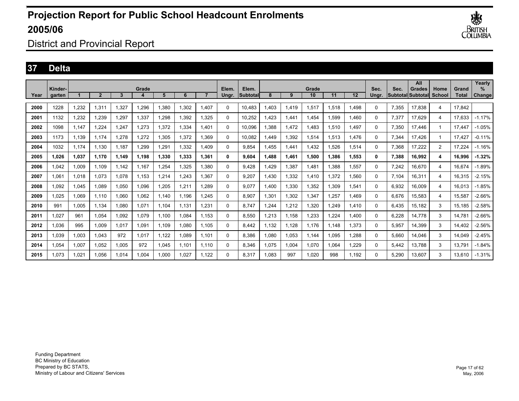

District and Provincial Report

### **37 Delta**

|      |                   |       |                |       |       |       |       |       |                |                    |       |       |             |       |         |               |       | All                                        |                |                       | Yearly         |
|------|-------------------|-------|----------------|-------|-------|-------|-------|-------|----------------|--------------------|-------|-------|-------------|-------|---------|---------------|-------|--------------------------------------------|----------------|-----------------------|----------------|
| Year | Kinder-<br>garten |       | $\overline{2}$ | 3     | Grade | 5     | 6     |       | Elem.<br>Ungr. | Elem.<br>lSubtotal | 8     | 9     | Grade<br>10 | 11    | $12 \,$ | Sec.<br>Ungr. | Sec.  | <b>Grades</b><br><b>SubtotallSubtotall</b> | Home<br>School | Grand<br><b>Total</b> | $\%$<br>Change |
| 2000 | 1228              | 1,232 | 1.311          | 327   | .296  | 1.380 | 1.302 | 1.407 | 0              | 10.483             | .403  | 1.419 | 1,517       | 1,518 | 1.498   | 0             | 7.355 | 17.838                                     | $\overline{4}$ | 17.842                |                |
| 2001 | 1132              | 1,232 | 1.239          | .297  | 1,337 | 1,298 | 1.392 | 1.325 | 0              | 10.252             | .423  | 1.441 | .454        | 1.599 | 1.460   | $\Omega$      | 7.377 | 17.629                                     | 4              | 17.633                | $-1.17%$       |
| 2002 | 1098              | 1.147 | 1.224          | .247  | 1,273 | 1.372 | 1.334 | 1.401 | 0              | 10.096             | .388  | 1.472 | .483        | 1,510 | 1.497   | $\Omega$      | 7.350 | 17.446                                     |                | 17.447                | $-1.05%$       |
| 2003 | 1173              | 1,139 | 1.174          | .278  | 1,272 | 1,305 | 1,372 | .369  | 0              | 10,082             | ,449  | 1,392 | 1,514       | 1,513 | 1,476   | 0             | 7,344 | 17,426                                     |                | 17.427                | $-0.11%$       |
| 2004 | 1032              | 1,174 | 1,130          | 1,187 | 1,299 | 1,291 | 1,332 | 1.409 | $\Omega$       | 9.854              | ,455  | 1,441 | .432        | .526  | 1,514   | 0             | 7,368 | 17,222                                     | $\overline{2}$ | 17,224                | $-1.16%$       |
| 2005 | 1.026             | 1,037 | 1,170          | 1,149 | 1.198 | 1,330 | 1.333 | 1.361 | 0              | 9.604              | 1.488 | 1,461 | 1.500       | 1.386 | 1.553   | 0             | 7,388 | 16,992                                     | 4              | 16.996                | $-1.32%$       |
| 2006 | 1.042             | 1,009 | 1.109          | 1.142 | 1.167 | 1,254 | 1.325 | 1.380 | 0              | 9.428              | .429  | 1,387 | .481        | 1.388 | 1.557   | 0             | 7.242 | 16,670                                     | 4              | 16.674                | $-1.89%$       |
| 2007 | 1.061             | 1,018 | 1.073          | 1.078 | 1.153 | 1,214 | 1.243 | 1.367 | 0              | 9.207              | .430  | 1,332 | 1.410       | 1.372 | 1.560   | $\Omega$      | 7.104 | 16.311                                     | 4              | 16.315                | $-2.15%$       |
| 2008 | 1.092             | 1.045 | 1.089          | 1.050 | 1.096 | 1.205 | 1.211 | 1.289 | 0              | 9.077              | .400  | 1.330 | 1.352       | 1.309 | 1.541   | $\Omega$      | 6.932 | 16.009                                     | 4              | 16.013                | $-1.85%$       |
| 2009 | 1,025             | 1,069 | 1,110          | 060,1 | 1,062 | 1,140 | 1.196 | 1.245 | $\Omega$       | 8.907              | 1,301 | 1,302 | 1,347       | 1,257 | 1,469   | 0             | 6.676 | 15,583                                     | 4              | 15,587                | $-2.66%$       |
| 2010 | 991               | 1,005 | 1,134          | 1,080 | 1,071 | 1,104 | 1.131 | 1.231 | $\Omega$       | 8.747              | ,244  | 1,212 | 1,320       | 1,249 | 1,410   | 0             | 6.435 | 15,182                                     | 3              | 15,185                | $-2.58%$       |
| 2011 | 1,027             | 961   | 1,054          | 1,092 | 1,079 | 1,100 | 1,084 | 1.153 | 0              | 8,550              | .213  | 1,158 | 1,233       | 1,224 | 1,400   | 0             | 6.228 | 14.778                                     | 3              | 14.781                | $-2.66%$       |
| 2012 | 1.036             | 995   | 1,009          | 1,017 | 1,091 | 1,109 | 1,080 | 1.105 | 0              | 8.442              | 1,132 | 1,128 | 1.176       | 1.148 | 1,373   | 0             | 5,957 | 14,399                                     | 3              | 14.402                | $-2.56%$       |
| 2013 | 1.039             | 1,003 | 1.043          | 972   | 1,017 | 1,122 | 1,089 | 1.101 | $\Omega$       | 8.386              | .080  | 1,053 | 1.144       | 1.095 | 1.288   | 0             | 5.660 | 14,046                                     | 3              | 14.049                | $-2.45%$       |
| 2014 | 1.054             | 1,007 | 1.052          | 1.005 | 972   | 1,045 | 1.101 | 1.110 | $\Omega$       | 8.346              | 1.075 | 1,004 | 1.070       | 1.064 | 1.229   | 0             | 5.442 | 13.788                                     | 3              | 13.791                | $-1.84%$       |
| 2015 | .073              | 1,021 | 1.056          | 1,014 | 1.004 | 1,000 | 1,027 | 1.122 | 0              | 8.317              | .083  | 997   | 1.020       | 998   | 1.192   | 0             | 5,290 | 13.607                                     | 3              | 13.610                | $-1.31%$       |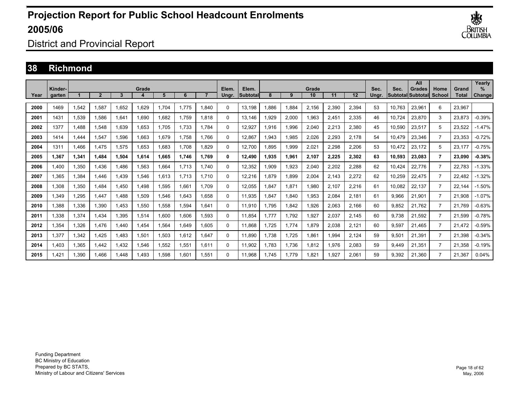

District and Provincial Report

#### **38 Richmond**

|      | Kinder- |       |              |       | Grade |       |       |       | Elem.    | Elem.    |       |       | Grade |       |       | Sec.  | Sec.   | All<br><b>Grades</b> | Home           | Grand  | Yearly<br>$\%$ |
|------|---------|-------|--------------|-------|-------|-------|-------|-------|----------|----------|-------|-------|-------|-------|-------|-------|--------|----------------------|----------------|--------|----------------|
| Year | garten  |       | $\mathbf{2}$ | 3     | 4     | 5     | 6     |       | Ungr.    | Subtotal | 8     | 9     | 10    | 11    | 12    | Unar. |        | Subtotal Subtotal    | School         | Total  | Change         |
| 2000 | 1469    | 1,542 | 1,587        | 1.652 | 1,629 | ,704  | 1.775 | 1,840 | 0        | 13,198   | .886  | 1,884 | 2,156 | 2,390 | 2,394 | 53    | 10,763 | 23,961               | 6              | 23,967 |                |
| 2001 | 1431    | 1,539 | .586         | 1.641 | 1.690 | .682  | 1.759 | 1.818 | 0        | 13.146   | 929.  | 2,000 | 1,963 | 2.451 | 2,335 | 46    | 10.724 | 23,870               | 3              | 23,873 | $-0.39%$       |
| 2002 | 1377    | .488  | .548         | 1.639 | 1.653 | .705  | 1.733 | 1.784 | 0        | 12.927   | 1.916 | 1.996 | 2.040 | 2,213 | 2,380 | 45    | 10.590 | 23.517               | 5              | 23.522 | $-1.47%$       |
| 2003 | 1414    | 1,444 | 1,547        | 1,596 | 1,663 | .679  | 1.758 | 1.766 | 0        | 12,867   | 1,943 | 1,985 | 2,026 | 2,293 | 2,178 | 54    | 10,479 | 23,346               | $\overline{7}$ | 23,353 | $-0.72%$       |
| 2004 | 1311    | 1.466 | 1.475        | 1,575 | 1,653 | .683  | 1.708 | 1.829 | 0        | 12,700   | 1.895 | 1,999 | 2,021 | 2,298 | 2,206 | 53    | 10.472 | 23,172               | 5              | 23,177 | $-0.75%$       |
| 2005 | 1.367   | 1,341 | 1.484        | 1.504 | 1.614 | .665  | 1.746 | 1.769 | 0        | 12.490   | 1.935 | 1,961 | 2,107 | 2,225 | 2,302 | 63    | 10,593 | 23.083               | $\overline{7}$ | 23.090 | $-0.38%$       |
| 2006 | 1.400   | 1,350 | 1.436        | 1.486 | 1,563 | .664  | 1.713 | 1.740 | 0        | 12,352   | 1.909 | 1,923 | 2.040 | 2,202 | 2,288 | 62    | 10.424 | 22.776               | $\overline{7}$ | 22.783 | $-1.33%$       |
| 2007 | 1,365   | 1,384 | 1.446        | 1,439 | 1,546 | .613  | 1.713 | 1.710 | 0        | 12,216   | 879,  | 1,899 | 2,004 | 2,143 | 2,272 | 62    | 10,259 | 22,475               | $\overline{7}$ | 22,482 | $-1.32%$       |
| 2008 | 1,308   | 1,350 | 1.484        | 1,450 | 1,498 | .595  | 1,661 | 1.709 | 0        | 12,055   | 1,847 | 1,871 | 1,980 | 2,107 | 2,216 | 61    | 10,082 | 22,137               | $\overline{7}$ | 22,144 | $-1.50%$       |
| 2009 | 1.349   | 1,295 | 1.447        | 1.488 | 1,509 | .546  | 1.643 | 1.658 | 0        | 11,935   | 1,847 | 1,840 | 1,953 | 2,084 | 2,181 | 61    | 9,966  | 21,901               | $\overline{7}$ | 21,908 | $-1.07%$       |
| 2010 | 1,388   | 1,336 | 1,390        | 1,453 | 1,550 | .558  | 1,594 | 1,641 | $\Omega$ | 11,910   | 1.795 | 1,842 | 1,926 | 2,063 | 2,166 | 60    | 9,852  | 21.762               | $\overline{7}$ | 21,769 | $-0.63%$       |
| 2011 | 1,338   | 1,374 | 1.434        | 1,395 | 1,514 | 0.600 | 1,606 | 1,593 | $\Omega$ | 11,854   | 1.777 | 1,792 | 1,927 | 2,037 | 2,145 | 60    | 9,738  | 21,592               | $\overline{7}$ | 21,599 | $-0.78%$       |
| 2012 | 1.354   | 1,326 | 1.476        | 1.440 | 1.454 | .564  | 1.649 | 1.605 | 0        | 11,868   | 1.725 | 1.774 | 1,879 | 2,038 | 2,121 | 60    | 9,597  | 21.465               | $\overline{7}$ | 21.472 | $-0.59%$       |
| 2013 | 1.377   | 1.342 | 1.425        | 1.483 | 1,501 | 1.503 | 1.612 | 1.647 | $\Omega$ | 11,890   | 1.738 | 1.725 | 1,861 | .994  | 2.124 | 59    | 9.501  | 21.391               | $\overline{7}$ | 21.398 | $-0.34%$       |
| 2014 | 1,403   | 1,365 | 1.442        | 1,432 | 1,546 | .552  | 1,551 | 1,611 | $\Omega$ | 11,902   | 1.783 | 1,736 | 1,812 | 1,976 | 2,083 | 59    | 9,449  | 21,351               | $\overline{7}$ | 21,358 | $-0.19%$       |
| 2015 | 1.421   | 1,390 | 1.466        | .448  | 1.493 | .598  | 1.601 | 1,551 | 0        | 11,968   | 1.745 | 1.779 | 1,821 | 1.927 | 2,061 | 59    | 9.392  | 21.360               | $\overline{7}$ | 21,367 | 0.04%          |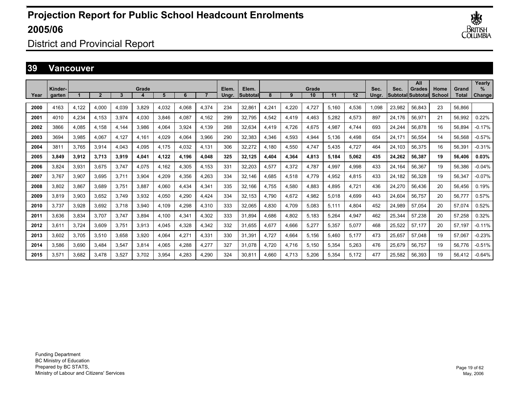

District and Provincial Report

#### **39 Vancouver**

|      | Kinder- |       |       |       | Grade |       |       |       | Elem. | Elem.    |       |       | Grade |       |                   | Sec.  | Sec.   | All<br>Grades     | Home   | Grand  | Yearly<br>% |
|------|---------|-------|-------|-------|-------|-------|-------|-------|-------|----------|-------|-------|-------|-------|-------------------|-------|--------|-------------------|--------|--------|-------------|
| Year | garten  |       | 2     | 3     |       | 5     | 6     |       | Unar. | Subtotal | 8     | 9     | 10    | 11    | $12 \overline{ }$ | Unar. |        | Subtotal Subtotal | School | Total  | Change      |
| 2000 | 4163    | 4,122 | 4,000 | 4.039 | 3,829 | 4,032 | 4,068 | 4,374 | 234   | 32,861   | 4,241 | 4,220 | 4,727 | 5.160 | 4,536             | 1,098 | 23,982 | 56,843            | 23     | 56.866 |             |
| 2001 | 4010    | 4,234 | 4.153 | 3,974 | 4,030 | 3,846 | 4,087 | 4.162 | 299   | 32,795   | 4,542 | 4,419 | 4,463 | 5,282 | 4,573             | 897   | 24.176 | 56,971            | 21     | 56,992 | 0.22%       |
| 2002 | 3866    | 4,085 | 4.158 | 4.144 | 3,986 | 4.064 | 3,924 | 4.139 | 268   | 32,634   | 4.419 | 4,726 | 4,675 | 4,987 | 4,744             | 693   | 24,244 | 56,878            | 16     | 56.894 | $-0.17%$    |
| 2003 | 3694    | 3,985 | 4,067 | 4.127 | 4.161 | 4.029 | 4,064 | 3.966 | 290   | 32,383   | 4.346 | 4,593 | 4,944 | 5.136 | 4,498             | 654   | 24.171 | 56,554            | 14     | 56,568 | $-0.57%$    |
| 2004 | 3811    | 3,765 | 3,914 | 4,043 | 4,095 | 4,175 | 4,032 | 4,131 | 306   | 32,272   | 4.180 | 4,550 | 4,747 | 5,435 | 4,727             | 464   | 24.103 | 56,375            | 16     | 56,391 | $-0.31%$    |
| 2005 | 3,849   | 3,912 | 3,713 | 3,919 | 4,041 | 4,122 | 4,196 | 4,048 | 325   | 32,125   | 4.404 | 4,364 | 4,813 | 5.184 | 5,062             | 435   | 24,262 | 56,387            | 19     | 56,406 | 0.03%       |
| 2006 | 3.824   | 3,931 | 3.675 | 3.747 | 4,075 | 4.162 | 4,305 | 4.153 | 331   | 32,203   | 4,577 | 4,372 | 4.787 | 4.997 | 4,998             | 433   | 24.164 | 56.367            | 19     | 56,386 | $-0.04%$    |
| 2007 | 3.767   | 3.907 | 3.695 | 3.711 | 3,904 | 4.209 | 4,356 | 4.263 | 334   | 32.146   | 4.685 | 4,518 | 4.779 | 4.952 | 4,815             | 433   | 24.182 | 56.328            | 19     | 56.347 | $-0.07%$    |
| 2008 | 3.802   | 3,867 | 3,689 | 3.751 | 3,887 | 4,060 | 4.434 | 4,341 | 335   | 32,166   | 4.755 | 4,580 | 4,883 | 4,895 | 4,721             | 436   | 24,270 | 56,436            | 20     | 56,456 | 0.19%       |
| 2009 | 3.819   | 3,903 | 3,652 | 3.749 | 3,932 | 4,050 | 4,290 | 4,424 | 334   | 32,153   | 4.790 | 4,672 | 4,982 | 5.018 | 4,699             | 443   | 24,604 | 56.757            | 20     | 56,777 | 0.57%       |
| 2010 | 3.737   | 3,928 | 3.692 | 3.718 | 3,940 | 4.109 | 4,298 | 4,310 | 333   | 32,065   | 4.830 | 4,709 | 5,083 | 5.111 | 4,804             | 452   | 24,989 | 57,054            | 20     | 57.074 | 0.52%       |
| 2011 | 3.636   | 3,834 | 3.707 | 3.747 | 3.894 | 4.100 | 4,341 | 4,302 | 333   | 31.894   | 4.686 | 4,802 | 5,183 | 5.264 | 4,947             | 462   | 25,344 | 57.238            | 20     | 57.258 | 0.32%       |
| 2012 | 3,611   | 3,724 | 3,609 | 3.751 | 3,913 | 4,045 | 4,328 | 4,342 | 332   | 31,655   | 4,677 | 4,666 | 5,277 | 5,357 | 5,077             | 468   | 25,522 | 57,177            | 20     | 57,197 | $-0.11%$    |
| 2013 | 3,602   | 3,705 | 3,510 | 3.658 | 3,920 | 4,064 | 4,271 | 4,331 | 330   | 31,391   | 4,727 | 4,664 | 5,156 | 5.460 | 5,177             | 473   | 25,657 | 57,048            | 19     | 57,067 | $-0.23%$    |
| 2014 | 3,586   | 3,690 | 3.484 | 3.547 | 3,814 | 4,065 | 4,288 | 4,277 | 327   | 31,078   | 4.720 | 4,716 | 5,150 | 5,354 | 5,263             | 476   | 25,679 | 56,757            | 19     | 56,776 | $-0.51%$    |
| 2015 | 3.571   | 3,682 | 3.478 | 3.527 | 3.702 | 3.954 | 4,283 | 4,290 | 324   | 30.811   | 4.660 | 4.713 | 5,206 | 5.354 | 5,172             | 477   | 25.582 | 56.393            | 19     | 56.412 | $-0.64%$    |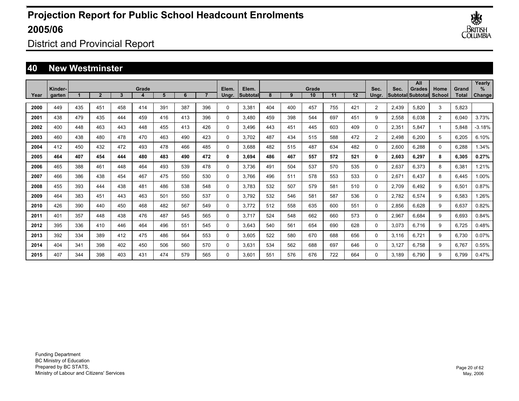

District and Provincial Report

### **40 New Westminster**

|      |                   |     |                |     |       |     |     |     |                |                     |     |     |             |     |     |                |       | All                                 |                |                | Yearly             |
|------|-------------------|-----|----------------|-----|-------|-----|-----|-----|----------------|---------------------|-----|-----|-------------|-----|-----|----------------|-------|-------------------------------------|----------------|----------------|--------------------|
| Year | Kinder-<br>garten |     | $\overline{2}$ | 3   | Grade | 5   | 6   |     | Elem.<br>Unar. | Elem.<br>lSubtotall | 8   | 9   | Grade<br>10 | 11  | 12  | Sec.<br>Unar.  | Sec.  | <b>Grades</b><br> Subtotal Subtotal | Home<br>School | Grand<br>Total | %<br><b>Change</b> |
|      |                   |     |                |     |       |     |     |     |                |                     |     |     |             |     |     |                |       |                                     |                |                |                    |
| 2000 | 449               | 435 | 451            | 458 | 414   | 391 | 387 | 396 | $\Omega$       | 3,381               | 404 | 400 | 457         | 755 | 421 | $\overline{2}$ | 2,439 | 5,820                               | 3              | 5,823          |                    |
| 2001 | 438               | 479 | 435            | 444 | 459   | 416 | 413 | 396 | $\Omega$       | 3,480               | 459 | 398 | 544         | 697 | 451 | 9              | 2,558 | 6,038                               | $\overline{2}$ | 6,040          | 3.73%              |
| 2002 | 400               | 448 | 463            | 443 | 448   | 455 | 413 | 426 | $\Omega$       | 3.496               | 443 | 451 | 445         | 603 | 409 | $\Omega$       | 2,351 | 5.847                               | -1             | 5,848          | $-3.18%$           |
| 2003 | 460               | 438 | 480            | 478 | 470   | 463 | 490 | 423 | $\Omega$       | 3.702               | 487 | 434 | 515         | 588 | 472 | $\overline{2}$ | 2,498 | 6.200                               | 5              | 6,205          | 6.10%              |
| 2004 | 412               | 450 | 432            | 472 | 493   | 478 | 466 | 485 | $\mathbf 0$    | 3.688               | 482 | 515 | 487         | 634 | 482 | 0              | 2,600 | 6,288                               | 0              | 6,288          | 1.34%              |
| 2005 | 464               | 407 | 454            | 444 | 480   | 483 | 490 | 472 | 0              | 3,694               | 486 | 467 | 557         | 572 | 521 | 0              | 2,603 | 6,297                               | 8              | 6,305          | 0.27%              |
| 2006 | 465               | 388 | 461            | 448 | 464   | 493 | 539 | 478 | 0              | 3.736               | 491 | 504 | 537         | 570 | 535 | 0              | 2,637 | 6,373                               | 8              | 6,381          | 1.21%              |
| 2007 | 466               | 386 | 438            | 454 | 467   | 475 | 550 | 530 | 0              | 3.766               | 496 | 511 | 578         | 553 | 533 | 0              | 2,671 | 6.437                               | 8              | 6,445          | 1.00%              |
| 2008 | 455               | 393 | 444            | 438 | 481   | 486 | 538 | 548 | 0              | 3.783               | 532 | 507 | 579         | 581 | 510 | 0              | 2,709 | 6.492                               | 9              | 6,501          | 0.87%              |
| 2009 | 464               | 383 | 451            | 443 | 463   | 501 | 550 | 537 | $\Omega$       | 3,792               | 532 | 546 | 581         | 587 | 536 | $\mathbf{0}$   | 2,782 | 6,574                               | 9              | 6,583          | 1.26%              |
| 2010 | 426               | 390 | 440            | 450 | 468   | 482 | 567 | 549 | 0              | 3,772               | 512 | 558 | 635         | 600 | 551 | 0              | 2,856 | 6,628                               | 9              | 6,637          | 0.82%              |
| 2011 | 401               | 357 | 448            | 438 | 476   | 487 | 545 | 565 | 0              | 3,717               | 524 | 548 | 662         | 660 | 573 | 0              | 2,967 | 6,684                               | 9              | 6,693          | 0.84%              |
| 2012 | 395               | 336 | 410            | 446 | 464   | 496 | 551 | 545 | 0              | 3,643               | 540 | 561 | 654         | 690 | 628 | 0              | 3,073 | 6,716                               | 9              | 6,725          | 0.48%              |
| 2013 | 392               | 334 | 389            | 412 | 475   | 486 | 564 | 553 | $\Omega$       | 3,605               | 522 | 580 | 670         | 688 | 656 | 0              | 3,116 | 6,721                               | 9              | 6,730          | 0.07%              |
| 2014 | 404               | 341 | 398            | 402 | 450   | 506 | 560 | 570 | $\Omega$       | 3.631               | 534 | 562 | 688         | 697 | 646 | $\mathbf{0}$   | 3.127 | 6.758                               | 9              | 6.767          | 0.55%              |
| 2015 | 407               | 344 | 398            | 403 | 431   | 474 | 579 | 565 | $\Omega$       | 3.601               | 551 | 576 | 676         | 722 | 664 | 0              | 3.189 | 6.790                               | 9              | 6.799          | 0.47%              |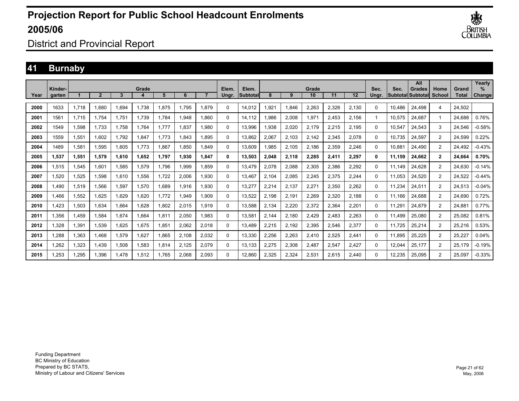

District and Provincial Report

### **41 Burnaby**

|      | Kinder- |       |       |       | Grade |       |       |       | Elem.    | Elem.    |       |       | Grade |       |                   | Sec.  | Sec.   | All<br>Grades     | Home           | Grand  | Yearly<br>% |
|------|---------|-------|-------|-------|-------|-------|-------|-------|----------|----------|-------|-------|-------|-------|-------------------|-------|--------|-------------------|----------------|--------|-------------|
| Year | garten  |       | 2     | 3     |       | 5     | 6     |       | Unar.    | Subtotal | 8     | 9     | 10    | 11    | $12 \overline{ }$ | Unar. |        | Subtotal Subtotal | School         | Total  | Change      |
| 2000 | 1633    | 1.718 | 1.680 | 1.694 | 1.738 | .875  | 1.795 | 1.879 | 0        | 14,012   | 1.921 | 1.846 | 2,263 | 2.326 | 2,130             | 0     | 10.486 | 24,498            | 4              | 24.502 |             |
| 2001 | 1561    | 1.715 | 1.754 | 1.751 | 1.739 | .784  | 1.948 | 1.860 | 0        | 14.112   | 986.  | 2,008 | 1,971 | 2.453 | 2.156             |       | 10.575 | 24.687            |                | 24.688 | 0.76%       |
| 2002 | 1549    | 1,598 | 1.733 | 1.758 | 1.764 | .777  | 1,837 | 1,980 | 0        | 13,996   | 938.  | 2,020 | 2,179 | 2,215 | 2,195             | 0     | 10,547 | 24,543            | 3              | 24,546 | $-0.58%$    |
| 2003 | 1559    | 1,551 | 1,602 | 1.792 | 1,847 | 1.773 | 1.843 | 1.895 | 0        | 13,862   | 2,067 | 2,103 | 2,142 | 2,345 | 2,078             | 0     | 10.735 | 24,597            | $\overline{2}$ | 24,599 | 0.22%       |
| 2004 | 1489    | 1,581 | 1,595 | 1.605 | 1.773 | .867  | 1,850 | 1.849 | 0        | 13,609   | .985  | 2,105 | 2,186 | 2,359 | 2,246             | 0     | 10.881 | 24,490            | $\overline{2}$ | 24.492 | $-0.43%$    |
| 2005 | 1,537   | 1,551 | 1,579 | 1.610 | 1,652 | 1.797 | 1,930 | 1.847 | 0        | 13,503   | 2,048 | 2,118 | 2,285 | 2,411 | 2,297             | 0     | 11.159 | 24,662            | $\mathbf{2}$   | 24,664 | 0.70%       |
| 2006 | 1.515   | 1,545 | 1,601 | 1.585 | 1,579 | .796  | 1,999 | 1.859 | 0        | 13,479   | 2,078 | 2,088 | 2,305 | 2,386 | 2,292             | 0     | 11.149 | 24,628            | $\overline{2}$ | 24.630 | $-0.14%$    |
| 2007 | 1.520   | 1,525 | 1.598 | 1.610 | 1,556 | ,722  | 2,006 | 1.930 | 0        | 13.467   | 2.104 | 2,085 | 2,245 | 2,375 | 2,244             | 0     | 11.053 | 24,520            | $\overline{2}$ | 24.522 | $-0.44%$    |
| 2008 | 1,490   | 1,519 | 1,566 | 1,597 | 1,570 | .689  | 1,916 | 1,930 | 0        | 13,277   | 2,214 | 2,137 | 2,271 | 2,350 | 2,262             | 0     | 11,234 | 24,511            | $\overline{2}$ | 24,513 | $-0.04%$    |
| 2009 | 1.466   | 1,552 | 1,625 | 1.629 | 1,620 | .772  | 1,949 | 1,909 | $\Omega$ | 13,522   | 2,198 | 2,191 | 2,269 | 2,320 | 2,188             | 0     | 11.166 | 24,688            | $\overline{2}$ | 24,690 | 0.72%       |
| 2010 | 1.423   | 1,503 | 1.634 | 1.664 | 1.628 | .802  | 2,015 | 1.919 | 0        | 13,588   | 2,134 | 2,220 | 2,372 | 2,364 | 2,201             | 0     | 11.291 | 24,879            | $\overline{2}$ | 24.881 | 0.77%       |
| 2011 | 1.356   | 1.459 | 1.584 | 1.674 | 1.664 | .811  | 2,050 | 1.983 | $\Omega$ | 13,581   | 2.144 | 2,180 | 2,429 | 2,483 | 2,263             | 0     | 11.499 | 25.080            | $\overline{2}$ | 25,082 | 0.81%       |
| 2012 | 1.328   | 1.391 | 1.539 | 1.625 | 1.675 | .851  | 2,062 | 2.018 | 0        | 13.489   | 2.215 | 2,192 | 2,395 | 2.546 | 2,377             | 0     | 11.725 | 25.214            | $\overline{2}$ | 25.216 | 0.53%       |
| 2013 | 1.288   | 1.363 | 1.468 | 1.579 | 1.627 | .865  | 2.108 | 2.032 | 0        | 13,330   | 2.256 | 2,263 | 2.410 | 2.525 | 2,441             | 0     | 11.895 | 25.225            | $\overline{2}$ | 25.227 | 0.04%       |
| 2014 | 1,262   | 1,323 | 1,439 | 1,508 | 1,583 | .814  | 2,125 | 2,079 | 0        | 13,133   | 2,275 | 2,308 | 2,487 | 2,547 | 2,427             | 0     | 12,044 | 25,177            | $\overline{2}$ | 25,179 | $-0.19%$    |
| 2015 | 1,253   | 1.295 | 1,396 | 1.478 | 1,512 | .765  | 2,068 | 2,093 | 0        | 12,860   | 2,325 | 2,324 | 2,531 | 2.615 | 2,440             | 0     | 12.235 | 25,095            | $\overline{2}$ | 25,097 | $-0.33%$    |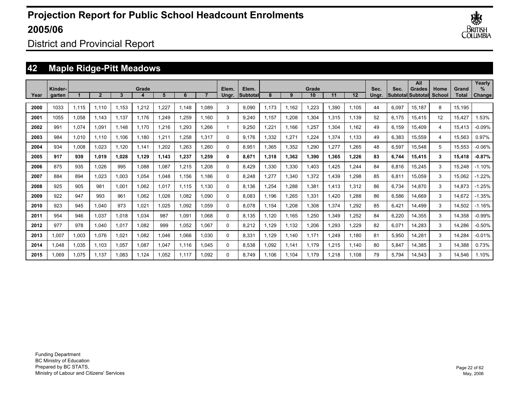

District and Provincial Report

## **42 Maple Ridge-Pitt Meadows**

|      | Kinder- |       |                |       | Grade |       |       |       | Elem.    | Elem.    |       |       | Grade |       |       | Sec.  | Sec.  | All<br>Grades            | Home   | Grand        | Yearly<br>$\%$ |
|------|---------|-------|----------------|-------|-------|-------|-------|-------|----------|----------|-------|-------|-------|-------|-------|-------|-------|--------------------------|--------|--------------|----------------|
| Year | garten  |       | $\overline{2}$ | 3     |       | 5     | 6     |       | Ungr.    | Subtotal | 8     | 9     | 10    | 11    | 12    | Unar. |       | <b>Subtotal Subtotal</b> | School | <b>Total</b> | <b>Change!</b> |
| 2000 | 1033    | 1.115 | 1.110          | 1.153 | 1,212 | 1,227 | 1.148 | 1.089 | 3        | 9,090    | 1.173 | 1.162 | 1,223 | 1,390 | 1,105 | 44    | 6,097 | 15.187                   | 8      | 15.195       |                |
| 2001 | 1055    | 1,058 | 1.143          | 1.137 | 1.176 | 1,249 | 1,259 | 1.160 | 3        | 9.240    | .157  | 1,208 | 1,304 | 1,315 | 1.139 | 52    | 6,175 | 15,415                   | 12     | 15.427       | .53%           |
| 2002 | 991     | 1,074 | 1.091          | 1.148 | 1.170 | 1,216 | 1,293 | 1.266 | 1        | 9.250    | .221  | 1.166 | 1,257 | 1,304 | 1,162 | 49    | 6,159 | 15.409                   | 4      | 15,413       | $-0.09%$       |
| 2003 | 984     | 1,010 | 1.110          | 1.106 | 1.180 | 1,211 | 1.258 | 1.317 | 0        | 9.176    | .332  | 1,271 | 1,224 | 1.374 | 1.133 | 49    | 6,383 | 15,559                   | 4      | 15,563       | 0.97%          |
| 2004 | 934     | 1,008 | 1,023          | 1.120 | 1.141 | 1,202 | 1.263 | 1.260 | 0        | 8.951    | .365  | 1,352 | 1,290 | .277  | 1.265 | 48    | 6,597 | 15,548                   | 5      | 15,553       | $-0.06%$       |
| 2005 | 917     | 939   | 1.019          | 1.028 | 1.129 | 1.143 | 1,237 | 1.259 | 0        | 8.671    | 1.318 | 1,362 | 1,390 | 1.365 | 1.226 | 83    | 6,744 | 15,415                   | 3      | 15,418       | $-0.87%$       |
| 2006 | 875     | 935   | 1,026          | 995   | 1.088 | 1,087 | 1,215 | 1.208 | 0        | 8.429    | ,330  | 1,330 | 1,403 | ,425  | 1.244 | 84    | 6,816 | 15,245                   | 3      | 15,248       | $-1.10%$       |
| 2007 | 884     | 894   | 1,023          | 1,003 | 1.054 | 1.048 | 1.156 | 1.186 | 0        | 8.248    | .277  | 1,340 | 1,372 | .439  | 1,298 | 85    | 6,811 | 15,059                   | 3      | 15,062       | $-1.22\%$      |
| 2008 | 925     | 905   | 981            | 1,001 | 1.062 | 1.017 | 1.115 | 1.130 | 0        | 8.136    | .254  | 1,288 | 1,381 | 1.413 | 1,312 | 86    | 6.734 | 14.870                   | 3      | 14,873       | $-1.25%$       |
| 2009 | 922     | 947   | 993            | 961   | 1.062 | 1.026 | 1.082 | 1.090 | 0        | 8.083    | .196  | 1,265 | 1,331 | .420  | 1.288 | 86    | 6,586 | 14.669                   | 3      | 14.672       | $-1.35%$       |
| 2010 | 923     | 945   | 1.040          | 973   | 1.021 | 1.025 | 1.092 | 1.059 | 0        | 8.078    | 1.154 | 1,208 | 1,308 | 1.374 | 1.292 | 85    | 6.421 | 14.499                   | 3      | 14,502       | $-1.16%$       |
| 2011 | 954     | 946   | 1,037          | 1,018 | 1.034 | 987   | 1,091 | 1.068 | 0        | 8,135    | .120  | 1.165 | 1,250 | ,349  | 1,252 | 84    | 6,220 | 14,355                   | 3      | 14,358       | $-0.99%$       |
| 2012 | 977     | 978   | 1,040          | 1,017 | 1.082 | 999   | 1,052 | 1,067 | 0        | 8,212    | .129  | 1,132 | 1,206 | ,293  | 1,229 | 82    | 6,071 | 14,283                   | 3      | 14,286       | $-0.50%$       |
| 2013 | 1.007   | 1,003 | 1.076          | 1,021 | 1.082 | 1,046 | 1.066 | 1.030 | 0        | 8.331    | .129  | 1.140 | 1.171 | .249  | 1.180 | 81    | 5,950 | 14.281                   | 3      | 14,284       | $-0.01%$       |
| 2014 | 1.048   | 1,035 | 1.103          | 1,057 | 1.087 | 1.047 | 1.116 | 1.045 | $\Omega$ | 8.538    | .092  | 1.141 | 1.179 | 1.215 | 1,140 | 80    | 5,847 | 14,385                   | 3      | 14,388       | 0.73%          |
| 2015 | 1.069   | 1.075 | 1.137          | 1.083 | 1.124 | 1.052 | 1,117 | 1.092 | $\Omega$ | 8.749    | .106  | 1.104 | 1.179 | .218  | 1.108 | 79    | 5.794 | 14.543                   | 3      | 14.546       | 1.10%          |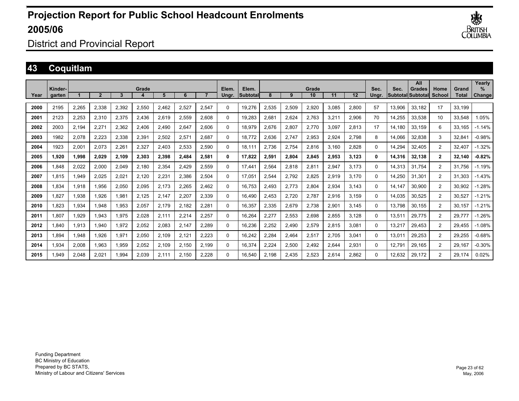

District and Provincial Report

## **43 Coquitlam**

|      | Kinder- |       |              |       | Grade |       |       |       | Elem.    | Elem.    |       |       | Grade |       |       | Sec.     | Sec.   | All<br><b>Grades</b>      | Home           | Grand        | Yearly<br>$\%$ |
|------|---------|-------|--------------|-------|-------|-------|-------|-------|----------|----------|-------|-------|-------|-------|-------|----------|--------|---------------------------|----------------|--------------|----------------|
| Year | garten  |       | $\mathbf{2}$ | 3     |       | 5     | 6     |       | Ungr.    | Subtotal | 8     | 9     | 10    | 11    | 12    | Unar.    |        | <b>SubtotallSubtotall</b> | School         | <b>Total</b> | Change         |
| 2000 | 2195    | 2,265 | 2,338        | 2,392 | 2,550 | 2.462 | 2,527 | 2,547 | $\Omega$ | 19,276   | 2,535 | 2,509 | 2,920 | 3.085 | 2,800 | 57       | 13.906 | 33.182                    | 17             | 33.199       |                |
| 2001 | 2123    | 2,253 | 2.310        | 2.375 | 2,436 | 2.619 | 2,559 | 2.608 | $\Omega$ | 19.283   | 2.681 | 2,624 | 2.763 | 3.211 | 2,906 | 70       | 14.255 | 33.538                    | 10             | 33.548       | 1.05%          |
| 2002 | 2003    | 2,194 | 2,271        | 2,362 | 2,406 | 2,490 | 2,647 | 2,606 | $\Omega$ | 18,979   | 2,676 | 2,807 | 2,770 | 3.097 | 2,813 | 17       | 14,180 | 33,159                    | 6              | 33,165       | $-1.14%$       |
| 2003 | 1982    | 2,078 | 2,223        | 2,338 | 2,391 | 2,502 | 2,571 | 2,687 | $\Omega$ | 18.772   | 2,636 | 2,747 | 2,953 | 2,924 | 2,798 | 8        | 14,066 | 32,838                    | 3              | 32,841       | $-0.98%$       |
| 2004 | 1923    | 2,001 | 2,073        | 2,261 | 2,327 | 2,403 | 2,533 | 2,590 | 0        | 18.111   | 2,736 | 2,754 | 2,816 | 3.160 | 2,828 | 0        | 14,294 | 32,405                    | $\overline{2}$ | 32.407       | $-1.32%$       |
| 2005 | 1.920   | 1,998 | 2,029        | 2.109 | 2,303 | 2,398 | 2,484 | 2,581 | 0        | 17,822   | 2,591 | 2,804 | 2,845 | 2,953 | 3,123 | 0        | 14,316 | 32,138                    | $\mathbf{2}$   | 32.140       | $-0.82%$       |
| 2006 | .848    | 2,022 | 2,000        | 2,049 | 2,180 | 2,354 | 2,429 | 2,559 | 0        | 17.441   | 2,564 | 2,818 | 2,811 | 2,947 | 3,173 | 0        | 14,313 | 31.754                    | $\overline{2}$ | 31.756       | $-1.19%$       |
| 2007 | 1.815   | 1,949 | 2,025        | 2,021 | 2,120 | 2,231 | 2,386 | 2,504 | $\Omega$ | 17,051   | 2.544 | 2,792 | 2,825 | 2,919 | 3.170 | $\Omega$ | 14.250 | 31.301                    | $\overline{2}$ | 31.303       | $-1.43%$       |
| 2008 | 1.834   | 1,918 | 1,956        | 2,050 | 2,095 | 2,173 | 2,265 | 2,462 | $\Omega$ | 16,753   | 2,493 | 2,773 | 2,804 | 2,934 | 3,143 | 0        | 14,147 | 30,900                    | $\overline{2}$ | 30,902       | $-1.28%$       |
| 2009 | 1.827   | 1,938 | 1,926        | 1,981 | 2,125 | 2,147 | 2,207 | 2,339 | $\Omega$ | 16,490   | 2,453 | 2,720 | 2,787 | 2,916 | 3,159 | $\Omega$ | 14,035 | 30,525                    | 2              | 30,527       | $-1.21%$       |
| 2010 | 1.823   | 1,934 | 1.948        | 1,953 | 2,057 | 2.179 | 2,182 | 2,281 | $\Omega$ | 16,357   | 2,335 | 2,679 | 2,738 | 2,901 | 3.145 | $\Omega$ | 13.798 | 30.155                    | $\overline{2}$ | 30,157       | $-1.21%$       |
| 2011 | 1.807   | 1,929 | 1.943        | 1,975 | 2,028 | 2.111 | 2,214 | 2.257 | $\Omega$ | 16,264   | 2,277 | 2,553 | 2,698 | 2,855 | 3.128 | $\Omega$ | 13,511 | 29,775                    | $\overline{2}$ | 29,777       | $-1.26%$       |
| 2012 | .840    | 1,913 | 1.940        | 1.972 | 2,052 | 2.083 | 2.147 | 2.289 | $\Omega$ | 16,236   | 2.252 | 2,490 | 2,579 | 2,815 | 3,081 | $\Omega$ | 13.217 | 29,453                    | $\overline{2}$ | 29.455       | $-1.08%$       |
| 2013 | 894.    | 1,948 | 1.926        | 1.971 | 2.050 | 2.109 | 2.121 | 2.223 | $\Omega$ | 16.242   | 2.284 | 2,464 | 2,517 | 2.705 | 3,041 | 0        | 13.011 | 29,253                    | $\overline{2}$ | 29.255       | $-0.68%$       |
| 2014 | 1,934   | 2,008 | 1,963        | 1,959 | 2,052 | 2,109 | 2,150 | 2,199 | 0        | 16,374   | 2,224 | 2,500 | 2,492 | 2,644 | 2,931 | 0        | 12,791 | 29,165                    | $\overline{2}$ | 29,167       | $-0.30%$       |
| 2015 | .949    | 2,048 | 2,021        | 1,994 | 2,039 | 2,111 | 2.150 | 2.228 | $\Omega$ | 16,540   | 2,198 | 2,435 | 2,523 | 2,614 | 2,862 | 0        | 12,632 | 29,172                    | $\overline{2}$ | 29,174       | 0.02%          |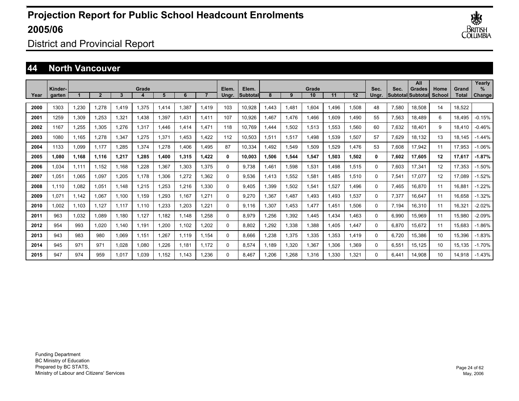

District and Provincial Report

#### **44 North Vancouver**

|      | Kinder- |       |             |       | Grade |       |       |       | Elem. | Elem.    |       |       | Grade |       |                   | Sec.     | Sec.  | All<br>Grades     | Home   | Grand  | Yearly<br>$\%$ |
|------|---------|-------|-------------|-------|-------|-------|-------|-------|-------|----------|-------|-------|-------|-------|-------------------|----------|-------|-------------------|--------|--------|----------------|
| Year | garten  |       | $\mathbf 2$ | 3     |       | 5     | 6     |       | Ungr. | Subtotal | 8     | 9     | 10    | 11    | $12 \overline{ }$ | Unar.    |       | Subtotal Subtotal | School | Total  | Change         |
| 2000 | 1303    | 1.230 | 1.278       | 1.419 | 1,375 | .414  | 1.387 | 1,419 | 103   | 10,928   | 1.443 | 1.481 | 1.604 | .496  | 1,508             | 48       | 7,580 | 18.508            | 14     | 18.522 |                |
| 2001 | 1259    | 1.309 | 1.253       | 1.321 | 1.438 | .397  | 1.431 | 1.411 | 107   | 10.926   | 1.467 | 1.476 | 1.466 | .609  | 1.490             | 55       | 7,563 | 18.489            | 6      | 18.495 | $-0.15%$       |
| 2002 | 1167    | 1,255 | 1,305       | 1,276 | 1,317 | .446  | 1.414 | 1,471 | 118   | 10.769   | .444  | 1,502 | 1,513 | 1,553 | 1,560             | 60       | 7,632 | 18,401            | 9      | 18,410 | $-0.46%$       |
| 2003 | 1080    | 1.165 | 1.278       | 1,347 | 1,275 | .371  | 1,453 | 1.422 | 112   | 10,503   | 1,511 | 1,517 | 1,498 | 1,539 | 1,507             | 57       | 7,629 | 18,132            | 13     | 18.145 | $-1.44%$       |
| 2004 | 1133    | 1,099 | 1.177       | 1.285 | 1,374 | ,278  | 1.406 | 1.495 | 87    | 10,334   | 1.492 | 1,549 | 1,509 | ,529  | 1,476             | 53       | 7,608 | 17,942            | 11     | 17,953 | $-1.06%$       |
| 2005 | 1.080   | 1,168 | 1.116       | 1.217 | 1,285 | ,400  | 1,315 | 1.422 | 0     | 10,003   | 1,506 | 1,544 | 1,547 | 1.503 | 1,502             | 0        | 7,602 | 17,605            | 12     | 17,617 | $-1.87%$       |
| 2006 | 1.034   | 1.111 | 1.152       | 1.168 | 1,228 | .367  | 1,303 | 1,375 | 0     | 9.738    | 1.461 | 1,598 | 1,531 | .498  | 1,515             | 0        | 7,603 | 17,341            | 12     | 17,353 | $-1.50%$       |
| 2007 | 1.051   | 1.065 | 1.097       | 1.205 | 1.178 | .306  | 1,272 | 1.362 | 0     | 9.536    | 1.413 | 1,552 | 1.581 | .485  | 1,510             | 0        | 7,541 | 17,077            | 12     | 17.089 | $-1.52%$       |
| 2008 | 1.110   | 1,082 | 1,051       | 1.148 | 1,215 | ,253  | 1,216 | 1,330 | 0     | 9,405    | 1,399 | 1,502 | 1,541 | 1,527 | 1,496             | 0        | 7,465 | 16,870            | 11     | 16,881 | $-1.22%$       |
| 2009 | 1,071   | 1,142 | 1,067       | 1.100 | 1.159 | ,293  | 1.167 | 1,271 | 0     | 9,270    | 1,367 | 1,487 | 1,493 | .493  | 1,537             | 0        | 7,377 | 16,647            | 11     | 16,658 | $-1.32%$       |
| 2010 | 1.002   | 1.103 | 1.127       | 1,117 | 1.110 | .233  | 1,203 | 1,221 | 0     | 9.116    | 1.307 | 1.453 | 1,477 | .451  | 1,506             | 0        | 7.194 | 16,310            | 11     | 16,321 | $-2.02%$       |
| 2011 | 963     | 1.032 | 1.089       | 1.180 | 1.127 | 1.182 | 1.148 | 1.258 | 0     | 8,979    | .256  | 1,392 | 1.445 | .434  | 1,463             | 0        | 6,990 | 15,969            | 11     | 15,980 | $-2.09%$       |
| 2012 | 954     | 993   | 1.020       | 1.140 | 1.191 | .200  | 1.102 | 1.202 | 0     | 8.802    | 1.292 | 1,338 | 1.388 | .405  | 1,447             | $\Omega$ | 6.870 | 15.672            | 11     | 15,683 | $-1.86%$       |
| 2013 | 943     | 983   | 980         | 1.069 | 1.151 | .267  | 1.119 | 1.154 | 0     | 8.666    | 1.238 | 1.375 | 1.335 | .353  | 1.419             | $\Omega$ | 6.720 | 15.386            | 10     | 15,396 | $-1.83%$       |
| 2014 | 945     | 971   | 971         | 1,028 | 1,080 | ,226  | 1.181 | 1.172 | 0     | 8,574    | 1.189 | 1,320 | 1,367 | 1,306 | 1,369             | 0        | 6,551 | 15,125            | 10     | 15,135 | $-1.70%$       |
| 2015 | 947     | 974   | 959         | 1.017 | 1.039 | 1,152 | 1.143 | 1,236 | 0     | 8.467    | 1.206 | 1,268 | 1,316 | ,330  | 1,321             | 0        | 6.441 | 14,908            | 10     | 14,918 | $-1.43%$       |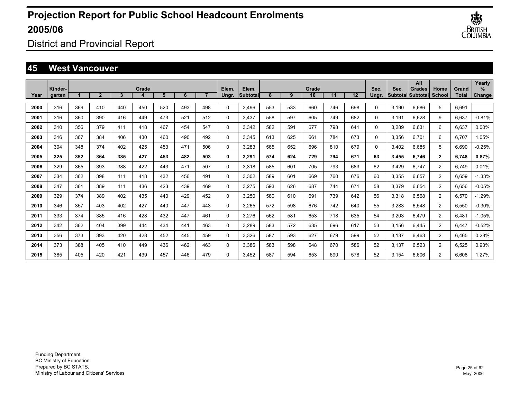

District and Provincial Report

### **45 West Vancouver**

|      |                   |     |                |     |       |     |     |     |                |                    |     |     |             |     |     |               |       | All                          |                |                       | Yearly         |
|------|-------------------|-----|----------------|-----|-------|-----|-----|-----|----------------|--------------------|-----|-----|-------------|-----|-----|---------------|-------|------------------------------|----------------|-----------------------|----------------|
| Year | Kinder-<br>garten |     | $\overline{2}$ | 3   | Grade | 5   | 6   |     | Elem.<br>Ungr. | Elem.<br>Subtotall | 8   | 9   | Grade<br>10 | 11  | 12  | Sec.<br>Ungr. | Sec.  | Grades<br> Subtotal Subtotal | Home<br>School | Grand<br><b>Total</b> | $\%$<br>Change |
|      |                   |     |                |     |       |     |     |     |                |                    |     |     |             |     |     |               |       |                              |                |                       |                |
| 2000 | 316               | 369 | 410            | 440 | 450   | 520 | 493 | 498 | $\Omega$       | 3,496              | 553 | 533 | 660         | 746 | 698 | 0             | 3,190 | 6.686                        | 5              | 6,691                 |                |
| 2001 | 316               | 360 | 390            | 416 | 449   | 473 | 521 | 512 | 0              | 3,437              | 558 | 597 | 605         | 749 | 682 | 0             | 3,191 | 6.628                        | 9              | 6,637                 | $-0.81%$       |
| 2002 | 310               | 356 | 379            | 411 | 418   | 467 | 454 | 547 | 0              | 3,342              | 582 | 591 | 677         | 798 | 641 | 0             | 3,289 | 6,631                        | 6              | 6,637                 | $0.00\%$       |
| 2003 | 316               | 367 | 384            | 406 | 430   | 460 | 490 | 492 | 0              | 3,345              | 613 | 625 | 661         | 784 | 673 | 0             | 3,356 | 6.701                        | 6              | 6.707                 | 1.05%          |
| 2004 | 304               | 348 | 374            | 402 | 425   | 453 | 471 | 506 | 0              | 3.283              | 565 | 652 | 696         | 810 | 679 | 0             | 3,402 | 6.685                        | 5              | 6,690                 | $-0.25%$       |
| 2005 | 325               | 352 | 364            | 385 | 427   | 453 | 482 | 503 | 0              | 3,291              | 574 | 624 | 729         | 794 | 671 | 63            | 3,455 | 6.746                        | $\mathbf{2}$   | 6,748                 | 0.87%          |
| 2006 | 329               | 365 | 393            | 388 | 422   | 443 | 471 | 507 | 0              | 3,318              | 585 | 601 | 705         | 793 | 683 | 62            | 3,429 | 6.747                        | $\overline{2}$ | 6.749                 | 0.01%          |
| 2007 | 334               | 362 | 398            | 411 | 418   | 432 | 456 | 491 | 0              | 3,302              | 589 | 601 | 669         | 760 | 676 | 60            | 3,355 | 6.657                        | $\overline{2}$ | 6.659                 | $-1.33%$       |
| 2008 | 347               | 361 | 389            | 411 | 436   | 423 | 439 | 469 | 0              | 3,275              | 593 | 626 | 687         | 744 | 671 | 58            | 3,379 | 6.654                        | $\overline{2}$ | 6,656                 | $-0.05%$       |
| 2009 | 329               | 374 | 389            | 402 | 435   | 440 | 429 | 452 | 0              | 3,250              | 580 | 610 | 691         | 739 | 642 | 56            | 3,318 | 6,568                        | $\overline{2}$ | 6,570                 | $-1.29%$       |
| 2010 | 346               | 357 | 403            | 402 | 427   | 440 | 447 | 443 | 0              | 3,265              | 572 | 598 | 676         | 742 | 640 | 55            | 3,283 | 6,548                        | $\overline{2}$ | 6,550                 | $-0.30%$       |
| 2011 | 333               | 374 | 385            | 416 | 428   | 432 | 447 | 461 | 0              | 3,276              | 562 | 581 | 653         | 718 | 635 | 54            | 3,203 | 6,479                        | $\overline{2}$ | 6,481                 | $-1.05%$       |
| 2012 | 342               | 362 | 404            | 399 | 444   | 434 | 441 | 463 | 0              | 3,289              | 583 | 572 | 635         | 696 | 617 | 53            | 3,156 | 6.445                        | $\overline{2}$ | 6,447                 | $-0.52%$       |
| 2013 | 356               | 373 | 393            | 420 | 428   | 452 | 445 | 459 | 0              | 3,326              | 587 | 593 | 627         | 679 | 599 | 52            | 3,137 | 6.463                        | $\overline{2}$ | 6,465                 | 0.28%          |
| 2014 | 373               | 388 | 405            | 410 | 449   | 436 | 462 | 463 | 0              | 3,386              | 583 | 598 | 648         | 670 | 586 | 52            | 3,137 | 6.523                        | $\overline{2}$ | 6,525                 | 0.93%          |
| 2015 | 385               | 405 | 420            | 421 | 439   | 457 | 446 | 479 | $\Omega$       | 3.452              | 587 | 594 | 653         | 690 | 578 | 52            | 3.154 | 6.606                        | $\overline{2}$ | 6.608                 | 1.27%          |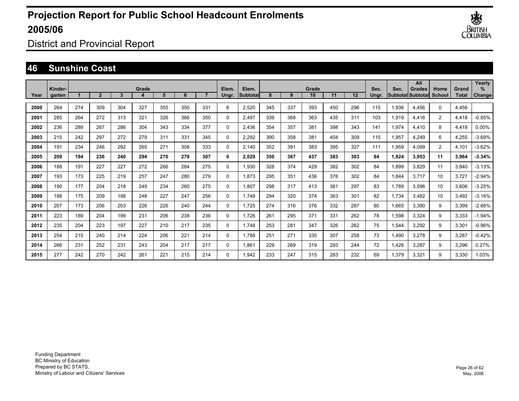

District and Provincial Report

### **46 Sunshine Coast**

|      |                   |     |                |     |       |     |     |     |                |                    |     |     |             |     |     |               |       | All                          |                |                       | Yearly         |
|------|-------------------|-----|----------------|-----|-------|-----|-----|-----|----------------|--------------------|-----|-----|-------------|-----|-----|---------------|-------|------------------------------|----------------|-----------------------|----------------|
| Year | Kinder-<br>garten |     | $\overline{2}$ | 3   | Grade | 5   | 6   |     | Elem.<br>Ungr. | Elem.<br>Subtotall | 8   | 9   | Grade<br>10 | 11  | 12  | Sec.<br>Ungr. | Sec.  | Grades<br> Subtotal Subtotal | Home<br>School | Grand<br><b>Total</b> | $\%$<br>Change |
|      |                   |     |                |     |       |     |     |     |                |                    |     |     |             |     |     |               |       |                              |                |                       |                |
| 2000 | 264               | 274 | 309            | 304 | 327   | 355 | 350 | 331 | 6              | 2,520              | 345 | 337 | 393         | 450 | 296 | 115           | 1,936 | 4,456                        | 0              | 4,456                 |                |
| 2001 | 285               | 264 | 272            | 313 | 321   | 326 | 366 | 350 | 0              | 2,497              | 339 | 368 | 363         | 435 | 311 | 103           | 1,919 | 4,416                        | $\overline{2}$ | 4,418                 | $-0.85%$       |
| 2002 | 236               | 289 | 267            | 286 | 304   | 343 | 334 | 377 | 0              | 2,436              | 354 | 357 | 381         | 398 | 343 | 141           | 1,974 | 4,410                        | 8              | 4,418                 | $0.00\%$       |
| 2003 | 215               | 242 | 297            | 272 | 279   | 311 | 331 | 345 | 0              | 2,292              | 390 | 358 | 381         | 404 | 309 | 115           | 1,957 | 4,249                        | 6              | 4,255                 | $-3.69%$       |
| 2004 | 191               | 234 | 246            | 292 | 265   | 271 | 308 | 333 | 0              | 2,140              | 352 | 391 | 383         | 395 | 327 | 111           | 1,959 | 4,099                        | $\overline{2}$ | 4,101                 | $-3.62%$       |
| 2005 | 209               | 194 | 236            | 240 | 294   | 270 | 279 | 307 | 0              | 2,029              | 350 | 367 | 437         | 383 | 303 | 84            | 1,924 | 3,953                        | 11             | 3,964                 | $-3.34%$       |
| 2006 | 188               | 191 | 227            | 227 | 272   | 266 | 284 | 275 | 0              | 1,930              | 328 | 374 | 429         | 382 | 302 | 84            | 1,899 | 3.829                        | 11             | 3,840                 | $-3.13%$       |
| 2007 | 193               | 173 | 225            | 219 | 257   | 247 | 280 | 279 | 0              | 1.873              | 295 | 351 | 436         | 376 | 302 | 84            | 1,844 | 3.717                        | 10             | 3.727                 | $-2.94%$       |
| 2008 | 190               | 177 | 204            | 218 | 249   | 234 | 260 | 275 | 0              | 1.807              | 298 | 317 | 413         | 381 | 297 | 83            | 1,789 | 3,596                        | 10             | 3,606                 | $-3.25%$       |
| 2009 | 188               | 175 | 209            | 198 | 248   | 227 | 247 | 256 | 0              | 1.748              | 294 | 320 | 374         | 363 | 301 | 82            | 1,734 | 3,482                        | 10             | 3,492                 | $-3.16%$       |
| 2010 | 207               | 173 | 206            | 203 | 226   | 226 | 240 | 244 | 0              | 1,725              | 274 | 316 | 376         | 332 | 287 | 80            | 1,665 | 3,390                        | 9              | 3,399                 | $-2.66%$       |
| 2011 | 223               | 189 | 204            | 199 | 231   | 206 | 238 | 236 | 0              | 1,726              | 261 | 295 | 371         | 331 | 262 | 78            | 1,598 | 3,324                        | 9              | 3,333                 | $-1.94%$       |
| 2012 | 235               | 204 | 223            | 197 | 227   | 210 | 217 | 235 | 0              | 1.748              | 253 | 281 | 347         | 326 | 262 | 75            | 1,544 | 3,292                        | 9              | 3,301                 | $-0.96%$       |
| 2013 | 254               | 215 | 240            | 214 | 224   | 206 | 221 | 214 | 0              | 1.788              | 251 | 271 | 330         | 307 | 258 | 73            | 1,490 | 3,278                        | 9              | 3,287                 | $-0.42%$       |
| 2014 | 266               | 231 | 252            | 231 | 243   | 204 | 217 | 217 | 0              | 1.861              | 229 | 269 | 319         | 293 | 244 | 72            | 1,426 | 3,287                        | 9              | 3,296                 | 0.27%          |
| 2015 | 277               | 242 | 270            | 242 | 261   | 221 | 215 | 214 | $\Omega$       | 1,942              | 233 | 247 | 315         | 283 | 232 | 69            | 1.379 | 3.321                        | 9              | 3.330                 | 1.03%          |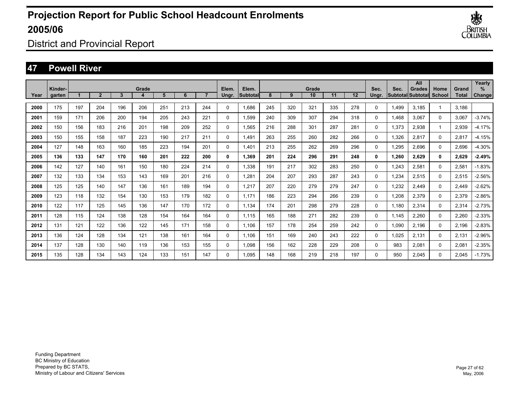

District and Provincial Report

### **47 Powell River**

|      |                   |     |                |     |       |     |     |     |                |                    |     |     |             |     |     |               |       | All                                       |                |                       | Yearly         |
|------|-------------------|-----|----------------|-----|-------|-----|-----|-----|----------------|--------------------|-----|-----|-------------|-----|-----|---------------|-------|-------------------------------------------|----------------|-----------------------|----------------|
| Year | Kinder-<br>garten |     | $\overline{2}$ | 3   | Grade | 5   | 6   |     | Elem.<br>Ungr. | Elem.<br>Subtotall | 8   | 9   | Grade<br>10 | 11  | 12  | Sec.<br>Unar. | Sec.  | <b>Grades</b><br><b>SubtotallSubtotal</b> | Home<br>School | Grand<br><b>Total</b> | $\%$<br>Change |
| 2000 | 175               | 197 | 204            | 196 | 206   | 251 | 213 | 244 | 0              | 1.686              | 245 | 320 | 321         | 335 | 278 | $\Omega$      | 1.499 | 3.185                                     |                | 3.186                 |                |
| 2001 | 159               | 171 | 206            | 200 | 194   | 205 | 243 | 221 | 0              | 1,599              | 240 | 309 | 307         | 294 | 318 | 0             | 1,468 | 3,067                                     | $\Omega$       | 3,067                 | $-3.74%$       |
| 2002 | 150               | 156 | 183            | 216 | 201   | 198 | 209 | 252 | 0              | 1,565              | 216 | 288 | 301         | 287 | 281 | 0             | 1,373 | 2,938                                     | 1              | 2,939                 | $-4.17%$       |
| 2003 | 150               | 155 | 158            | 187 | 223   | 190 | 217 | 211 | 0              | 1.491              | 263 | 255 | 260         | 282 | 266 | 0             | 1,326 | 2,817                                     | 0              | 2,817                 | $-4.15%$       |
| 2004 | 127               | 148 | 163            | 160 | 185   | 223 | 194 | 201 | 0              | 1.401              | 213 | 255 | 262         | 269 | 296 | 0             | 1,295 | 2,696                                     | 0              | 2,696                 | $-4.30%$       |
| 2005 | 136               | 133 | 147            | 170 | 160   | 201 | 222 | 200 | 0              | 1.369              | 201 | 224 | 296         | 291 | 248 | 0             | 1,260 | 2,629                                     | 0              | 2,629                 | $-2.49%$       |
| 2006 | 142               | 127 | 140            | 161 | 150   | 180 | 224 | 214 | 0              | 1.338              | 191 | 217 | 302         | 283 | 250 | 0             | 1,243 | 2,581                                     | $\Omega$       | 2,581                 | $-1.83%$       |
| 2007 | 132               | 133 | 134            | 153 | 143   | 169 | 201 | 216 | 0              | 1,281              | 204 | 207 | 293         | 287 | 243 | 0             | 1,234 | 2,515                                     | 0              | 2,515                 | $-2.56%$       |
| 2008 | 125               | 125 | 140            | 147 | 136   | 161 | 189 | 194 | 0              | 1,217              | 207 | 220 | 279         | 279 | 247 | 0             | 1,232 | 2,449                                     | 0              | 2,449                 | $-2.62%$       |
| 2009 | 123               | 118 | 132            | 154 | 130   | 153 | 179 | 182 | 0              | 1.171              | 186 | 223 | 294         | 266 | 239 | 0             | 1,208 | 2,379                                     | 0              | 2,379                 | $-2.86%$       |
| 2010 | 122               | 117 | 125            | 145 | 136   | 147 | 170 | 172 | 0              | 1,134              | 174 | 201 | 298         | 279 | 228 | 0             | 1,180 | 2,314                                     | 0              | 2,314                 | $-2.73%$       |
| 2011 | 128               | 115 | 124            | 138 | 128   | 154 | 164 | 164 | 0              | 1.115              | 165 | 188 | 271         | 282 | 239 | 0             | 1,145 | 2,260                                     | 0              | 2,260                 | $-2.33%$       |
| 2012 | 131               | 121 | 122            | 136 | 122   | 145 | 171 | 158 | 0              | 1.106              | 157 | 178 | 254         | 259 | 242 | 0             | 1,090 | 2,196                                     | 0              | 2,196                 | $-2.83%$       |
| 2013 | 136               | 124 | 128            | 134 | 121   | 138 | 161 | 164 | 0              | 1.106              | 151 | 169 | 240         | 243 | 222 | 0             | 1,025 | 2,131                                     | 0              | 2,131                 | $-2.96%$       |
| 2014 | 137               | 128 | 130            | 140 | 119   | 136 | 153 | 155 | 0              | 1.098              | 156 | 162 | 228         | 229 | 208 | 0             | 983   | 2,081                                     | 0              | 2,081                 | $-2.35%$       |
| 2015 | 135               | 128 | 134            | 143 | 124   | 133 | 151 | 147 | $\Omega$       | 1.095              | 148 | 168 | 219         | 218 | 197 | $\Omega$      | 950   | 2.045                                     | $\Omega$       | 2.045                 | $-1.73%$       |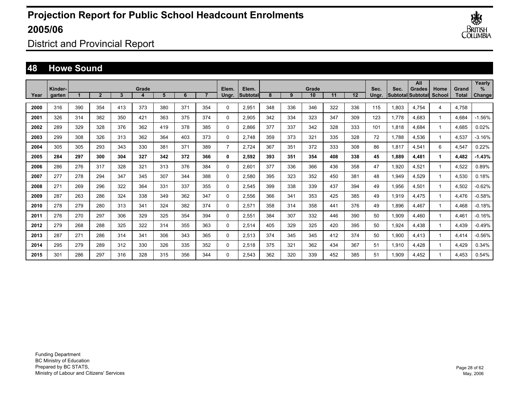

District and Provincial Report

### **48 Howe Sound**

|      |                   |     |                |     |       |     |     |     |                |                          |     |     |             |     |     |               |       | All                                       |                |                       | Yearly         |
|------|-------------------|-----|----------------|-----|-------|-----|-----|-----|----------------|--------------------------|-----|-----|-------------|-----|-----|---------------|-------|-------------------------------------------|----------------|-----------------------|----------------|
| Year | Kinder-<br>garten |     | $\overline{2}$ | 3   | Grade | 5   | 6   |     | Elem.<br>Unar. | Elem.<br><b>Subtotal</b> | 8   | 9   | Grade<br>10 | 11  | 12  | Sec.<br>Ungr. | Sec.  | <b>Grades</b><br><b>Subtotal Subtotal</b> | Home<br>School | Grand<br><b>Total</b> | $\%$<br>Change |
|      |                   |     |                |     |       |     |     |     |                |                          |     |     |             |     |     |               |       |                                           |                |                       |                |
| 2000 | 316               | 390 | 354            | 413 | 373   | 380 | 371 | 354 | $\Omega$       | 2,951                    | 348 | 336 | 346         | 322 | 336 | 115           | 1,803 | 4,754                                     | 4              | 4,758                 |                |
| 2001 | 326               | 314 | 382            | 350 | 421   | 363 | 375 | 374 | $\Omega$       | 2,905                    | 342 | 334 | 323         | 347 | 309 | 123           | 1,778 | 4,683                                     | -1             | 4,684                 | $-1.56%$       |
| 2002 | 289               | 329 | 328            | 376 | 362   | 419 | 378 | 385 | $\Omega$       | 2.866                    | 377 | 337 | 342         | 328 | 333 | 101           | 1.818 | 4.684                                     | $\overline{1}$ | 4,685                 | 0.02%          |
| 2003 | 299               | 308 | 326            | 313 | 362   | 364 | 403 | 373 | 0              | 2.748                    | 359 | 373 | 321         | 335 | 328 | 72            | 1.788 | 4,536                                     | $\mathbf 1$    | 4,537                 | $-3.16%$       |
| 2004 | 305               | 305 | 293            | 343 | 330   | 381 | 371 | 389 | $\overline{7}$ | 2.724                    | 367 | 351 | 372         | 333 | 308 | 86            | 1,817 | 4,541                                     | 6              | 4,547                 | 0.22%          |
| 2005 | 284               | 297 | 300            | 304 | 327   | 342 | 372 | 366 | 0              | 2,592                    | 393 | 351 | 354         | 408 | 338 | 45            | 1,889 | 4,481                                     | 1              | 4,482                 | $-1.43%$       |
| 2006 | 286               | 276 | 317            | 328 | 321   | 313 | 376 | 384 | 0              | 2,601                    | 377 | 336 | 366         | 436 | 358 | 47            | 1,920 | 4,521                                     | -1             | 4,522                 | 0.89%          |
| 2007 | 277               | 278 | 294            | 347 | 345   | 307 | 344 | 388 | 0              | 2,580                    | 395 | 323 | 352         | 450 | 381 | 48            | 1,949 | 4,529                                     | 1              | 4,530                 | 0.18%          |
| 2008 | 271               | 269 | 296            | 322 | 364   | 331 | 337 | 355 | 0              | 2,545                    | 399 | 338 | 339         | 437 | 394 | 49            | 1,956 | 4,501                                     | 1              | 4,502                 | $-0.62%$       |
| 2009 | 287               | 263 | 286            | 324 | 338   | 349 | 362 | 347 | $\Omega$       | 2,556                    | 366 | 341 | 353         | 425 | 385 | 49            | 1,919 | 4,475                                     | 1              | 4,476                 | $-0.58%$       |
| 2010 | 278               | 279 | 280            | 313 | 341   | 324 | 382 | 374 | 0              | 2,571                    | 358 | 314 | 358         | 441 | 376 | 49            | 1,896 | 4,467                                     | 1              | 4,468                 | $-0.18%$       |
| 2011 | 276               | 270 | 297            | 306 | 329   | 325 | 354 | 394 | 0              | 2,551                    | 384 | 307 | 332         | 446 | 390 | 50            | 1,909 | 4,460                                     |                | 4,461                 | $-0.16%$       |
| 2012 | 279               | 268 | 288            | 325 | 322   | 314 | 355 | 363 | 0              | 2,514                    | 405 | 329 | 325         | 420 | 395 | 50            | 1,924 | 4,438                                     |                | 4,439                 | $-0.49%$       |
| 2013 | 287               | 271 | 286            | 314 | 341   | 306 | 343 | 365 | 0              | 2,513                    | 374 | 345 | 345         | 412 | 374 | 50            | 1,900 | 4,413                                     |                | 4,414                 | $-0.56%$       |
| 2014 | 295               | 279 | 289            | 312 | 330   | 326 | 335 | 352 | 0              | 2,518                    | 375 | 321 | 362         | 434 | 367 | 51            | 1,910 | 4,428                                     |                | 4,429                 | 0.34%          |
| 2015 | 301               | 286 | 297            | 316 | 328   | 315 | 356 | 344 | $\Omega$       | 2.543                    | 362 | 320 | 339         | 452 | 385 | 51            | 1.909 | 4.452                                     |                | 4.453                 | 0.54%          |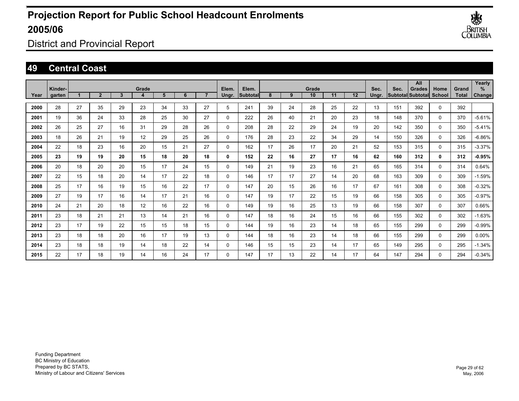

District and Provincial Report

### **49 Central Coast**

| Year | Kinder-<br><b>garten</b> |    | $\overline{2}$ | 3  | Grade<br>4 | 5  | 6  | $\overline{7}$ | Elem.<br>Ungr. | Elem.<br><b>Subtotal</b> | 8  | 9  | Grade<br>10 <sup>1</sup> | 11 | 12 | Sec.<br>Ungr. | Sec. | All<br><b>Grades</b><br><b>SubtotallSubtotal</b> | Home<br><b>School</b> | Grand<br>Total | Yearly<br>%<br>Change |
|------|--------------------------|----|----------------|----|------------|----|----|----------------|----------------|--------------------------|----|----|--------------------------|----|----|---------------|------|--------------------------------------------------|-----------------------|----------------|-----------------------|
| 2000 | 28                       | 27 | 35             | 29 | 23         | 34 | 33 | 27             | 5              | 241                      | 39 | 24 | 28                       | 25 | 22 | 13            | 151  | 392                                              | 0                     | 392            |                       |
| 2001 | 19                       | 36 | 24             | 33 | 28         | 25 | 30 | 27             | $\mathbf 0$    | 222                      | 26 | 40 | 21                       | 20 | 23 | 18            | 148  | 370                                              | $\Omega$              | 370            | $-5.61%$              |
| 2002 | 26                       | 25 | 27             | 16 | 31         | 29 | 28 | 26             | $\mathbf 0$    | 208                      | 28 | 22 | 29                       | 24 | 19 | 20            | 142  | 350                                              | 0                     | 350            | $-5.41%$              |
| 2003 | 18                       | 26 | 21             | 19 | 12         | 29 | 25 | 26             | $\mathbf 0$    | 176                      | 28 | 23 | 22                       | 34 | 29 | 14            | 150  | 326                                              | 0                     | 326            | $-6.86%$              |
| 2004 | 22                       | 18 | 23             | 16 | 20         | 15 | 21 | 27             | $\mathbf 0$    | 162                      | 17 | 26 | 17                       | 20 | 21 | 52            | 153  | 315                                              | 0                     | 315            | $-3.37%$              |
| 2005 | 23                       | 19 | 19             | 20 | 15         | 18 | 20 | 18             | 0              | 152                      | 22 | 16 | 27                       | 17 | 16 | 62            | 160  | 312                                              | 0                     | 312            | $-0.95%$              |
| 2006 | 20                       | 18 | 20             | 20 | 15         | 17 | 24 | 15             | $\Omega$       | 149                      | 21 | 19 | 23                       | 16 | 21 | 65            | 165  | 314                                              | $\Omega$              | 314            | 0.64%                 |
| 2007 | 22                       | 15 | 18             | 20 | 14         | 17 | 22 | 18             | $\Omega$       | 146                      | 17 | 17 | 27                       | 14 | 20 | 68            | 163  | 309                                              | $\Omega$              | 309            | $-1.59%$              |
| 2008 | 25                       | 17 | 16             | 19 | 15         | 16 | 22 | 17             | 0              | 147                      | 20 | 15 | 26                       | 16 | 17 | 67            | 161  | 308                                              | 0                     | 308            | $-0.32%$              |
| 2009 | 27                       | 19 | 17             | 16 | 14         | 17 | 21 | 16             | 0              | 147                      | 19 | 17 | 22                       | 15 | 19 | 66            | 158  | 305                                              | 0                     | 305            | $-0.97%$              |
| 2010 | 24                       | 21 | 20             | 18 | 12         | 16 | 22 | 16             | $\mathbf 0$    | 149                      | 19 | 16 | 25                       | 13 | 19 | 66            | 158  | 307                                              | 0                     | 307            | 0.66%                 |
| 2011 | 23                       | 18 | 21             | 21 | 13         | 14 | 21 | 16             | $\mathbf 0$    | 147                      | 18 | 16 | 24                       | 15 | 16 | 66            | 155  | 302                                              | 0                     | 302            | $-1.63%$              |
| 2012 | 23                       | 17 | 19             | 22 | 15         | 15 | 18 | 15             | $\mathbf 0$    | 144                      | 19 | 16 | 23                       | 14 | 18 | 65            | 155  | 299                                              | 0                     | 299            | $-0.99%$              |
| 2013 | 23                       | 18 | 18             | 20 | 16         | 17 | 19 | 13             | $\Omega$       | 144                      | 18 | 16 | 23                       | 14 | 18 | 66            | 155  | 299                                              | $\Omega$              | 299            | $0.00\%$              |
| 2014 | 23                       | 18 | 18             | 19 | 14         | 18 | 22 | 14             | 0              | 146                      | 15 | 15 | 23                       | 14 | 17 | 65            | 149  | 295                                              | 0                     | 295            | $-1.34%$              |
| 2015 | 22                       | 17 | 18             | 19 | 14         | 16 | 24 | 17             | $\Omega$       | 147                      | 17 | 13 | 22                       | 14 | 17 | 64            | 147  | 294                                              | $\Omega$              | 294            | $-0.34%$              |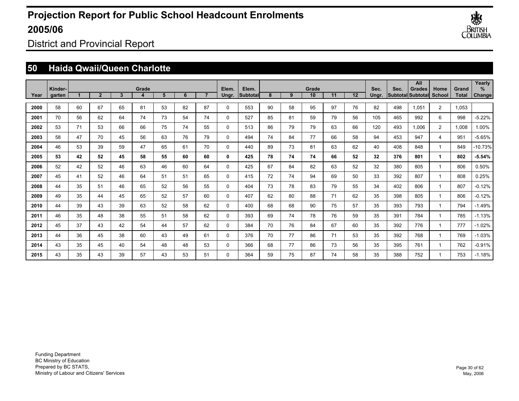

District and Provincial Report

## **50 Haida Qwaii/Queen Charlotte**

|      |                   |                      |                |              |            |    |    |                |                |                   |    |    |             |    |    |                 |      | All                                |                         |                | Yearly             |
|------|-------------------|----------------------|----------------|--------------|------------|----|----|----------------|----------------|-------------------|----|----|-------------|----|----|-----------------|------|------------------------------------|-------------------------|----------------|--------------------|
| Year | Kinder-<br>garten | $\blacktriangleleft$ | $\overline{2}$ | $\mathbf{3}$ | Grade<br>4 | 5  | 6  | $\overline{7}$ | Elem.<br>Ungr. | Elem.<br>Subtotal | 8  | 9  | Grade<br>10 | 11 | 12 | Sec.<br>Unar.   | Sec. | <b>Grades</b><br>Subtotal Subtotal | Home<br>School          | Grand<br>Total | %<br><b>Change</b> |
|      |                   |                      |                |              |            |    |    |                |                |                   |    |    |             |    |    |                 |      |                                    |                         |                |                    |
| 2000 | 58                | 60                   | 67             | 65           | 81         | 53 | 82 | 87             | $\mathbf{0}$   | 553               | 90 | 58 | 95          | 97 | 76 | 82              | 498  | 1.051                              | $\overline{2}$          | 1,053          |                    |
| 2001 | 70                | 56                   | 62             | 64           | 74         | 73 | 54 | 74             | $\mathbf{0}$   | 527               | 85 | 81 | 59          | 79 | 56 | 105             | 465  | 992                                | 6                       | 998            | $-5.22%$           |
| 2002 | 53                | 71                   | 53             | 66           | 66         | 75 | 74 | 55             | $\mathbf 0$    | 513               | 86 | 79 | 79          | 63 | 66 | 120             | 493  | 1.006                              | $\overline{2}$          | 1,008          | 1.00%              |
| 2003 | 58                | 47                   | 70             | 45           | 56         | 63 | 76 | 79             | $\mathbf{0}$   | 494               | 74 | 84 | 77          | 66 | 58 | 94              | 453  | 947                                | $\overline{4}$          | 951            | $-5.65%$           |
| 2004 | 46                | 53                   | 39             | 59           | 47         | 65 | 61 | 70             | $\Omega$       | 440               | 89 | 73 | 81          | 63 | 62 | 40              | 408  | 848                                | $\overline{ }$          | 849            | $-10.73%$          |
| 2005 | 53                | 42                   | 52             | 45           | 58         | 55 | 60 | 60             | 0              | 425               | 78 | 74 | 74          | 66 | 52 | 32 <sub>2</sub> | 376  | 801                                | 1                       | 802            | $-5.54%$           |
| 2006 | 52                | 42                   | 52             | 46           | 63         | 46 | 60 | 64             | 0              | 425               | 67 | 84 | 82          | 63 | 52 | 32              | 380  | 805                                | $\overline{\mathbf{1}}$ | 806            | 0.50%              |
| 2007 | 45                | 41                   | 52             | 46           | 64         | 51 | 51 | 65             | 0              | 415               | 72 | 74 | 94          | 69 | 50 | 33              | 392  | 807                                | $\overline{\mathbf{1}}$ | 808            | 0.25%              |
| 2008 | 44                | 35                   | 51             | 46           | 65         | 52 | 56 | 55             | 0              | 404               | 73 | 78 | 83          | 79 | 55 | 34              | 402  | 806                                | -1                      | 807            | $-0.12%$           |
| 2009 | 49                | 35                   | 44             | 45           | 65         | 52 | 57 | 60             | $\Omega$       | 407               | 62 | 80 | 88          | 71 | 62 | 35              | 398  | 805                                | 1                       | 806            | $-0.12%$           |
| 2010 | 44                | 39                   | 43             | 39           | 63         | 52 | 58 | 62             | $\Omega$       | 400               | 68 | 68 | 90          | 75 | 57 | 35              | 393  | 793                                | $\mathbf 1$             | 794            | $-1.49%$           |
| 2011 | 46                | 35                   | 48             | 38           | 55         | 51 | 58 | 62             | $\Omega$       | 393               | 69 | 74 | 78          | 76 | 59 | 35              | 391  | 784                                | $\mathbf 1$             | 785            | $-1.13%$           |
| 2012 | 45                | 37                   | 43             | 42           | 54         | 44 | 57 | 62             | 0              | 384               | 70 | 76 | 84          | 67 | 60 | 35              | 392  | 776                                | $\mathbf 1$             | 777            | $-1.02%$           |
| 2013 | 44                | 36                   | 45             | 38           | 60         | 43 | 49 | 61             | 0              | 376               | 70 | 77 | 86          | 71 | 53 | 35              | 392  | 768                                | $\mathbf 1$             | 769            | $-1.03%$           |
| 2014 | 43                | 35                   | 45             | 40           | 54         | 48 | 48 | 53             | 0              | 366               | 68 | 77 | 86          | 73 | 56 | 35              | 395  | 761                                | $\mathbf 1$             | 762            | $-0.91%$           |
| 2015 | 43                | 35                   | 43             | 39           | 57         | 43 | 53 | 51             | $\Omega$       | 364               | 59 | 75 | 87          | 74 | 58 | 35              | 388  | 752                                | 1                       | 753            | $-1.18%$           |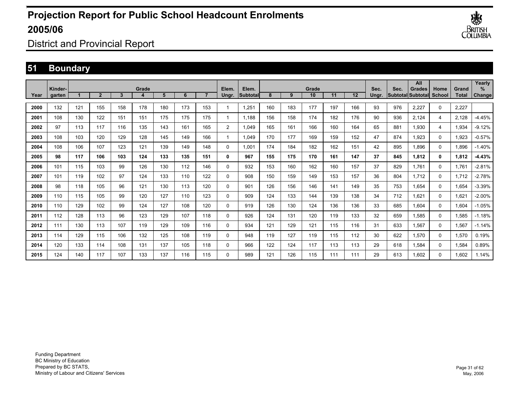

District and Provincial Report

### **51 Boundary**

|      | Kinder- |     |              |     | Grade |     |     |     | Elem.          | Elem.     |     |     | Grade |     |                   | Sec.  | Sec. | All<br><b>Grades</b>     | Home          | Grand | Yearly<br>$\%$ |
|------|---------|-----|--------------|-----|-------|-----|-----|-----|----------------|-----------|-----|-----|-------|-----|-------------------|-------|------|--------------------------|---------------|-------|----------------|
| Year | garten  |     | $\mathbf{2}$ | 3   |       | 5   | 6   |     | Ungr.          | lSubtotal | 8   | 9   | 10    | 11  | $12 \overline{ }$ | Unar. |      | <b>Subtotal Subtotal</b> | <b>School</b> | Total | Change         |
| 2000 | 132     | 121 | 155          | 158 | 178   | 180 | 173 | 153 | 1              | 1,251     | 160 | 183 | 177   | 197 | 166               | 93    | 976  | 2,227                    | 0             | 2,227 |                |
| 2001 | 108     | 130 | 122          | 151 | 151   | 175 | 175 | 175 | 1              | 1.188     | 156 | 158 | 174   | 182 | 176               | 90    | 936  | 2,124                    | 4             | 2,128 | $-4.45%$       |
| 2002 | 97      | 113 | 117          | 116 | 135   | 143 | 161 | 165 | $\overline{2}$ | 1.049     | 165 | 161 | 166   | 160 | 164               | 65    | 881  | 1.930                    | 4             | 1,934 | $-9.12%$       |
| 2003 | 108     | 103 | 120          | 129 | 128   | 145 | 149 | 166 | 1              | 1.049     | 170 | 177 | 169   | 159 | 152               | 47    | 874  | 1.923                    | 0             | 1,923 | $-0.57%$       |
| 2004 | 108     | 106 | 107          | 123 | 121   | 139 | 149 | 148 | 0              | 1.001     | 174 | 184 | 182   | 162 | 151               | 42    | 895  | 1.896                    | 0             | 1,896 | $-1.40%$       |
| 2005 | 98      | 117 | 106          | 103 | 124   | 133 | 135 | 151 | 0              | 967       | 155 | 175 | 170   | 161 | 147               | 37    | 845  | 1.812                    | 0             | 1,812 | $-4.43%$       |
| 2006 | 101     | 115 | 103          | 99  | 126   | 130 | 112 | 146 | 0              | 932       | 153 | 160 | 162   | 160 | 157               | 37    | 829  | 1.761                    | 0             | 1.761 | $-2.81%$       |
| 2007 | 101     | 119 | 102          | 97  | 124   | 133 | 110 | 122 | 0              | 908       | 150 | 159 | 149   | 153 | 157               | 36    | 804  | 1,712                    | 0             | 1,712 | $-2.78%$       |
| 2008 | 98      | 118 | 105          | 96  | 121   | 130 | 113 | 120 | 0              | 901       | 126 | 156 | 146   | 141 | 149               | 35    | 753  | 1,654                    | $\mathbf 0$   | 1,654 | $-3.39%$       |
| 2009 | 110     | 115 | 105          | 99  | 120   | 127 | 110 | 123 | 0              | 909       | 124 | 133 | 144   | 139 | 138               | 34    | 712  | 1,621                    | $\mathbf 0$   | 1,621 | $-2.00%$       |
| 2010 | 110     | 129 | 102          | 99  | 124   | 127 | 108 | 120 | 0              | 919       | 126 | 130 | 124   | 136 | 136               | 33    | 685  | 1,604                    | $\mathbf 0$   | 1,604 | $-1.05%$       |
| 2011 | 112     | 128 | 113          | 96  | 123   | 129 | 107 | 118 | 0              | 926       | 124 | 131 | 120   | 119 | 133               | 32    | 659  | 1,585                    | $\mathbf 0$   | 1,585 | $-1.18%$       |
| 2012 | 111     | 130 | 113          | 107 | 119   | 129 | 109 | 116 | 0              | 934       | 121 | 129 | 121   | 115 | 116               | 31    | 633  | 1,567                    | 0             | 1,567 | $-1.14%$       |
| 2013 | 114     | 129 | 115          | 106 | 132   | 125 | 108 | 119 | 0              | 948       | 119 | 127 | 119   | 115 | 112               | 30    | 622  | 1,570                    | 0             | 1,570 | 0.19%          |
| 2014 | 120     | 133 | 114          | 108 | 131   | 137 | 105 | 118 | 0              | 966       | 122 | 124 | 117   | 113 | 113               | 29    | 618  | 1,584                    | 0             | 1,584 | 0.89%          |
| 2015 | 124     | 140 | 117          | 107 | 133   | 137 | 116 | 115 | $\Omega$       | 989       | 121 | 126 | 115   | 111 | 111               | 29    | 613  | 1.602                    | $\Omega$      | 1.602 | 1.14%          |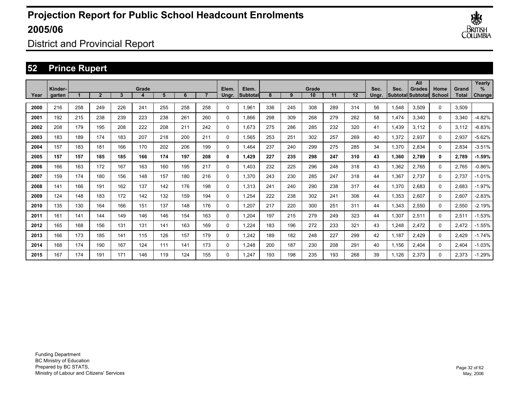

District and Provincial Report

## **52 Prince Rupert**

|      |                   |     |                |     |       |     |     |     |                |                    |     |     |             |     |     |               |       | All                                       |                |                       | Yearly         |
|------|-------------------|-----|----------------|-----|-------|-----|-----|-----|----------------|--------------------|-----|-----|-------------|-----|-----|---------------|-------|-------------------------------------------|----------------|-----------------------|----------------|
| Year | Kinder-<br>garten |     | $\overline{2}$ | 3   | Grade | 5   | 6   |     | Elem.<br>Ungr. | Elem.<br>Subtotall | 8   | 9   | Grade<br>10 | 11  | 12  | Sec.<br>Ungr. | Sec.  | <b>Grades</b><br><b>SubtotallSubtotal</b> | Home<br>School | Grand<br><b>Total</b> | $\%$<br>Change |
| 2000 | 216               | 258 | 249            | 226 | 241   | 255 | 258 | 258 | 0              | 1,961              | 336 | 245 | 308         | 289 | 314 | 56            | 1,548 | 3,509                                     | $\Omega$       | 3,509                 |                |
| 2001 | 192               | 215 | 238            | 239 | 223   | 238 | 261 | 260 | 0              | 1.866              | 298 | 309 | 268         | 279 | 262 | 58            | 1,474 | 3,340                                     | $\Omega$       | 3,340                 | $-4.82%$       |
| 2002 | 208               | 179 | 195            | 208 | 222   | 208 | 211 | 242 | 0              | 1,673              | 275 | 286 | 285         | 232 | 320 | 41            | 1,439 | 3,112                                     | 0              | 3,112                 | -6.83%         |
| 2003 | 183               | 189 | 174            | 183 | 207   | 218 | 200 | 211 | 0              | 1,565              | 253 | 251 | 302         | 257 | 269 | 40            | 1,372 | 2,937                                     | 0              | 2,937                 | $-5.62\%$      |
| 2004 | 157               | 183 | 181            | 166 | 170   | 202 | 206 | 199 | 0              | 1.464              | 237 | 240 | 299         | 275 | 285 | 34            | 1,370 | 2,834                                     | 0              | 2,834                 | $-3.51%$       |
| 2005 | 157               | 157 | 185            | 185 | 166   | 174 | 197 | 208 | 0              | 1.429              | 227 | 235 | 298         | 247 | 310 | 43            | 1,360 | 2,789                                     | 0              | 2,789                 | -1.59%         |
| 2006 | 166               | 163 | 172            | 167 | 163   | 160 | 195 | 217 | 0              | 1.403              | 232 | 225 | 296         | 248 | 318 | 43            | 1,362 | 2,765                                     | 0              | 2,765                 | $-0.86%$       |
| 2007 | 159               | 174 | 180            | 156 | 148   | 157 | 180 | 216 | 0              | 1,370              | 243 | 230 | 285         | 247 | 318 | 44            | 1,367 | 2,737                                     | 0              | 2,737                 | $-1.01%$       |
| 2008 | 141               | 166 | 191            | 162 | 137   | 142 | 176 | 198 | 0              | 1,313              | 241 | 240 | 290         | 238 | 317 | 44            | 1,370 | 2,683                                     | 0              | 2,683                 | $-1.97%$       |
| 2009 | 124               | 148 | 183            | 172 | 142   | 132 | 159 | 194 | 0              | 1,254              | 222 | 238 | 302         | 241 | 306 | 44            | 1,353 | 2,607                                     | 0              | 2,607                 | $-2.83%$       |
| 2010 | 135               | 130 | 164            | 166 | 151   | 137 | 148 | 176 | 0              | 1,207              | 217 | 220 | 300         | 251 | 311 | 44            | 1,343 | 2,550                                     | 0              | 2,550                 | $-2.19%$       |
| 2011 | 161               | 141 | 144            | 149 | 146   | 146 | 154 | 163 | 0              | 1,204              | 197 | 215 | 279         | 249 | 323 | 44            | 1,307 | 2,511                                     | 0              | 2,511                 | $-1.53%$       |
| 2012 | 165               | 168 | 156            | 131 | 131   | 141 | 163 | 169 | 0              | 1,224              | 183 | 196 | 272         | 233 | 321 | 43            | 1,248 | 2,472                                     | 0              | 2,472                 | $-1.55\%$      |
| 2013 | 166               | 173 | 185            | 141 | 115   | 126 | 157 | 179 | 0              | 1,242              | 189 | 182 | 248         | 227 | 299 | 42            | 1,187 | 2,429                                     | 0              | 2,429                 | $-1.74%$       |
| 2014 | 168               | 174 | 190            | 167 | 124   | 111 | 141 | 173 | 0              | 1,248              | 200 | 187 | 230         | 208 | 291 | 40            | 1.156 | 2,404                                     | 0              | 2,404                 | $-1.03%$       |
| 2015 | 167               | 174 | 191            | 171 | 146   | 119 | 124 | 155 | 0              | 1.247              | 193 | 198 | 235         | 193 | 268 | 39            | 1.126 | 2,373                                     | $\Omega$       | 2.373                 | $-1.29%$       |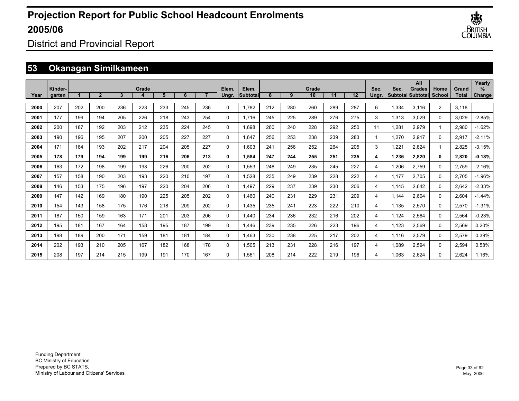

District and Provincial Report

## **53 Okanagan Similkameen**

|      | Kinder- |     |                |     | Grade |     |     |     | Elem.    | Elem.           |     |     | Grade |     |     | Sec.         | Sec.  | All<br><b>Grades</b>     | Home           | Grand        | Yearly<br>$\%$ |
|------|---------|-----|----------------|-----|-------|-----|-----|-----|----------|-----------------|-----|-----|-------|-----|-----|--------------|-------|--------------------------|----------------|--------------|----------------|
| Year | garten  |     | $\overline{2}$ | 3   |       | 5   | 6   |     | Ungr.    | <b>Subtotal</b> | 8   | 9   | 10    | 11  | 12  | Unar.        |       | <b>Subtotal Subtotal</b> | School         | <b>Total</b> | Change         |
| 2000 | 207     | 202 | 200            | 236 | 223   | 233 | 245 | 236 | 0        | 1.782           | 212 | 280 | 260   | 289 | 287 | 6            | 1,334 | 3,116                    | $\overline{2}$ | 3,118        |                |
| 2001 | 177     | 199 | 194            | 205 | 226   | 218 | 243 | 254 | $\Omega$ | 1.716           | 245 | 225 | 289   | 276 | 275 | 3            | 1,313 | 3,029                    | $\mathbf{0}$   | 3,029        | $-2.85%$       |
| 2002 | 200     | 187 | 192            | 203 | 212   | 235 | 224 | 245 | $\Omega$ | 1,698           | 260 | 240 | 228   | 292 | 250 | 11           | 1,281 | 2,979                    | $\mathbf 1$    | 2,980        | $-1.62%$       |
| 2003 | 190     | 196 | 195            | 207 | 200   | 205 | 227 | 227 | 0        | 1.647           | 256 | 253 | 238   | 239 | 283 | $\mathbf{1}$ | 1,270 | 2,917                    | $\mathbf 0$    | 2,917        | $-2.11%$       |
| 2004 | 171     | 184 | 193            | 202 | 217   | 204 | 205 | 227 | 0        | 1.603           | 241 | 256 | 252   | 264 | 205 | 3            | 1,221 | 2,824                    | $\mathbf 1$    | 2,825        | $-3.15%$       |
| 2005 | 178     | 179 | 194            | 199 | 199   | 216 | 206 | 213 | 0        | 1,584           | 247 | 244 | 255   | 251 | 235 | 4            | 1,236 | 2,820                    | 0              | 2,820        | $-0.18%$       |
| 2006 | 163     | 172 | 198            | 199 | 193   | 226 | 200 | 202 | 0        | 1,553           | 246 | 249 | 235   | 245 | 227 | 4            | 1,206 | 2,759                    | 0              | 2,759        | $-2.16%$       |
| 2007 | 157     | 158 | 190            | 203 | 193   | 220 | 210 | 197 | $\Omega$ | 1,528           | 235 | 249 | 239   | 228 | 222 | 4            | 1,177 | 2,705                    | $\mathbf{0}$   | 2,705        | $-1.96%$       |
| 2008 | 146     | 153 | 175            | 196 | 197   | 220 | 204 | 206 | 0        | 1,497           | 229 | 237 | 239   | 230 | 206 | 4            | 1.145 | 2,642                    | $\mathbf{0}$   | 2,642        | $-2.33%$       |
| 2009 | 147     | 142 | 169            | 180 | 190   | 225 | 205 | 202 | 0        | 1.460           | 240 | 231 | 229   | 231 | 209 | 4            | 1.144 | 2.604                    | 0              | 2,604        | $-1.44%$       |
| 2010 | 154     | 143 | 158            | 175 | 176   | 218 | 209 | 202 | 0        | 1,435           | 235 | 241 | 223   | 222 | 210 | 4            | 1.135 | 2,570                    | 0              | 2,570        | $-1.31%$       |
| 2011 | 187     | 150 | 159            | 163 | 171   | 201 | 203 | 206 | 0        | 1,440           | 234 | 236 | 232   | 216 | 202 | 4            | 1,124 | 2,564                    | 0              | 2,564        | $-0.23%$       |
| 2012 | 195     | 181 | 167            | 164 | 158   | 195 | 187 | 199 | $\Omega$ | 1,446           | 239 | 235 | 226   | 223 | 196 | 4            | 1,123 | 2,569                    | $\Omega$       | 2,569        | 0.20%          |
| 2013 | 198     | 189 | 200            | 171 | 159   | 181 | 181 | 184 | 0        | 1,463           | 230 | 238 | 225   | 217 | 202 | 4            | 1,116 | 2,579                    | 0              | 2,579        | 0.39%          |
| 2014 | 202     | 193 | 210            | 205 | 167   | 182 | 168 | 178 | 0        | 1,505           | 213 | 231 | 228   | 216 | 197 | 4            | 1,089 | 2,594                    | $\Omega$       | 2,594        | 0.58%          |
| 2015 | 208     | 197 | 214            | 215 | 199   | 191 | 170 | 167 | $\Omega$ | 1.561           | 208 | 214 | 222   | 219 | 196 | 4            | 1.063 | 2.624                    | $\Omega$       | 2.624        | 1.16%          |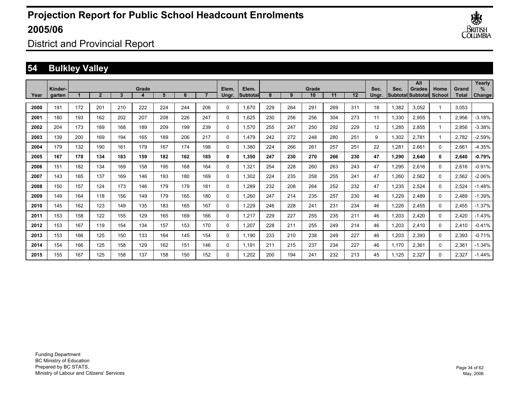

District and Provincial Report

## **54 Bulkley Valley**

|      | Kinder- |     |                |     | Grade |     |     |     | Elem.       | Elem.    |     |     | Grade |     |     | Sec.  | Sec.  | All<br><b>Grades</b>     | Home        | Grand        | Yearly<br>$\%$ |
|------|---------|-----|----------------|-----|-------|-----|-----|-----|-------------|----------|-----|-----|-------|-----|-----|-------|-------|--------------------------|-------------|--------------|----------------|
| Year | garten  |     | $\overline{2}$ | 3   |       | 5   | 6   |     | Ungr.       | Subtotal | 8   | 9   | 10    | 11  | 12  | Unar. |       | Subtotal Subtotal School |             | <b>Total</b> | Change         |
| 2000 | 191     | 172 | 201            | 210 | 222   | 224 | 244 | 206 | $\mathbf 0$ | 1,670    | 229 | 264 | 291   | 269 | 311 | 18    | 1,382 | 3,052                    |             | 3,053        |                |
| 2001 | 180     | 193 | 162            | 202 | 207   | 208 | 226 | 247 | $\mathbf 0$ | 1,625    | 230 | 256 | 256   | 304 | 273 | 11    | 1,330 | 2,955                    | -1          | 2,956        | $-3.18%$       |
| 2002 | 204     | 173 | 189            | 168 | 189   | 209 | 199 | 239 | $\mathbf 0$ | 1,570    | 255 | 247 | 250   | 292 | 229 | 12    | 1,285 | 2,855                    | $\mathbf 1$ | 2,856        | $-3.38%$       |
| 2003 | 139     | 200 | 169            | 194 | 165   | 189 | 206 | 217 | $\mathbf 0$ | 1,479    | 242 | 272 | 248   | 280 | 251 | 9     | 1,302 | 2,781                    | $\mathbf 1$ | 2,782        | $-2.59%$       |
| 2004 | 179     | 132 | 190            | 161 | 179   | 167 | 174 | 198 | $\mathbf 0$ | 1,380    | 224 | 266 | 261   | 257 | 251 | 22    | 1,281 | 2,661                    | 0           | 2,661        | $-4.35%$       |
| 2005 | 167     | 178 | 134            | 183 | 159   | 182 | 162 | 185 | 0           | 1,350    | 247 | 230 | 270   | 266 | 230 | 47    | 1,290 | 2,640                    | 0           | 2,640        | $-0.79%$       |
| 2006 | 151     | 182 | 134            | 169 | 158   | 195 | 168 | 164 | $\mathbf 0$ | 1,321    | 254 | 228 | 260   | 263 | 243 | 47    | 1,295 | 2,616                    | 0           | 2,616        | $-0.91%$       |
| 2007 | 143     | 165 | 137            | 169 | 146   | 193 | 180 | 169 | $\mathbf 0$ | 1,302    | 224 | 235 | 258   | 255 | 241 | 47    | 1,260 | 2,562                    | $\mathbf 0$ | 2,562        | $-2.06%$       |
| 2008 | 150     | 157 | 124            | 173 | 146   | 179 | 179 | 181 | $\mathbf 0$ | 1,289    | 232 | 208 | 264   | 252 | 232 | 47    | 1,235 | 2,524                    | $\mathbf 0$ | 2,524        | $-1.48%$       |
| 2009 | 149     | 164 | 118            | 156 | 149   | 179 | 165 | 180 | $\mathbf 0$ | 1,260    | 247 | 214 | 235   | 257 | 230 | 46    | 1,229 | 2,489                    | 0           | 2,489        | $-1.39%$       |
| 2010 | 145     | 162 | 123            | 149 | 135   | 183 | 165 | 167 | $\mathbf 0$ | 1,229    | 246 | 228 | 241   | 231 | 234 | 46    | 1,226 | 2,455                    | 0           | 2,455        | $-1.37%$       |
| 2011 | 153     | 158 | 122            | 155 | 129   | 165 | 169 | 166 | $\mathbf 0$ | 1,217    | 229 | 227 | 255   | 235 | 211 | 46    | 1,203 | 2,420                    | 0           | 2,420        | $-1.43%$       |
| 2012 | 153     | 167 | 119            | 154 | 134   | 157 | 153 | 170 | $\mathbf 0$ | 1,207    | 228 | 211 | 255   | 249 | 214 | 46    | 1,203 | 2,410                    | 0           | 2,410        | $-0.41%$       |
| 2013 | 153     | 166 | 125            | 150 | 133   | 164 | 145 | 154 | $\mathbf 0$ | 1,190    | 233 | 210 | 238   | 249 | 227 | 46    | 1,203 | 2,393                    | 0           | 2,393        | $-0.71%$       |
| 2014 | 154     | 166 | 125            | 158 | 129   | 162 | 151 | 146 | 0           | 1,191    | 211 | 215 | 237   | 234 | 227 | 46    | 1,170 | 2,361                    | 0           | 2,361        | $-1.34%$       |
| 2015 | 155     | 167 | 125            | 158 | 137   | 158 | 150 | 152 | 0           | 1,202    | 200 | 194 | 241   | 232 | 213 | 45    | 1,125 | 2,327                    | 0           | 2,327        | $-1.44%$       |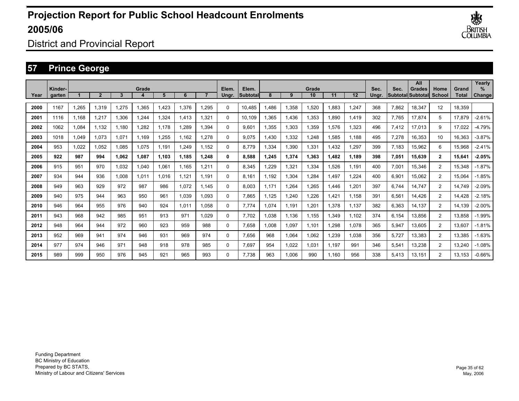

District and Provincial Report

## **57 Prince George**

|      | Kinder- |       |                |       | Grade |       |       |       | Elem. | Elem.            |       |       | Grade |       |                   | Sec.  | Sec.  | All<br><b>Grades</b> | Home           | Grand  | Yearly<br>$\%$ |
|------|---------|-------|----------------|-------|-------|-------|-------|-------|-------|------------------|-------|-------|-------|-------|-------------------|-------|-------|----------------------|----------------|--------|----------------|
| Year | garten  |       | $\overline{2}$ | 3     |       | 5     | 6     |       | Unar. | <b>ISubtotal</b> | 8     | 9     | 10    | 11    | $12 \overline{ }$ | Unar. |       | Subtotal Subtotal    | School         | Total  | Change         |
| 2000 | 1167    | 1.265 | 1.319          | 1.275 | 1,365 | ,423  | 1.376 | 1,295 | 0     | 10.485           | 1.486 | 1,358 | 1,520 | 1.883 | 1,247             | 368   | 7.862 | 18.347               | 12             | 18.359 |                |
| 2001 | 1116    | 1.168 | 1.217          | 1,306 | 1,244 | 324   | 1.413 | 1,321 | 0     | 10.109           | .365  | 1,436 | 1,353 | 890.  | 1,419             | 302   | 7.765 | 17,874               | 5              | 17,879 | $-2.61%$       |
| 2002 | 1062    | 1,084 | 1,132          | 1.180 | 1,282 | 1.178 | 1,289 | 1,394 | 0     | 9,601            | 1,355 | 1,303 | 1,359 | 1,576 | 1,323             | 496   | 7,412 | 17,013               | 9              | 17,022 | $-4.79%$       |
| 2003 | 1018    | 1,049 | 1,073          | 1.071 | 1.169 | ,255  | 1.162 | 1,278 | 0     | 9.075            | 1.430 | 1,332 | 1,248 | 1,585 | 1.188             | 495   | 7,278 | 16,353               | 10             | 16,363 | $-3.87%$       |
| 2004 | 953     | 1,022 | 1.052          | 1.085 | 1.075 | 1.191 | 1,249 | 1.152 | 0     | 8.779            | 1,334 | 1,390 | 1,331 | ,432  | 1,297             | 399   | 7.183 | 15,962               | 6              | 15,968 | $-2.41%$       |
| 2005 | 922     | 987   | 994            | 1.062 | 1,087 | 1.103 | 1.185 | 1,248 | 0     | 8.588            | 1.245 | 1,374 | 1.363 | 1.482 | 1.189             | 398   | 7,051 | 15,639               | $\mathbf{2}$   | 15,641 | $-2.05%$       |
| 2006 | 915     | 951   | 970            | 1.032 | 1,040 | .061  | 1.165 | 1,211 | 0     | 8.345            | .229  | 1,321 | 1,334 | .526  | 1.191             | 400   | 7,001 | 15,346               | $\overline{2}$ | 15,348 | $-1.87%$       |
| 2007 | 934     | 944   | 936            | 1.008 | 1.011 | 1.016 | 1.121 | 1.191 | 0     | 8.161            | 1.192 | 1,304 | 1,284 | .497  | 1.224             | 400   | 6,901 | 15,062               | $\overline{2}$ | 15,064 | $-1.85%$       |
| 2008 | 949     | 963   | 929            | 972   | 987   | 986   | 1.072 | 1.145 | 0     | 8.003            | 1.171 | 1,264 | 1,265 | .446  | 1,201             | 397   | 6.744 | 14.747               | $\overline{2}$ | 14.749 | $-2.09%$       |
| 2009 | 940     | 975   | 944            | 963   | 950   | 961   | 1,039 | 1,093 | 0     | 7,865            | 1.125 | 1,240 | 1,226 | .421  | 1.158             | 391   | 6,561 | 14,426               | $\overline{2}$ | 14.428 | $-2.18%$       |
| 2010 | 946     | 964   | 955            | 976   | 940   | 924   | 1.011 | 1,058 | 0     | 7.774            | 1.074 | 1,191 | 1,201 | 1,378 | 1.137             | 382   | 6,363 | 14,137               | $\overline{2}$ | 14.139 | $-2.00%$       |
| 2011 | 943     | 968   | 942            | 985   | 951   | 913   | 971   | 1.029 | 0     | 7.702            | 1,038 | 1.136 | 1,155 | 1,349 | 1.102             | 374   | 6,154 | 13,856               | $\overline{2}$ | 13,858 | $-1.99%$       |
| 2012 | 948     | 964   | 944            | 972   | 960   | 923   | 959   | 988   | 0     | 7,658            | 1.008 | 1,097 | 1,101 | ,298  | 1,078             | 365   | 5,947 | 13,605               | $\overline{2}$ | 13,607 | $-1.81%$       |
| 2013 | 952     | 969   | 941            | 974   | 946   | 931   | 969   | 974   | 0     | 7.656            | 968   | 1,064 | 1.062 | ,239  | 1.038             | 356   | 5.727 | 13,383               | $\overline{2}$ | 13,385 | $-1.63%$       |
| 2014 | 977     | 974   | 946            | 971   | 948   | 918   | 978   | 985   | 0     | 7.697            | 954   | 1,022 | 1.031 | 1.197 | 991               | 346   | 5,541 | 13,238               | $\overline{2}$ | 13,240 | $-1.08%$       |
| 2015 | 989     | 999   | 950            | 976   | 945   | 921   | 965   | 993   | 0     | 7.738            | 963   | 1.006 | 990   | 1.160 | 956               | 338   | 5.413 | 13.151               | $\overline{2}$ | 13,153 | $-0.66%$       |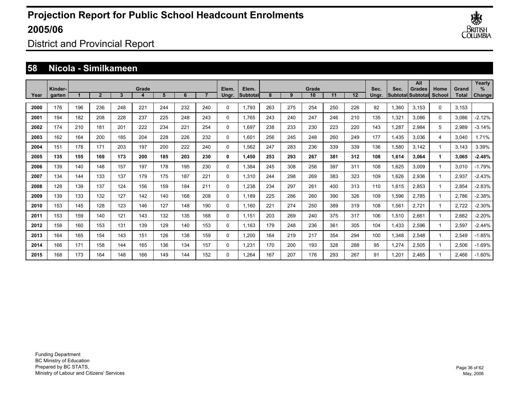

District and Provincial Report

#### **58 Nicola - Similkameen**

|      |                   |     |                |     |       |     |     |     |                |                   |     |     |             |     |     |               |       | All                                       |                |                | Yearly             |
|------|-------------------|-----|----------------|-----|-------|-----|-----|-----|----------------|-------------------|-----|-----|-------------|-----|-----|---------------|-------|-------------------------------------------|----------------|----------------|--------------------|
| Year | Kinder-<br>garten |     | $\overline{2}$ | 3   | Grade | 5   | 6   |     | Elem.<br>Ungr. | Elem.<br>Subtotal | 8   | 9   | Grade<br>10 | 11  | 12  | Sec.<br>Ungr. | Sec.  | <b>Grades</b><br><b>Subtotal Subtotal</b> | Home<br>School | Grand<br>Total | ℅<br><b>Change</b> |
|      |                   |     |                |     |       |     |     |     |                |                   |     |     |             |     |     |               |       |                                           |                |                |                    |
| 2000 | 176               | 196 | 236            | 248 | 221   | 244 | 232 | 240 | $\Omega$       | 1,793             | 263 | 275 | 254         | 250 | 226 | 92            | 1,360 | 3,153                                     | 0              | 3,153          |                    |
| 2001 | 194               | 182 | 208            | 228 | 237   | 225 | 248 | 243 | $\Omega$       | 1,765             | 243 | 240 | 247         | 246 | 210 | 135           | 1,321 | 3,086                                     | $\Omega$       | 3,086          | $-2.12%$           |
| 2002 | 174               | 210 | 181            | 201 | 222   | 234 | 221 | 254 | $\mathbf 0$    | 1,697             | 238 | 233 | 230         | 223 | 220 | 143           | 1,287 | 2.984                                     | 5              | 2,989          | $-3.14%$           |
| 2003 | 162               | 164 | 200            | 185 | 204   | 228 | 226 | 232 | $\mathbf 0$    | 1.601             | 256 | 245 | 248         | 260 | 249 | 177           | 1,435 | 3.036                                     | 4              | 3,040          | 1.71%              |
| 2004 | 151               | 178 | 171            | 203 | 197   | 200 | 222 | 240 | $\mathbf 0$    | 1,562             | 247 | 283 | 236         | 339 | 339 | 136           | 1,580 | 3.142                                     | 1              | 3,143          | 3.39%              |
| 2005 | 135               | 155 | 169            | 173 | 200   | 185 | 203 | 230 | 0              | 1,450             | 253 | 293 | 267         | 381 | 312 | 108           | 1,614 | 3,064                                     |                | 3,065          | $-2.48%$           |
| 2006 | 139               | 140 | 148            | 157 | 197   | 178 | 195 | 230 | $\mathbf 0$    | 1,384             | 245 | 308 | 256         | 397 | 311 | 108           | 1,625 | 3,009                                     | 1              | 3,010          | $-1.79%$           |
| 2007 | 134               | 144 | 133            | 137 | 179   | 175 | 187 | 221 | 0              | 1,310             | 244 | 298 | 269         | 383 | 323 | 109           | 1,626 | 2,936                                     | 1              | 2,937          | $-2.43%$           |
| 2008 | 128               | 139 | 137            | 124 | 156   | 159 | 184 | 211 | 0              | 1,238             | 234 | 297 | 261         | 400 | 313 | 110           | 1,615 | 2,853                                     | $\overline{1}$ | 2,854          | $-2.83%$           |
| 2009 | 139               | 133 | 132            | 127 | 142   | 140 | 168 | 208 | $\mathbf 0$    | 1,189             | 225 | 286 | 260         | 390 | 326 | 109           | 1,596 | 2,785                                     | 1              | 2,786          | $-2.38%$           |
| 2010 | 153               | 145 | 128            | 123 | 146   | 127 | 148 | 190 | 0              | 1,160             | 221 | 274 | 250         | 389 | 319 | 108           | 1,561 | 2,721                                     | 1              | 2,722          | $-2.30%$           |
| 2011 | 153               | 159 | 140            | 121 | 143   | 132 | 135 | 168 | 0              | 1,151             | 203 | 269 | 240         | 375 | 317 | 106           | 1,510 | 2,661                                     | 1              | 2,662          | $-2.20%$           |
| 2012 | 158               | 160 | 153            | 131 | 139   | 129 | 140 | 153 | 0              | 1,163             | 179 | 248 | 236         | 361 | 305 | 104           | 1,433 | 2,596                                     | 1              | 2,597          | $-2.44%$           |
| 2013 | 164               | 165 | 154            | 143 | 151   | 126 | 138 | 159 | 0              | 1,200             | 164 | 219 | 217         | 354 | 294 | 100           | 1,348 | 2,548                                     | 1              | 2,549          | $-1.85%$           |
| 2014 | 166               | 171 | 158            | 144 | 165   | 136 | 134 | 157 | 0              | 1,231             | 170 | 200 | 193         | 328 | 288 | 95            | 1,274 | 2,505                                     | 1              | 2,506          | $-1.69%$           |
| 2015 | 168               | 173 | 164            | 148 | 166   | 149 | 144 | 152 | $\Omega$       | 1.264             | 167 | 207 | 176         | 293 | 267 | 91            | 1.201 | 2.465                                     | 1              | 2,466          | $-1.60%$           |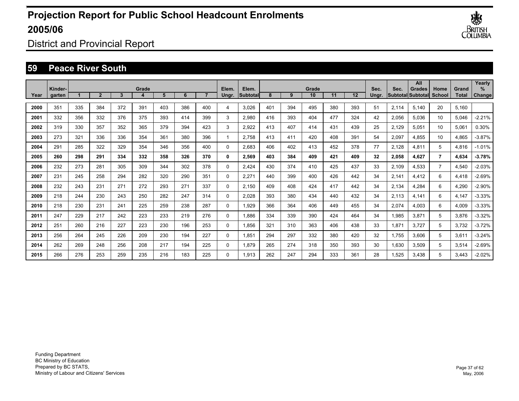

District and Provincial Report

#### **59 Peace River South**

|      |                   |     |                |     |       |     |     |     |                |                    |     |     |             |     |     |               |       | All                                        |                |                       | Yearly         |
|------|-------------------|-----|----------------|-----|-------|-----|-----|-----|----------------|--------------------|-----|-----|-------------|-----|-----|---------------|-------|--------------------------------------------|----------------|-----------------------|----------------|
| Year | Kinder-<br>garten |     | $\overline{2}$ | 3   | Grade | 5   | 6   |     | Elem.<br>Ungr. | Elem.<br>Subtotall | 8   | 9   | Grade<br>10 | 11  | 12  | Sec.<br>Ungr. | Sec.  | <b>Grades</b><br><b>Subtotal Subtotall</b> | Home<br>School | Grand<br><b>Total</b> | $\%$<br>Change |
|      |                   |     |                |     |       |     |     |     |                |                    |     |     |             |     |     |               |       |                                            |                |                       |                |
| 2000 | 351               | 335 | 384            | 372 | 391   | 403 | 386 | 400 | 4              | 3.026              | 401 | 394 | 495         | 380 | 393 | 51            | 2,114 | 5.140                                      | 20             | 5.160                 |                |
| 2001 | 332               | 356 | 332            | 376 | 375   | 393 | 414 | 399 | 3              | 2,980              | 416 | 393 | 404         | 477 | 324 | 42            | 2,056 | 5,036                                      | 10             | 5,046                 | $-2.21%$       |
| 2002 | 319               | 330 | 357            | 352 | 365   | 379 | 394 | 423 | 3              | 2,922              | 413 | 407 | 414         | 431 | 439 | 25            | 2,129 | 5,051                                      | 10             | 5,061                 | 0.30%          |
| 2003 | 273               | 321 | 336            | 336 | 354   | 361 | 380 | 396 | 1              | 2.758              | 413 | 411 | 420         | 408 | 391 | 54            | 2,097 | 4,855                                      | 10             | 4,865                 | $-3.87%$       |
| 2004 | 291               | 285 | 322            | 329 | 354   | 346 | 356 | 400 | 0              | 2.683              | 406 | 402 | 413         | 452 | 378 | 77            | 2,128 | 4,811                                      | 5              | 4,816                 | $-1.01%$       |
| 2005 | 260               | 298 | 291            | 334 | 332   | 358 | 326 | 370 | 0              | 2,569              | 403 | 384 | 409         | 421 | 409 | 32            | 2,058 | 4.627                                      | $\overline{7}$ | 4,634                 | $-3.78%$       |
| 2006 | 232               | 273 | 281            | 305 | 309   | 344 | 302 | 378 | 0              | 2,424              | 430 | 374 | 410         | 425 | 437 | 33            | 2,109 | 4,533                                      | $\overline{7}$ | 4,540                 | $-2.03%$       |
| 2007 | 231               | 245 | 258            | 294 | 282   | 320 | 290 | 351 | 0              | 2,271              | 440 | 399 | 400         | 426 | 442 | 34            | 2,141 | 4,412                                      | 6              | 4,418                 | $-2.69%$       |
| 2008 | 232               | 243 | 231            | 271 | 272   | 293 | 271 | 337 | 0              | 2,150              | 409 | 408 | 424         | 417 | 442 | 34            | 2,134 | 4,284                                      | 6              | 4,290                 | $-2.90%$       |
| 2009 | 218               | 244 | 230            | 243 | 250   | 282 | 247 | 314 | 0              | 2,028              | 393 | 380 | 434         | 440 | 432 | 34            | 2,113 | 4,141                                      | 6              | 4,147                 | $-3.33%$       |
| 2010 | 218               | 230 | 231            | 241 | 225   | 259 | 238 | 287 | 0              | 1,929              | 366 | 364 | 406         | 449 | 455 | 34            | 2,074 | 4,003                                      | 6              | 4,009                 | $-3.33%$       |
| 2011 | 247               | 229 | 217            | 242 | 223   | 233 | 219 | 276 | 0              | 1.886              | 334 | 339 | 390         | 424 | 464 | 34            | 1,985 | 3,871                                      | 5              | 3,876                 | $-3.32\%$      |
| 2012 | 251               | 260 | 216            | 227 | 223   | 230 | 196 | 253 | 0              | 1.856              | 321 | 310 | 363         | 406 | 438 | 33            | 1,871 | 3,727                                      | 5              | 3,732                 | $-3.72\%$      |
| 2013 | 256               | 264 | 245            | 226 | 209   | 230 | 194 | 227 | 0              | 1.851              | 294 | 297 | 332         | 380 | 420 | 32            | 1,755 | 3.606                                      | 5              | 3,611                 | $-3.24%$       |
| 2014 | 262               | 269 | 248            | 256 | 208   | 217 | 194 | 225 | 0              | 1.879              | 265 | 274 | 318         | 350 | 393 | 30            | 1,630 | 3,509                                      | 5              | 3,514                 | $-2.69%$       |
| 2015 | 266               | 276 | 253            | 259 | 235   | 216 | 183 | 225 | $\Omega$       | 1.913              | 262 | 247 | 294         | 333 | 361 | 28            | 1.525 | 3.438                                      | 5              | 3.443                 | $-2.02%$       |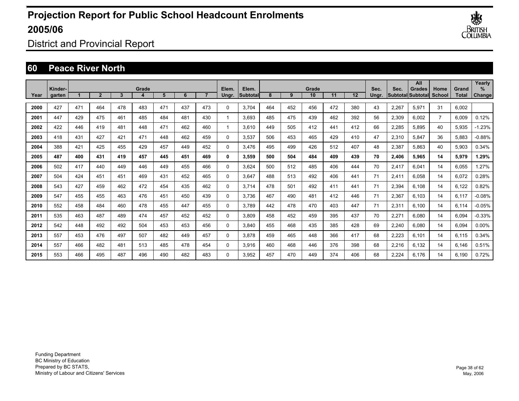

District and Provincial Report

### **60 Peace River North**

|      |                   |     |                |     |       |     |     |     |                |                     |     |     |             |     |     |               |       | All                                 |                |                | Yearly             |
|------|-------------------|-----|----------------|-----|-------|-----|-----|-----|----------------|---------------------|-----|-----|-------------|-----|-----|---------------|-------|-------------------------------------|----------------|----------------|--------------------|
| Year | Kinder-<br>garten |     | $\overline{2}$ | 3   | Grade | 5   | 6   |     | Elem.<br>Ungr. | Elem.<br>lSubtotall | 8   | 9   | Grade<br>10 | 11  | 12  | Sec.<br>Ungr. | Sec.  | <b>Grades</b><br> Subtotal Subtotal | Home<br>School | Grand<br>Total | %<br><b>Change</b> |
|      |                   |     |                |     |       |     |     |     |                |                     |     |     |             |     |     |               |       |                                     |                |                |                    |
| 2000 | 427               | 471 | 464            | 478 | 483   | 471 | 437 | 473 | $\Omega$       | 3,704               | 464 | 452 | 456         | 472 | 380 | 43            | 2,267 | 5,971                               | 31             | 6,002          |                    |
| 2001 | 447               | 429 | 475            | 461 | 485   | 484 | 481 | 430 | $\mathbf{1}$   | 3,693               | 485 | 475 | 439         | 462 | 392 | 56            | 2,309 | 6,002                               | $\overline{7}$ | 6,009          | 0.12%              |
| 2002 | 422               | 446 | 419            | 481 | 448   | 471 | 462 | 460 | $\overline{1}$ | 3.610               | 449 | 505 | 412         | 441 | 412 | 66            | 2,285 | 5.895                               | 40             | 5,935          | $-1.23%$           |
| 2003 | 418               | 431 | 427            | 421 | 471   | 448 | 462 | 459 | $\Omega$       | 3,537               | 506 | 453 | 465         | 429 | 410 | 47            | 2,310 | 5.847                               | 36             | 5,883          | $-0.88%$           |
| 2004 | 388               | 421 | 425            | 455 | 429   | 457 | 449 | 452 | $\mathbf 0$    | 3.476               | 495 | 499 | 426         | 512 | 407 | 48            | 2,387 | 5.863                               | 40             | 5,903          | 0.34%              |
| 2005 | 487               | 400 | 431            | 419 | 457   | 445 | 451 | 469 | 0              | 3,559               | 500 | 504 | 484         | 409 | 439 | 70            | 2,406 | 5,965                               | 14             | 5,979          | 1.29%              |
| 2006 | 502               | 417 | 440            | 449 | 446   | 449 | 455 | 466 | 0              | 3.624               | 500 | 512 | 485         | 406 | 444 | 70            | 2,417 | 6.041                               | 14             | 6,055          | 1.27%              |
| 2007 | 504               | 424 | 451            | 451 | 469   | 431 | 452 | 465 | 0              | 3.647               | 488 | 513 | 492         | 406 | 441 | 71            | 2,411 | 6.058                               | 14             | 6,072          | 0.28%              |
| 2008 | 543               | 427 | 459            | 462 | 472   | 454 | 435 | 462 | 0              | 3.714               | 478 | 501 | 492         | 411 | 441 | 71            | 2,394 | 6.108                               | 14             | 6,122          | 0.82%              |
| 2009 | 547               | 455 | 455            | 463 | 476   | 451 | 450 | 439 | $\Omega$       | 3.736               | 467 | 490 | 481         | 412 | 446 | 71            | 2,367 | 6.103                               | 14             | 6,117          | $-0.08%$           |
| 2010 | 552               | 458 | 484            | 460 | 478   | 455 | 447 | 455 | $\Omega$       | 3,789               | 442 | 478 | 470         | 403 | 447 | 71            | 2,311 | 6,100                               | 14             | 6,114          | $-0.05%$           |
| 2011 | 535               | 463 | 487            | 489 | 474   | 457 | 452 | 452 | 0              | 3,809               | 458 | 452 | 459         | 395 | 437 | 70            | 2,271 | 6,080                               | 14             | 6,094          | $-0.33%$           |
| 2012 | 542               | 448 | 492            | 492 | 504   | 453 | 453 | 456 | $\Omega$       | 3,840               | 455 | 468 | 435         | 385 | 428 | 69            | 2,240 | 6,080                               | 14             | 6,094          | 0.00%              |
| 2013 | 557               | 453 | 476            | 497 | 507   | 482 | 449 | 457 | $\Omega$       | 3,878               | 459 | 465 | 448         | 366 | 417 | 68            | 2,223 | 6,101                               | 14             | 6,115          | 0.34%              |
| 2014 | 557               | 466 | 482            | 481 | 513   | 485 | 478 | 454 | $\Omega$       | 3,916               | 460 | 468 | 446         | 376 | 398 | 68            | 2,216 | 6.132                               | 14             | 6.146          | 0.51%              |
| 2015 | 553               | 466 | 495            | 487 | 496   | 490 | 482 | 483 | $\Omega$       | 3.952               | 457 | 470 | 449         | 374 | 406 | 68            | 2,224 | 6.176                               | 14             | 6.190          | 0.72%              |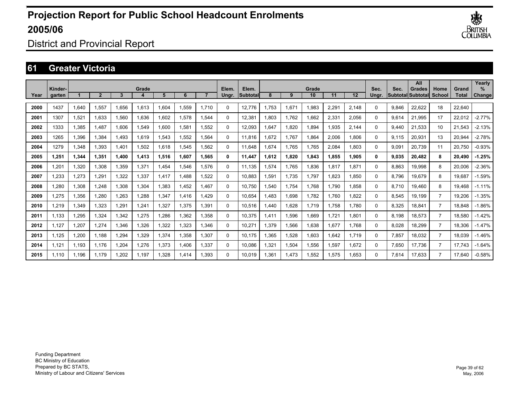

District and Provincial Report

### **61 Greater Victoria**

|      | Kinder- |       |                |       | Grade |       |             |       | Elem.    | Elem.           |           |       | Grade |       |       | Sec.     | Sec.  | All<br><b>Grades</b>     | Home           | Grand        | Yearly<br>$\%$ |
|------|---------|-------|----------------|-------|-------|-------|-------------|-------|----------|-----------------|-----------|-------|-------|-------|-------|----------|-------|--------------------------|----------------|--------------|----------------|
| Year | garten  |       | $\overline{2}$ | 3     |       | 5     | 6           |       | Unar.    | <b>Subtotal</b> | 8         | 9     | 10    | 11    | 12    | Unar.    |       | <b>Subtotal Subtotal</b> | School         | <b>Total</b> | Change         |
| 2000 | 1437    | 1,640 | 1,557          | 1,656 | 1,613 | 1,604 | 1,559       | 1.710 | $\Omega$ | 12,776          | .753      | 1,671 | 1,983 | 2,291 | 2,148 | 0        | 9,846 | 22,622                   | 18             | 22,640       |                |
| 2001 | 1307    | 1,521 | 1,633          | 1,560 | 1,636 | 1,602 | 1,578       | 1.544 | $\Omega$ | 12,381          | ,803      | 1,762 | 1,662 | 2,331 | 2,056 | $\Omega$ | 9,614 | 21,995                   | 17             | 22,012       | $-2.77%$       |
| 2002 | 1333    | 1,385 | 1,487          | 1,606 | 1,549 | 1,600 | 1,581       | 1.552 | $\Omega$ | 12,093          | .647      | 1,820 | 1,894 | 1,935 | 2,144 | 0        | 9,440 | 21,533                   | 10             | 21,543       | $-2.13%$       |
| 2003 | 1265    | 1,396 | 1.384          | 1,493 | 1,619 | 1,543 | 1,552       | 1.564 | $\Omega$ | 11.816          | .672      | 1,767 | 1,864 | 2,006 | 1.806 | $\Omega$ | 9,115 | 20,931                   | 13             | 20,944       | $-2.78%$       |
| 2004 | 1279    | 1,348 | 1.393          | 1.401 | 1,502 | 1,618 | 1,545       | 1.562 | 0        | 11.648          | .674      | 1.765 | 1,765 | 2,084 | 1.803 | $\Omega$ | 9,091 | 20,739                   | 11             | 20,750       | $-0.93%$       |
| 2005 | 1.251   | 1,344 | 1.351          | 1.400 | 1,413 | 1,516 | 1.607       | 1.565 | 0        | 11,447          | .612<br>1 | 1,820 | 1,843 | 1.855 | 1,905 | $\bf{0}$ | 9,035 | 20.482                   | 8              | 20,490       | $-1.25%$       |
| 2006 | 1.201   | 1,320 | 1.308          | 1,359 | 1,371 | 1,454 | 1.546       | 1.576 | $\Omega$ | 11,135          | .574      | 1.765 | 1,836 | 1,817 | 1.871 | 0        | 8,863 | 19,998                   | 8              | 20,006       | $-2.36%$       |
| 2007 | 1.233   | 1,273 | 1,291          | 1.322 | 1,337 | 1,417 | .488        | 1.522 | 0        | 10,883          | .591      | 1.735 | 1,797 | 1.823 | 1.850 | $\Omega$ | 8,796 | 19.679                   | 8              | 19.687       | $-1.59%$       |
| 2008 | .280    | 1,308 | 1.248          | 1,308 | 1,304 | 1,383 | <b>.452</b> | 1.467 | 0        | 10,750          | .540      | 1.754 | 1,768 | 1.790 | 1.858 | 0        | 8.710 | 19.460                   | 8              | 19.468       | $-1.11%$       |
| 2009 | .275    | 1,356 | 1,280          | ,263  | 1,288 | 1.347 | 1.416       | 1.429 | $\Omega$ | 10,654          | .483      | 1,698 | 1,782 | 1.760 | 1.822 | 0        | 8,545 | 19.199                   | $\overline{7}$ | 19.206       | $-1.35%$       |
| 2010 | .219    | 1,349 | 1.323          | .291  | 1,241 | 1,327 | 1.375       | 1.391 | $\Omega$ | 10.516          | .440      | 1.628 | 1.719 | 1.758 | 1.780 | $\Omega$ | 8,325 | 18.841                   | $\overline{7}$ | 18.848       | $-1.86%$       |
| 2011 | 1,133   | 1,295 | 1,324          | 1,342 | 1,275 | 1,286 | 1,362       | 1,358 | $\Omega$ | 10,375          | ,411      | 1,596 | 1,669 | 1,721 | 1,801 | 0        | 8,198 | 18,573                   | $\overline{7}$ | 18,580       | $-1.42%$       |
| 2012 | 1,127   | 1,207 | 1,274          | .346  | 1,326 | 1,322 | 1,323       | 1.346 | $\Omega$ | 10,271          | .379      | 1,566 | 1,638 | 1,677 | 1.768 | 0        | 8,028 | 18,299                   | $\overline{7}$ | 18,306       | $-1.47%$       |
| 2013 | 1,125   | 1,200 | 1,188          | .294  | 1,329 | 1,374 | 1,358       | 1.307 | $\Omega$ | 10,175          | .365      | 1,528 | 1,603 | 1,642 | 1.719 | $\Omega$ | 7,857 | 18,032                   | $\overline{7}$ | 18,039       | $-1.46%$       |
| 2014 | 1,121   | 1,193 | 1.176          | 1,204 | 1,276 | 1,373 | A06,        | 1,337 | $\Omega$ | 10,086          | ,321      | 1,504 | 1,556 | 1,597 | 1,672 | 0        | 7,650 | 17,736                   | $\overline{7}$ | 17,743       | $-1.64%$       |
| 2015 | 1.110   | 1,196 | 1.179          | .202  | 1,197 | 1,328 | 1,414       | 1.393 | $\Omega$ | 10.019          | ,361      | 1,473 | 1,552 | 1,575 | 1.653 | 0        | 7,614 | 17,633                   | $\overline{7}$ | 17.640       | $-0.58%$       |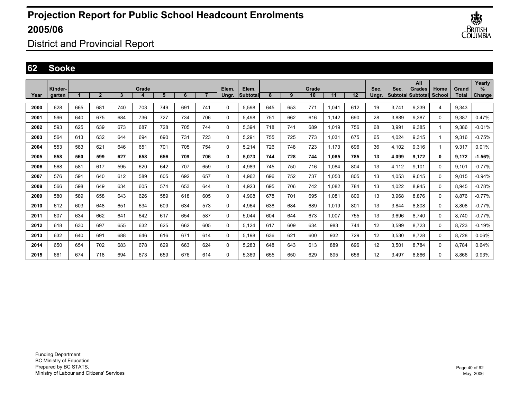

District and Provincial Report

### **62 Sooke**

|      | Kinder- |     |                |     | Grade |     |     |                | Elem.       | Elem.      |     |     | Grade |       |     | Sec.  | Sec.  | All<br><b>Grades</b>     | Home          | Grand | Yearly<br>$\%$ |
|------|---------|-----|----------------|-----|-------|-----|-----|----------------|-------------|------------|-----|-----|-------|-------|-----|-------|-------|--------------------------|---------------|-------|----------------|
| Year | aarten  |     | $\overline{2}$ | 3   | 4     | 5   | 6   | $\overline{7}$ | Unar.       | lSubtotall | 8   | 9   | 10    | 11    | 12  | Ungr. |       | <b>Subtotal Subtotal</b> | <b>School</b> | Total | Change         |
| 2000 | 628     | 665 | 681            | 740 | 703   | 749 | 691 | 741            | $\Omega$    | 5.598      | 645 | 653 | 771   | 1.041 | 612 | 19    | 3.741 | 9.339                    | 4             | 9.343 |                |
| 2001 | 596     | 640 | 675            | 684 | 736   | 727 | 734 | 706            | $\mathbf 0$ | 5.498      | 751 | 662 | 616   | 1,142 | 690 | 28    | 3,889 | 9,387                    | $\Omega$      | 9,387 | 0.47%          |
| 2002 | 593     | 625 | 639            | 673 | 687   | 728 | 705 | 744            | 0           | 5.394      | 718 | 741 | 689   | 1.019 | 756 | 68    | 3,991 | 9.385                    |               | 9.386 | $-0.01%$       |
| 2003 | 564     | 613 | 632            | 644 | 694   | 690 | 731 | 723            | 0           | 5.291      | 755 | 725 | 773   | 1.031 | 675 | 65    | 4.024 | 9.315                    |               | 9.316 | $-0.75%$       |
| 2004 | 553     | 583 | 621            | 646 | 651   | 701 | 705 | 754            | 0           | 5,214      | 726 | 748 | 723   | 1.173 | 696 | 36    | 4.102 | 9,316                    |               | 9,317 | 0.01%          |
| 2005 | 558     | 560 | 599            | 627 | 658   | 656 | 709 | 706            | 0           | 5.073      | 744 | 728 | 744   | 1.085 | 785 | 13    | 4,099 | 9,172                    | 0             | 9,172 | $-1.56%$       |
| 2006 | 568     | 581 | 617            | 595 | 620   | 642 | 707 | 659            | 0           | 4,989      | 745 | 750 | 716   | 1,084 | 804 | 13    | 4,112 | 9,101                    | 0             | 9,101 | $-0.77%$       |
| 2007 | 576     | 591 | 640            | 612 | 589   | 605 | 692 | 657            | 0           | 4,962      | 696 | 752 | 737   | 1,050 | 805 | 13    | 4,053 | 9,015                    | $\Omega$      | 9,015 | $-0.94%$       |
| 2008 | 566     | 598 | 649            | 634 | 605   | 574 | 653 | 644            | 0           | 4.923      | 695 | 706 | 742   | 1.082 | 784 | 13    | 4,022 | 8.945                    | 0             | 8.945 | $-0.78%$       |
| 2009 | 580     | 589 | 658            | 643 | 626   | 589 | 618 | 605            | 0           | 4,908      | 678 | 701 | 695   | 1,081 | 800 | 13    | 3,968 | 8,876                    | 0             | 8,876 | $-0.77%$       |
| 2010 | 612     | 603 | 648            | 651 | 634   | 609 | 634 | 573            | 0           | 4.964      | 638 | 684 | 689   | 1,019 | 801 | 13    | 3.844 | 8.808                    | 0             | 8,808 | $-0.77%$       |
| 2011 | 607     | 634 | 662            | 641 | 642   | 617 | 654 | 587            | 0           | 5.044      | 604 | 644 | 673   | 1.007 | 755 | 13    | 3.696 | 8.740                    | 0             | 8.740 | $-0.77%$       |
| 2012 | 618     | 630 | 697            | 655 | 632   | 625 | 662 | 605            | $\mathbf 0$ | 5,124      | 617 | 609 | 634   | 983   | 744 | 12    | 3,599 | 8,723                    | $\mathbf 0$   | 8,723 | $-0.19%$       |
| 2013 | 632     | 640 | 691            | 688 | 646   | 616 | 671 | 614            | $\mathbf 0$ | 5,198      | 636 | 621 | 600   | 932   | 729 | 12    | 3,530 | 8,728                    | $\mathbf 0$   | 8,728 | 0.06%          |
| 2014 | 650     | 654 | 702            | 683 | 678   | 629 | 663 | 624            | 0           | 5,283      | 648 | 643 | 613   | 889   | 696 | 12    | 3,501 | 8.784                    | 0             | 8,784 | 0.64%          |
| 2015 | 661     | 674 | 718            | 694 | 673   | 659 | 676 | 614            | 0           | 5.369      | 655 | 650 | 629   | 895   | 656 | 12    | 3.497 | 8.866                    | 0             | 8,866 | 0.93%          |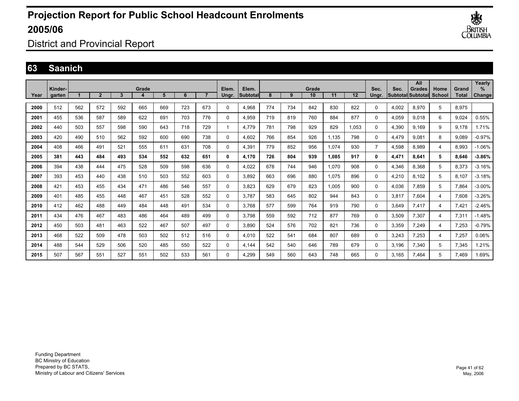

District and Provincial Report

### **63 Saanich**

|      | Kinder- |     |                |     | Grade |     |     |     | Elem.    | Elem.    |     |     | Grade |       |       | Sec.           | Sec.  | All<br><b>Grades</b>     | Home          | Grand        | Yearly<br>$\%$ |
|------|---------|-----|----------------|-----|-------|-----|-----|-----|----------|----------|-----|-----|-------|-------|-------|----------------|-------|--------------------------|---------------|--------------|----------------|
| Year | garten  |     | $\overline{2}$ | 3   |       | 5   | 6   |     | Ungr.    | Subtotal | 8   | 9   | 10    | 11    | 12    | Unar.          |       | <b>Subtotal Subtotal</b> | <b>School</b> | <b>Total</b> | Change         |
| 2000 | 512     | 562 | 572            | 592 | 665   | 669 | 723 | 673 | $\Omega$ | 4,968    | 774 | 734 | 842   | 830   | 822   | 0              | 4,002 | 8,970                    | 5             | 8,975        |                |
| 2001 | 455     | 536 | 587            | 589 | 622   | 691 | 703 | 776 | $\Omega$ | 4,959    | 719 | 819 | 760   | 884   | 877   | 0              | 4,059 | 9.018                    | 6             | 9,024        | 0.55%          |
| 2002 | 440     | 503 | 557            | 598 | 590   | 643 | 718 | 729 | 1        | 4.779    | 781 | 798 | 929   | 829   | 1,053 | 0              | 4,390 | 9.169                    | 9             | 9,178        | 1.71%          |
| 2003 | 420     | 490 | 510            | 562 | 592   | 600 | 690 | 738 | $\Omega$ | 4,602    | 766 | 854 | 926   | 1,135 | 798   | 0              | 4,479 | 9.081                    | 8             | 9,089        | $-0.97%$       |
| 2004 | 408     | 466 | 491            | 521 | 555   | 611 | 631 | 708 | 0        | 4,391    | 779 | 852 | 956   | 1,074 | 930   | $\overline{7}$ | 4,598 | 8,989                    | 4             | 8,993        | $-1.06%$       |
| 2005 | 381     | 443 | 484            | 493 | 534   | 552 | 632 | 651 | 0        | 4,170    | 726 | 804 | 939   | 1,085 | 917   | 0              | 4,471 | 8,641                    | 5             | 8,646        | $-3.86%$       |
| 2006 | 394     | 438 | 444            | 475 | 528   | 509 | 598 | 636 | $\Omega$ | 4,022    | 678 | 744 | 946   | 1,070 | 908   | 0              | 4,346 | 8,368                    | 5             | 8,373        | $-3.16%$       |
| 2007 | 393     | 453 | 440            | 438 | 510   | 503 | 552 | 603 | $\Omega$ | 3.892    | 663 | 696 | 880   | 1,075 | 896   | 0              | 4,210 | 8,102                    | 5             | 8,107        | $-3.18%$       |
| 2008 | 421     | 453 | 455            | 434 | 471   | 486 | 546 | 557 | 0        | 3,823    | 629 | 679 | 823   | 1,005 | 900   | 0              | 4,036 | 7,859                    | 5             | 7,864        | $-3.00\%$      |
| 2009 | 401     | 485 | 455            | 448 | 467   | 451 | 528 | 552 | $\Omega$ | 3.787    | 583 | 645 | 802   | 944   | 843   | 0              | 3,817 | 7,604                    | 4             | 7,608        | $-3.26%$       |
| 2010 | 412     | 462 | 488            | 449 | 484   | 448 | 491 | 534 | $\Omega$ | 3,768    | 577 | 599 | 764   | 919   | 790   | 0              | 3,649 | 7,417                    | 4             | 7,421        | $-2.46%$       |
| 2011 | 434     | 476 | 467            | 483 | 486   | 464 | 489 | 499 | 0        | 3,798    | 559 | 592 | 712   | 877   | 769   | 0              | 3,509 | 7,307                    | 4             | 7,311        | $-1.48%$       |
| 2012 | 450     | 503 | 481            | 463 | 522   | 467 | 507 | 497 | 0        | 3,890    | 524 | 576 | 702   | 821   | 736   | 0              | 3,359 | 7.249                    | 4             | 7,253        | $-0.79%$       |
| 2013 | 468     | 522 | 509            | 478 | 503   | 502 | 512 | 516 | $\Omega$ | 4,010    | 522 | 541 | 684   | 807   | 689   | 0              | 3,243 | 7,253                    | 4             | 7,257        | 0.06%          |
| 2014 | 488     | 544 | 529            | 506 | 520   | 485 | 550 | 522 | $\Omega$ | 4.144    | 542 | 540 | 646   | 789   | 679   | 0              | 3.196 | 7,340                    | 5             | 7,345        | .21%           |
| 2015 | 507     | 567 | 551            | 527 | 551   | 502 | 533 | 561 | 0        | 4.299    | 549 | 560 | 643   | 748   | 665   | 0              | 3.165 | 7.464                    | 5             | 7,469        | .69%           |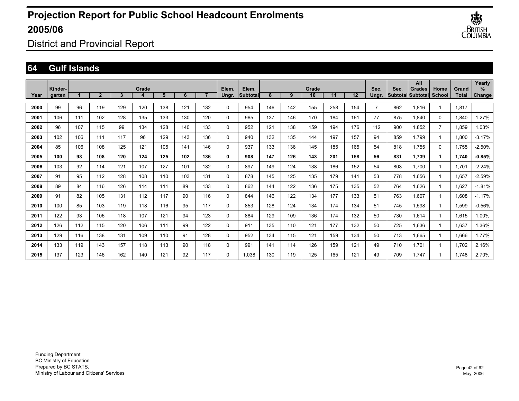

District and Provincial Report

#### **64 Gulf Islands**

|      | Kinder- |     |                |     | Grade |     |     |                | Elem.        | Elem.           |     |     | Grade |     |         | Sec.  | Sec. | All<br><b>Grades</b>     | Home           | Grand        | Yearly<br>$\%$ |
|------|---------|-----|----------------|-----|-------|-----|-----|----------------|--------------|-----------------|-----|-----|-------|-----|---------|-------|------|--------------------------|----------------|--------------|----------------|
| Year | aarten  |     | $\overline{2}$ | 3   | 4     | 5   | 6   | $\overline{ }$ | Ungr.        | <b>Subtotal</b> | 8   | 9   | 10    | 11  | $12 \,$ | Unar. |      | <b>Subtotal Subtotal</b> | School         | <b>Total</b> | Change         |
| 2000 | 99      | 96  | 119            | 129 | 120   | 138 | 121 | 132            | $\mathbf{0}$ | 954             | 146 | 142 | 155   | 258 | 154     | 7     | 862  | 1,816                    |                | 1,817        |                |
| 2001 | 106     | 111 | 102            | 128 | 135   | 133 | 130 | 120            | 0            | 965             | 137 | 146 | 170   | 184 | 161     | 77    | 875  | 1,840                    | $\mathbf 0$    | 1,840        | .27%           |
| 2002 | 96      | 107 | 115            | 99  | 134   | 128 | 140 | 133            | 0            | 952             | 121 | 138 | 159   | 194 | 176     | 112   | 900  | 1,852                    | $\overline{7}$ | 1,859        | 1.03%          |
| 2003 | 102     | 106 | 111            | 117 | 96    | 129 | 143 | 136            | 0            | 940             | 132 | 135 | 144   | 197 | 157     | 94    | 859  | 1.799                    |                | 1.800        | $-3.17%$       |
| 2004 | 85      | 106 | 108            | 125 | 121   | 105 | 141 | 146            | 0            | 937             | 133 | 136 | 145   | 185 | 165     | 54    | 818  | 1.755                    | 0              | 1.755        | $-2.50%$       |
| 2005 | 100     | 93  | 108            | 120 | 124   | 125 | 102 | 136            | 0            | 908             | 147 | 126 | 143   | 201 | 158     | 56    | 831  | 1.739                    | 1              | 1,740        | $-0.85%$       |
| 2006 | 103     | 92  | 114            | 121 | 107   | 127 | 101 | 132            | 0            | 897             | 149 | 124 | 138   | 186 | 152     | 54    | 803  | 1.700                    |                | 1,701        | $-2.24%$       |
| 2007 | 91      | 95  | 112            | 128 | 108   | 110 | 103 | 131            | $\mathbf{0}$ | 878             | 145 | 125 | 135   | 179 | 141     | 53    | 778  | 1,656                    |                | 1,657        | $-2.59%$       |
| 2008 | 89      | 84  | 116            | 126 | 114   | 111 | 89  | 133            | 0            | 862             | 144 | 122 | 136   | 175 | 135     | 52    | 764  | 1.626                    |                | 1.627        | $-1.81%$       |
| 2009 | 91      | 82  | 105            | 131 | 112   | 117 | 90  | 116            | 0            | 844             | 146 | 122 | 134   | 177 | 133     | 51    | 763  | 1,607                    |                | 1.608        | $-1.17%$       |
| 2010 | 100     | 85  | 103            | 119 | 118   | 116 | 95  | 117            | 0            | 853             | 128 | 124 | 134   | 174 | 134     | 51    | 745  | 1,598                    |                | 1,599        | $-0.56%$       |
| 2011 | 122     | 93  | 106            | 118 | 107   | 121 | 94  | 123            | 0            | 884             | 129 | 109 | 136   | 174 | 132     | 50    | 730  | 1,614                    |                | 1,615        | 1.00%          |
| 2012 | 126     | 112 | 115            | 120 | 106   | 111 | 99  | 122            | 0            | 911             | 135 | 110 | 121   | 177 | 132     | 50    | 725  | 1,636                    |                | 1,637        | 1.36%          |
| 2013 | 129     | 116 | 138            | 131 | 109   | 110 | 91  | 128            | 0            | 952             | 134 | 115 | 121   | 159 | 134     | 50    | 713  | 1,665                    |                | 1,666        | 1.77%          |
| 2014 | 133     | 119 | 143            | 157 | 118   | 113 | 90  | 118            | 0            | 991             | 141 | 114 | 126   | 159 | 121     | 49    | 710  | 1.701                    |                | 1,702        | 2.16%          |
| 2015 | 137     | 123 | 146            | 162 | 140   | 121 | 92  | 117            | $\mathbf{0}$ | 1.038           | 130 | 119 | 125   | 165 | 121     | 49    | 709  | 1.747                    |                | 1.748        | 2.70%          |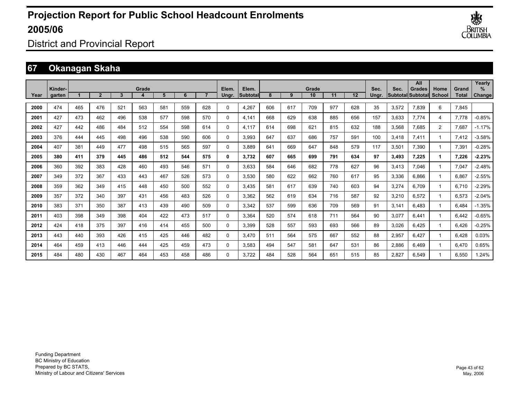

District and Provincial Report

## **67 Okanagan Skaha**

|      | Kinder- |     |              |     | Grade |     |     |     | Elem.    | Elem.    |     |     | Grade |     |                   | Sec.  | Sec.  | All<br><b>Grades</b>     | Home           | Grand | Yearly<br>$\%$ |
|------|---------|-----|--------------|-----|-------|-----|-----|-----|----------|----------|-----|-----|-------|-----|-------------------|-------|-------|--------------------------|----------------|-------|----------------|
| Year | garten  |     | $\mathbf{2}$ | 3   |       | 5   | 6   |     | Ungr.    | Subtotal | 8   | 9   | 10    | 11  | $12 \overline{ }$ | Unar. |       | <b>SubtotallSubtotal</b> | <b>School</b>  | Total | Change         |
| 2000 | 474     | 465 | 476          | 521 | 563   | 581 | 559 | 628 | 0        | 4,267    | 606 | 617 | 709   | 977 | 628               | 35    | 3,572 | 7.839                    | 6              | 7,845 |                |
| 2001 | 427     | 473 | 462          | 496 | 538   | 577 | 598 | 570 | 0        | 4.141    | 668 | 629 | 638   | 885 | 656               | 157   | 3.633 | 7.774                    | $\overline{4}$ | 7,778 | $-0.85%$       |
| 2002 | 427     | 442 | 486          | 484 | 512   | 554 | 598 | 614 | $\Omega$ | 4.117    | 614 | 698 | 621   | 815 | 632               | 188   | 3,568 | 7,685                    | $\overline{2}$ | 7,687 | $-1.17%$       |
| 2003 | 376     | 444 | 445          | 498 | 496   | 538 | 590 | 606 | $\Omega$ | 3,993    | 647 | 637 | 686   | 757 | 591               | 100   | 3,418 | 7,411                    |                | 7,412 | $-3.58%$       |
| 2004 | 407     | 381 | 449          | 477 | 498   | 515 | 565 | 597 | 0        | 3,889    | 641 | 669 | 647   | 848 | 579               | 117   | 3,501 | 7,390                    |                | 7,391 | $-0.28%$       |
| 2005 | 380     | 411 | 379          | 445 | 486   | 512 | 544 | 575 | 0        | 3,732    | 607 | 665 | 699   | 791 | 634               | 97    | 3,493 | 7,225                    | 1              | 7,226 | $-2.23%$       |
| 2006 | 360     | 392 | 383          | 428 | 460   | 493 | 546 | 571 | 0        | 3,633    | 584 | 646 | 682   | 778 | 627               | 96    | 3,413 | 7.046                    |                | 7,047 | $-2.48%$       |
| 2007 | 349     | 372 | 367          | 433 | 443   | 467 | 526 | 573 | 0        | 3,530    | 580 | 622 | 662   | 760 | 617               | 95    | 3,336 | 6.866                    |                | 6,867 | $-2.55%$       |
| 2008 | 359     | 362 | 349          | 415 | 448   | 450 | 500 | 552 | 0        | 3,435    | 581 | 617 | 639   | 740 | 603               | 94    | 3,274 | 6,709                    |                | 6,710 | $-2.29%$       |
| 2009 | 357     | 372 | 340          | 397 | 431   | 456 | 483 | 526 | $\Omega$ | 3,362    | 562 | 619 | 634   | 716 | 587               | 92    | 3,210 | 6,572                    |                | 6,573 | $-2.04%$       |
| 2010 | 383     | 371 | 350          | 387 | 413   | 439 | 490 | 509 | 0        | 3,342    | 537 | 599 | 636   | 709 | 569               | 91    | 3.141 | 6,483                    |                | 6,484 | $-1.35%$       |
| 2011 | 403     | 398 | 349          | 398 | 404   | 422 | 473 | 517 | 0        | 3,364    | 520 | 574 | 618   | 711 | 564               | 90    | 3,077 | 6.441                    |                | 6,442 | $-0.65%$       |
| 2012 | 424     | 418 | 375          | 397 | 416   | 414 | 455 | 500 | 0        | 3.399    | 528 | 557 | 593   | 693 | 566               | 89    | 3,026 | 6.425                    |                | 6,426 | $-0.25%$       |
| 2013 | 443     | 440 | 393          | 426 | 415   | 425 | 446 | 482 | $\Omega$ | 3.470    | 511 | 564 | 575   | 667 | 552               | 88    | 2,957 | 6.427                    |                | 6.428 | 0.03%          |
| 2014 | 464     | 459 | 413          | 446 | 444   | 425 | 459 | 473 | $\Omega$ | 3,583    | 494 | 547 | 581   | 647 | 531               | 86    | 2,886 | 6,469                    |                | 6,470 | 0.65%          |
| 2015 | 484     | 480 | 430          | 467 | 464   | 453 | 458 | 486 | $\Omega$ | 3,722    | 484 | 528 | 564   | 651 | 515               | 85    | 2,827 | 6,549                    |                | 6,550 | 1.24%          |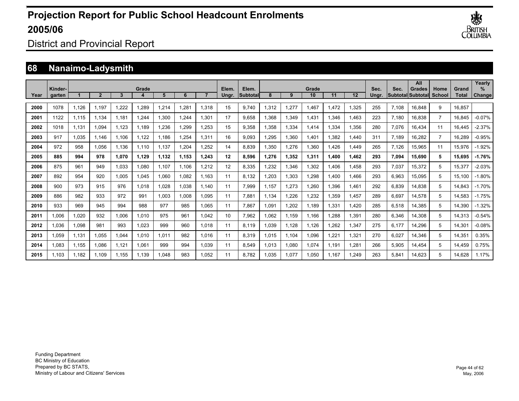

District and Provincial Report

## **68 Nanaimo-Ladysmith**

|      |                   |       |       |       |       |       |       |       |                |                          |       |       |             |       |       |               |       | All                                        |                |                       | Yearly              |
|------|-------------------|-------|-------|-------|-------|-------|-------|-------|----------------|--------------------------|-------|-------|-------------|-------|-------|---------------|-------|--------------------------------------------|----------------|-----------------------|---------------------|
| Year | Kinder-<br>garten |       |       | 3     | Grade | 5     | 6     |       | Elem.<br>Unar. | Elem.<br><b>Subtotal</b> | 8     | 9     | Grade<br>10 | 11    | 12    | Sec.<br>Unar. | Sec.  | <b>Grades</b><br><b>SubtotallSubtotall</b> | Home<br>School | Grand<br><b>Total</b> | %<br><b>Change!</b> |
| 2000 | 1078              | 1.126 | 1.197 | 1.222 | 1,289 | 1,214 | 1.281 | 1.318 | 15             | 9.740                    | 1,312 | 1,277 | 1,467       | 1.472 | 1,325 | 255           | 7.108 | 16,848                                     | 9              | 16.857                |                     |
|      |                   |       |       |       |       |       |       |       |                |                          |       |       |             |       |       |               |       |                                            |                |                       |                     |
| 2001 | 1122              | 1,115 | 1.134 | 1.181 | 1.244 | 1,300 | 1.244 | 1.301 | 17             | 9.658                    | .368  | 1,349 | 1,431       | 1.346 | 1,463 | 223           | 7.180 | 16,838                                     | $\overline{7}$ | 16.845                | $-0.07%$            |
| 2002 | 1018              | 1.131 | 1.094 | 1.123 | 1.189 | 1,236 | 1.299 | 1.253 | 15             | 9.358                    | .358  | 1,334 | 1.414       | 1.334 | 1.356 | 280           | 7.076 | 16.434                                     | 11             | 16.445                | $-2.37%$            |
| 2003 | 917               | 1.035 | 1.146 | 1.106 | 1.122 | 1.186 | 1.254 | 1.311 | 16             | 9.093                    | .295  | 1,360 | 1.401       | 1.382 | 1,440 | 311           | 7.189 | 16,282                                     | $\overline{7}$ | 16,289                | $-0.95%$            |
| 2004 | 972               | 958   | 1,056 | 1,136 | 1,110 | 1,137 | 1,204 | 1,252 | 14             | 8,839                    | .350  | 1,276 | 1,360       | ,426  | 1,449 | 265           | 7,126 | 15,965                                     | 11             | 15,976                | $-1.92%$            |
| 2005 | 885               | 994   | 978   | 1,070 | 1,129 | 1,132 | 1,153 | 1,243 | 12             | 8,596                    | .276  | 1,352 | 1,311       | 1,400 | 1,462 | 293           | 7,094 | 15,690                                     | 5              | 15,695                | $-1.76%$            |
| 2006 | 875               | 961   | 949   | 1,033 | 1,080 | 1,107 | 1.106 | 1,212 | 12             | 8,335                    | ,232  | 1,346 | 1,302       | .406  | 1,458 | 293           | 7,037 | 15,372                                     | 5              | 15,377                | $-2.03%$            |
| 2007 | 892               | 954   | 920   | 1,005 | 1,045 | 1,060 | 1,082 | 1.163 | 11             | 8,132                    | ,203  | 1,303 | 1,298       | .400  | 1,466 | 293           | 6,963 | 15,095                                     | 5              | 15,100                | $-1.80%$            |
| 2008 | 900               | 973   | 915   | 976   | 1,018 | 1,028 | 1,038 | 1.140 | 11             | 7,999                    | 1,157 | 1,273 | 1,260       | 1,396 | 1,461 | 292           | 6,839 | 14,838                                     | 5              | 14,843                | $-1.70%$            |
| 2009 | 886               | 982   | 933   | 972   | 991   | 1,003 | 1,008 | 1.095 | 11             | 7,881                    | 1.134 | 1,226 | 1,232       | 1,359 | 1,457 | 289           | 6,697 | 14,578                                     | 5              | 14,583                | $-1.75%$            |
| 2010 | 933               | 969   | 945   | 994   | 988   | 977   | 985   | 1.065 | 11             | 7,867                    | .091  | 1,202 | 1.189       | 1,331 | 1,420 | 285           | 6,518 | 14,385                                     | 5              | 14,390                | $-1.32%$            |
| 2011 | 1,006             | 1,020 | 932   | 1,006 | 1,010 | 975   | 961   | 1.042 | 10             | 7,962                    | .062  | 1,159 | 1.166       | .288  | 1,391 | 280           | 6,346 | 14,308                                     | 5              | 14,313                | $-0.54%$            |
| 2012 | 1,036             | 1,098 | 981   | 993   | 1,023 | 999   | 960   | 1.018 | 11             | 8.119                    | ,039  | 1,128 | 1,126       | .262  | 1,347 | 275           | 6,177 | 14,296                                     | 5              | 14,301                | $-0.08%$            |
| 2013 | 1,059             | 1,131 | 1.055 | 1,044 | 1,010 | 1.011 | 982   | 1.016 | 11             | 8,319                    | .015  | 1,104 | 1,096       | .221  | 1,321 | 270           | 6,027 | 14,346                                     | 5              | 14,351                | 0.35%               |
| 2014 | 1,083             | 1,155 | 1.086 | 1,121 | 1,061 | 999   | 994   | 1.039 | 11             | 8,549                    | .013  | 1,080 | 1,074       | 1.191 | 1,281 | 266           | 5,905 | 14,454                                     | 5              | 14,459                | 0.75%               |
| 2015 | 1.103             | 1.182 | 1.109 | 1.155 | 1.139 | 1.048 | 983   | 1.052 | 11             | 8.782                    | .035  | 1,077 | 1.050       | 1.167 | 1.249 | 263           | 5,841 | 14,623                                     | 5              | 14.628                | 1.17%               |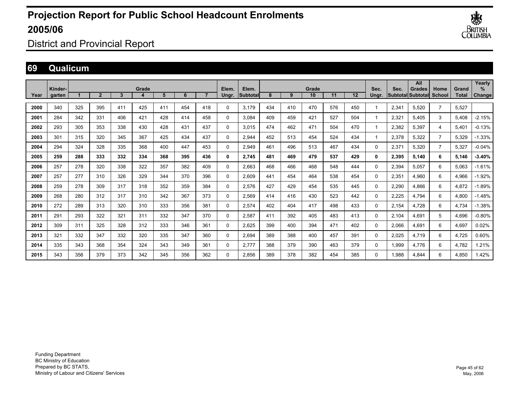

District and Provincial Report

### **69 Qualicum**

|      |                   |     |                |     |       |     |     |                |                |                           |     |     |             |     |     |               |       | All                         |                       |                       | Yearly         |
|------|-------------------|-----|----------------|-----|-------|-----|-----|----------------|----------------|---------------------------|-----|-----|-------------|-----|-----|---------------|-------|-----------------------------|-----------------------|-----------------------|----------------|
| Year | Kinder-<br>garten |     | $\overline{2}$ | 3   | Grade | 5   | 6   | $\overline{7}$ | Elem.<br>Ungr. | Elem.<br><b>Subtotall</b> | 8   | 9   | Grade<br>10 | 11  | 12  | Sec.<br>Ungr. | Sec.  | Grades<br>Subtotal Subtotal | Home<br><b>School</b> | Grand<br><b>Total</b> | $\%$<br>Change |
|      |                   |     |                |     |       |     |     |                |                |                           |     |     |             |     |     |               |       |                             |                       |                       |                |
| 2000 | 340               | 325 | 395            | 411 | 425   | 411 | 454 | 418            | 0              | 3.179                     | 434 | 410 | 470         | 576 | 450 |               | 2,341 | 5.520                       | $\overline{7}$        | 5.527                 |                |
| 2001 | 284               | 342 | 331            | 406 | 421   | 428 | 414 | 458            | 0              | 3.084                     | 409 | 459 | 421         | 527 | 504 |               | 2,321 | 5.405                       | 3                     | 5,408                 | $-2.15%$       |
| 2002 | 293               | 305 | 353            | 338 | 430   | 428 | 431 | 437            | $\mathbf 0$    | 3.015                     | 474 | 462 | 471         | 504 | 470 |               | 2,382 | 5,397                       | 4                     | 5,401                 | $-0.13%$       |
| 2003 | 301               | 315 | 320            | 345 | 367   | 425 | 434 | 437            | 0              | 2,944                     | 452 | 513 | 454         | 524 | 434 |               | 2,378 | 5,322                       | $\overline{7}$        | 5,329                 | $-1.33%$       |
| 2004 | 294               | 324 | 328            | 335 | 368   | 400 | 447 | 453            | $\mathbf 0$    | 2.949                     | 461 | 496 | 513         | 467 | 434 | 0             | 2,371 | 5.320                       | $\overline{7}$        | 5,327                 | $-0.04%$       |
| 2005 | 259               | 288 | 333            | 332 | 334   | 368 | 395 | 436            | 0              | 2,745                     | 481 | 469 | 479         | 537 | 429 | 0             | 2,395 | 5,140                       | 6                     | 5,146                 | $-3.40%$       |
| 2006 | 257               | 278 | 320            | 338 | 322   | 357 | 382 | 409            | $\Omega$       | 2,663                     | 468 | 466 | 468         | 548 | 444 | $\Omega$      | 2,394 | 5,057                       | 6                     | 5,063                 | $-1.61%$       |
| 2007 | 257               | 277 | 310            | 326 | 329   | 344 | 370 | 396            | 0              | 2.609                     | 441 | 454 | 464         | 538 | 454 | 0             | 2,351 | 4.960                       | 6                     | 4,966                 | $-1.92%$       |
| 2008 | 259               | 278 | 309            | 317 | 318   | 352 | 359 | 384            | 0              | 2.576                     | 427 | 429 | 454         | 535 | 445 | 0             | 2,290 | 4.866                       | 6                     | 4.872                 | $-1.89%$       |
| 2009 | 268               | 280 | 312            | 317 | 310   | 342 | 367 | 373            | 0              | 2,569                     | 414 | 416 | 430         | 523 | 442 | 0             | 2,225 | 4,794                       | 6                     | 4,800                 | $-1.48%$       |
| 2010 | 272               | 289 | 313            | 320 | 310   | 333 | 356 | 381            | $\mathbf 0$    | 2,574                     | 402 | 404 | 417         | 498 | 433 | 0             | 2,154 | 4,728                       | 6                     | 4,734                 | $-1.38%$       |
| 2011 | 291               | 293 | 322            | 321 | 311   | 332 | 347 | 370            | 0              | 2,587                     | 411 | 392 | 405         | 483 | 413 | 0             | 2,104 | 4,691                       | 5                     | 4,696                 | $-0.80%$       |
| 2012 | 309               | 311 | 325            | 328 | 312   | 333 | 346 | 361            | 0              | 2.625                     | 399 | 400 | 394         | 471 | 402 | 0             | 2,066 | 4,691                       | 6                     | 4,697                 | 0.02%          |
| 2013 | 321               | 332 | 347            | 332 | 320   | 335 | 347 | 360            | 0              | 2,694                     | 389 | 388 | 400         | 457 | 391 | $\mathbf{0}$  | 2,025 | 4,719                       | 6                     | 4,725                 | 0.60%          |
| 2014 | 335               | 343 | 368            | 354 | 324   | 343 | 349 | 361            | 0              | 2,777                     | 388 | 379 | 390         | 463 | 379 | 0             | 1,999 | 4,776                       | 6                     | 4,782                 | 1.21%          |
| 2015 | 343               | 356 | 379            | 373 | 342   | 345 | 356 | 362            | $\Omega$       | 2.856                     | 389 | 378 | 382         | 454 | 385 | 0             | 1.988 | 4.844                       | 6                     | 4.850                 | 1.42%          |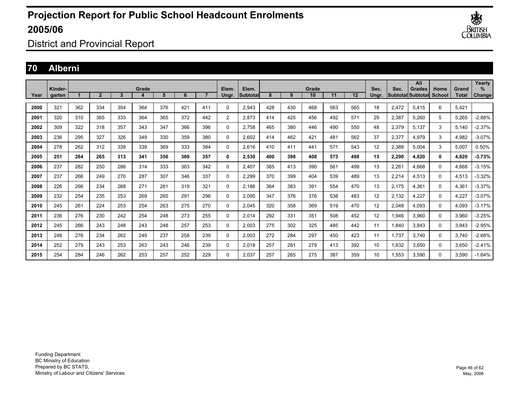

District and Provincial Report

### **70 Alberni**

|      |                   |     |                |     |       |     |     |                |                |                   |     |     |             |     |     |               |       | All                                |                |                       | Yearly      |
|------|-------------------|-----|----------------|-----|-------|-----|-----|----------------|----------------|-------------------|-----|-----|-------------|-----|-----|---------------|-------|------------------------------------|----------------|-----------------------|-------------|
| Year | Kinder-<br>garten |     | $\overline{2}$ | 3   | Grade | 5   | 6   | $\overline{ }$ | Elem.<br>Ungr. | Elem.<br>Subtotal | 8   | 9   | Grade<br>10 | 11  | 12  | Sec.<br>Ungr. | Sec.  | <b>Grades</b><br>Subtotal Subtotal | Home<br>School | Grand<br><b>Total</b> | %<br>Change |
|      |                   |     |                |     |       |     |     |                |                |                   |     |     |             |     |     |               |       |                                    |                |                       |             |
| 2000 | 321               | 362 | 334            | 354 | 364   | 376 | 421 | 411            | $\Omega$       | 2.943             | 428 | 430 | 468         | 563 | 565 | 18            | 2,472 | 5.415                              | 6              | 5.421                 |             |
| 2001 | 320               | 310 | 365            | 333 | 364   | 365 | 372 | 442            | $\overline{2}$ | 2.873             | 414 | 425 | 456         | 492 | 571 | 29            | 2,387 | 5.260                              | 5              | 5,265                 | $-2.88%$    |
| 2002 | 309               | 322 | 318            | 357 | 343   | 347 | 366 | 396            | 0              | 2.758             | 465 | 380 | 446         | 490 | 550 | 48            | 2,379 | 5.137                              | 3              | 5.140                 | $-2.37%$    |
| 2003 | 236               | 295 | 327            | 326 | 349   | 330 | 359 | 380            | 0              | 2,602             | 414 | 462 | 421         | 481 | 562 | 37            | 2,377 | 4,979                              | 3              | 4,982                 | $-3.07%$    |
| 2004 | 278               | 262 | 312            | 339 | 339   | 369 | 333 | 384            | $\Omega$       | 2.616             | 410 | 411 | 441         | 571 | 543 | 12            | 2,388 | 5.004                              | 3              | 5,007                 | 0.50%       |
| 2005 | 251               | 284 | 265            | 313 | 341   | 350 | 369 | 357            | 0              | 2,530             | 400 | 398 | 408         | 573 | 498 | 13            | 2,290 | 4.820                              | 0              | 4,820                 | $-3.73%$    |
| 2006 | 237               | 282 | 250            | 286 | 314   | 333 | 363 | 342            | 0              | 2.407             | 385 | 413 | 390         | 561 | 499 | 13            | 2,261 | 4.668                              | 0              | 4,668                 | $-3.15%$    |
| 2007 | 237               | 266 | 249            | 270 | 287   | 307 | 346 | 337            | 0              | 2.299             | 370 | 399 | 404         | 539 | 489 | 13            | 2,214 | 4.513                              | $\Omega$       | 4,513                 | $-3.32%$    |
| 2008 | 226               | 266 | 234            | 268 | 271   | 281 | 319 | 321            | 0              | 2.186             | 364 | 383 | 391         | 554 | 470 | 13            | 2.175 | 4.361                              | $\Omega$       | 4.361                 | $-3.37%$    |
| 2009 | 232               | 254 | 235            | 253 | 269   | 265 | 291 | 296            | 0              | 2,095             | 347 | 376 | 376         | 538 | 483 | 12            | 2,132 | 4,227                              | $\Omega$       | 4,227                 | $-3.07%$    |
| 2010 | 245               | 261 | 224            | 253 | 254   | 263 | 275 | 270            | $\Omega$       | 2,045             | 320 | 358 | 369         | 519 | 470 | 12            | 2,048 | 4.093                              | $\Omega$       | 4,093                 | $-3.17%$    |
| 2011 | 236               | 276 | 230            | 242 | 254   | 248 | 273 | 255            | 0              | 2,014             | 292 | 331 | 351         | 508 | 452 | 12            | 1,946 | 3,960                              | 0              | 3,960                 | $-3.25%$    |
| 2012 | 245               | 266 | 243            | 248 | 243   | 248 | 257 | 253            | 0              | 2,003             | 275 | 302 | 325         | 485 | 442 | 11            | 1,840 | 3.843                              | 0              | 3,843                 | -2.95%      |
| 2013 | 248               | 276 | 234            | 262 | 249   | 237 | 258 | 239            | 0              | 2,003             | 272 | 284 | 297         | 450 | 423 | 11            | 1.737 | 3.740                              | 0              | 3.740                 | $-2.68%$    |
| 2014 | 252               | 279 | 243            | 253 | 263   | 243 | 246 | 239            | 0              | 2.018             | 257 | 281 | 279         | 413 | 392 | 10            | 1.632 | 3.650                              | 0              | 3.650                 | $-2.41%$    |
| 2015 | 254               | 284 | 246            | 262 | 253   | 257 | 252 | 229            | 0              | 2.037             | 257 | 265 | 275         | 387 | 359 | 10            | 1,553 | 3,590                              | 0              | 3,590                 | $-1.64%$    |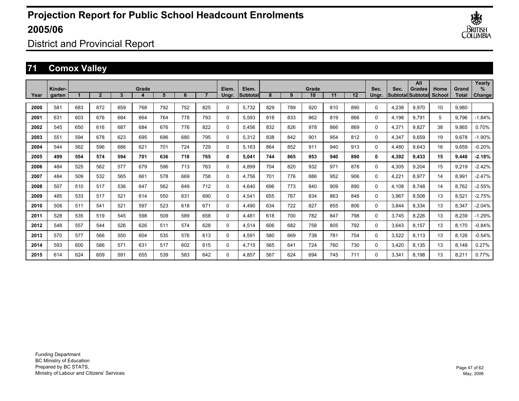

District and Provincial Report

## **71 Comox Valley**

|      | Kinder- |     |                |     | Grade |     |     |     | Elem.       | Elem.     |     |     | Grade |     |     | Sec.     | Sec.  | All<br><b>Grades</b>      | Home   | Grand        | Yearly<br>% |
|------|---------|-----|----------------|-----|-------|-----|-----|-----|-------------|-----------|-----|-----|-------|-----|-----|----------|-------|---------------------------|--------|--------------|-------------|
| Year | garten  |     | $\overline{2}$ | 3   |       | 5   | 6   |     | Ungr.       | Subtotall | 8   | 9   | 10    | 11  | 12  | Ungr.    |       | <b>SubtotallSubtotall</b> | School | <b>Total</b> | Change      |
| 2000 | 581     | 683 | 672            | 659 | 768   | 792 | 752 | 825 | 0           | 5.732     | 829 | 789 | 920   | 810 | 890 | $\Omega$ | 4,238 | 9,970                     | 10     | 9,980        |             |
| 2001 | 631     | 603 | 676            | 684 | 664   | 764 | 778 | 793 | 0           | 5.593     | 818 | 833 | 862   | 819 | 866 | $\Omega$ | 4,198 | 9.791                     | 5      | 9.796        | $-1.84%$    |
| 2002 | 545     | 650 | 616            | 687 | 684   | 676 | 776 | 822 | 0           | 5,456     | 832 | 826 | 978   | 866 | 869 | $\Omega$ | 4,371 | 9,827                     | 38     | 9,865        | 0.70%       |
| 2003 | 551     | 594 | 678            | 623 | 695   | 696 | 680 | 795 | $\Omega$    | 5,312     | 838 | 842 | 901   | 954 | 812 | $\Omega$ | 4,347 | 9.659                     | 19     | 9,678        | $-1.90%$    |
| 2004 | 544     | 562 | 596            | 686 | 621   | 701 | 724 | 729 | $\mathbf 0$ | 5,163     | 864 | 852 | 911   | 940 | 913 | 0        | 4,480 | 9,643                     | 16     | 9,659        | $-0.20%$    |
| 2005 | 499     | 554 | 574            | 594 | 701   | 636 | 718 | 765 | 0           | 5,041     | 744 | 865 | 953   | 940 | 890 | 0        | 4,392 | 9,433                     | 15     | 9,448        | $-2.18%$    |
| 2006 | 484     | 525 | 562            | 577 | 679   | 596 | 713 | 763 | 0           | 4,899     | 704 | 820 | 932   | 971 | 878 | 0        | 4,305 | 9,204                     | 15     | 9,219        | $-2.42%$    |
| 2007 | 484     | 509 | 532            | 565 | 661   | 578 | 669 | 758 | 0           | 4.756     | 701 | 776 | 886   | 952 | 906 | 0        | 4,221 | 8,977                     | 14     | 8,991        | $-2.47%$    |
| 2008 | 507     | 510 | 517            | 536 | 647   | 562 | 649 | 712 | $\Omega$    | 4,640     | 696 | 773 | 840   | 909 | 890 | $\Omega$ | 4,108 | 8.748                     | 14     | 8,762        | $-2.55%$    |
| 2009 | 485     | 533 | 517            | 521 | 614   | 550 | 631 | 690 | $\Omega$    | 4,541     | 655 | 767 | 834   | 863 | 848 | $\Omega$ | 3,967 | 8,508                     | 13     | 8,521        | $-2.75%$    |
| 2010 | 508     | 511 | 541            | 521 | 597   | 523 | 618 | 671 | 0           | 4,490     | 634 | 722 | 827   | 855 | 806 | 0        | 3,844 | 8,334                     | 13     | 8,347        | $-2.04%$    |
| 2011 | 528     | 535 | 519            | 545 | 598   | 509 | 589 | 658 | 0           | 4,481     | 618 | 700 | 782   | 847 | 798 | $\Omega$ | 3,745 | 8.226                     | 13     | 8,239        | $-1.29%$    |
| 2012 | 548     | 557 | 544            | 526 | 626   | 511 | 574 | 628 | 0           | 4,514     | 606 | 682 | 758   | 805 | 792 | $\Omega$ | 3,643 | 8.157                     | 13     | 8.170        | $-0.84%$    |
| 2013 | 570     | 577 | 566            | 550 | 604   | 535 | 576 | 613 | $\Omega$    | 4,591     | 580 | 669 | 738   | 781 | 754 | $\Omega$ | 3,522 | 8.113                     | 13     | 8.126        | $-0.54%$    |
| 2014 | 593     | 600 | 586            | 571 | 631   | 517 | 602 | 615 | $\Omega$    | 4,715     | 565 | 641 | 724   | 760 | 730 | $\Omega$ | 3,420 | 8,135                     | 13     | 8,148        | 0.27%       |
| 2015 | 614     | 624 | 609            | 591 | 655   | 539 | 583 | 642 | $\Omega$    | 4,857     | 567 | 624 | 694   | 745 | 711 | $\Omega$ | 3,341 | 8,198                     | 13     | 8,211        | 0.77%       |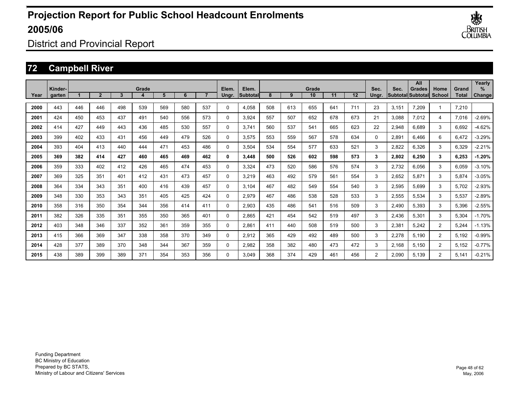

District and Provincial Report

## **72 Campbell River**

|      | Kinder- |     |                          |     | Grade |     |     |     | Elem.       | Elem.            |     |     | Grade |     |     | Sec.     | Sec.  | All<br><b>Grades</b>     | Home           | Grand | Yearly<br>℅ |
|------|---------|-----|--------------------------|-----|-------|-----|-----|-----|-------------|------------------|-----|-----|-------|-----|-----|----------|-------|--------------------------|----------------|-------|-------------|
| Year | garten  |     | $\overline{\phantom{a}}$ | 3   |       | 5   | 6   |     | Ungr.       | <b>Subtotall</b> | 8   | 9   | 10    | 11  | 12  | Ungr.    |       | <b>SubtotallSubtotal</b> | School         | Total | Change      |
| 2000 | 443     | 446 | 446                      | 498 | 539   | 569 | 580 | 537 | $\Omega$    | 4,058            | 508 | 613 | 655   | 641 | 711 | 23       | 3,151 | 7,209                    | 1              | 7,210 |             |
| 2001 | 424     | 450 | 453                      | 437 | 491   | 540 | 556 | 573 | $\Omega$    | 3,924            | 557 | 507 | 652   | 678 | 673 | 21       | 3,088 | 7,012                    | 4              | 7,016 | $-2.69%$    |
| 2002 | 414     | 427 | 449                      | 443 | 436   | 485 | 530 | 557 | $\Omega$    | 3,741            | 560 | 537 | 541   | 665 | 623 | 22       | 2,948 | 6,689                    | 3              | 6,692 | $-4.62%$    |
| 2003 | 399     | 402 | 433                      | 431 | 456   | 449 | 479 | 526 | $\Omega$    | 3,575            | 553 | 559 | 567   | 578 | 634 | $\Omega$ | 2,891 | 6.466                    | 6              | 6,472 | $-3.29%$    |
| 2004 | 393     | 404 | 413                      | 440 | 444   | 471 | 453 | 486 | $\mathbf 0$ | 3,504            | 534 | 554 | 577   | 633 | 521 | 3        | 2,822 | 6,326                    | 3              | 6,329 | $-2.21%$    |
| 2005 | 369     | 382 | 414                      | 427 | 460   | 465 | 469 | 462 | 0           | 3,448            | 500 | 526 | 602   | 598 | 573 | 3        | 2,802 | 6,250                    | 3              | 6,253 | $-1.20%$    |
| 2006 | 359     | 333 | 402                      | 412 | 426   | 465 | 474 | 453 | 0           | 3,324            | 473 | 520 | 586   | 576 | 574 | 3        | 2,732 | 6,056                    | 3              | 6,059 | $-3.10%$    |
| 2007 | 369     | 325 | 351                      | 401 | 412   | 431 | 473 | 457 | $\Omega$    | 3,219            | 463 | 492 | 579   | 561 | 554 | 3        | 2,652 | 5,871                    | 3              | 5,874 | $-3.05%$    |
| 2008 | 364     | 334 | 343                      | 351 | 400   | 416 | 439 | 457 | $\Omega$    | 3,104            | 467 | 482 | 549   | 554 | 540 | 3        | 2,595 | 5,699                    | 3              | 5,702 | $-2.93%$    |
| 2009 | 348     | 330 | 353                      | 343 | 351   | 405 | 425 | 424 | $\mathbf 0$ | 2,979            | 467 | 486 | 538   | 528 | 533 | 3        | 2,555 | 5,534                    | 3              | 5,537 | $-2.89%$    |
| 2010 | 358     | 316 | 350                      | 354 | 344   | 356 | 414 | 411 | $\mathbf 0$ | 2,903            | 435 | 486 | 541   | 516 | 509 | 3        | 2,490 | 5,393                    | 3              | 5,396 | $-2.55%$    |
| 2011 | 382     | 326 | 335                      | 351 | 355   | 350 | 365 | 401 | 0           | 2,865            | 421 | 454 | 542   | 519 | 497 | 3        | 2,436 | 5,301                    | 3              | 5,304 | $-1.70%$    |
| 2012 | 403     | 348 | 346                      | 337 | 352   | 361 | 359 | 355 | $\Omega$    | 2,861            | 411 | 440 | 508   | 519 | 500 | 3        | 2,381 | 5,242                    | $\overline{2}$ | 5,244 | $-1.13%$    |
| 2013 | 415     | 366 | 369                      | 347 | 338   | 358 | 370 | 349 | $\Omega$    | 2,912            | 365 | 429 | 492   | 489 | 500 | 3        | 2,278 | 5,190                    | $\overline{2}$ | 5,192 | $-0.99%$    |
| 2014 | 428     | 377 | 389                      | 370 | 348   | 344 | 367 | 359 | $\Omega$    | 2,982            | 358 | 382 | 480   | 473 | 472 | 3        | 2,168 | 5,150                    | $\overline{2}$ | 5,152 | $-0.77%$    |
| 2015 | 438     | 389 | 399                      | 389 | 371   | 354 | 353 | 356 | $\Omega$    | 3.049            | 368 | 374 | 429   | 461 | 456 | 2        | 2,090 | 5.139                    | $\overline{2}$ | 5.141 | $-0.21%$    |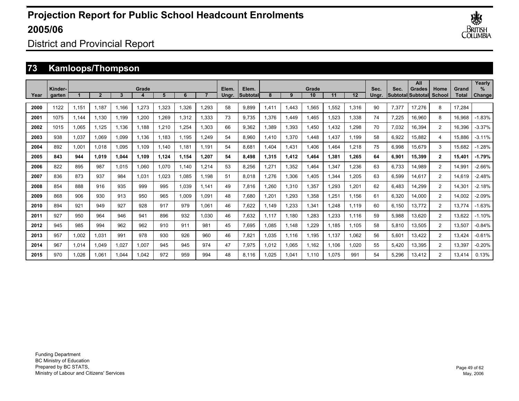

District and Provincial Report

### **73 Kamloops/Thompson**

|      |                   |       |       |       |       |       |       |       |                |                           |       |       |             |       |       |               |       | All                                |                |                | Yearly             |
|------|-------------------|-------|-------|-------|-------|-------|-------|-------|----------------|---------------------------|-------|-------|-------------|-------|-------|---------------|-------|------------------------------------|----------------|----------------|--------------------|
| Year | Kinder-<br>garten |       |       | 3     | Grade | 5     | 6     |       | Elem.<br>Ungr. | Elem.<br><b>Subtotall</b> | 8     | 9     | Grade<br>10 | 11    | 12    | Sec.<br>Unar. | Sec.  | <b>Grades</b><br>Subtotal Subtotal | Home<br>School | Grand<br>Total | %<br><b>Change</b> |
|      |                   |       |       |       |       |       |       |       |                |                           |       |       |             |       |       |               |       |                                    |                |                |                    |
| 2000 | 1122              | 1.151 | 1.187 | 1.166 | 1,273 | 1,323 | 1.326 | 1.293 | 58             | 9.899                     | .411  | 1,443 | 1,565       | 1,552 | 1.316 | 90            | 7,377 | 17.276                             | 8              | 17,284         |                    |
| 2001 | 1075              | 1,144 | 1.130 | 1.199 | 1,200 | 1,269 | 1,312 | 1.333 | 73             | 9.735                     | 1.376 | 1,449 | 1,465       | 1,523 | 1,338 | 74            | 7,225 | 16,960                             | 8              | 16,968         | $-1.83%$           |
| 2002 | 1015              | 1,065 | 1.125 | 1,136 | 1.188 | 1,210 | 1.254 | 1.303 | 66             | 9,362                     | .389  | 1,393 | 1,450       | ,432  | 1.298 | 70            | 7,032 | 16,394                             | $\overline{2}$ | 16,396         | $-3.37%$           |
| 2003 | 938               | 1,037 | 1,069 | 1,099 | 1,136 | 1,183 | 1,195 | 1.249 | 54             | 8,960                     | .410  | 1,370 | 1,448       | .437  | 1,199 | 58            | 6,922 | 15,882                             | 4              | 15,886         | $-3.11%$           |
| 2004 | 892               | 1,001 | 1.018 | 1,095 | 1,109 | 1,140 | 1.181 | 1.191 | 54             | 8,681                     | .404  | 1,431 | 1,406       | .464  | 1,218 | 75            | 6,998 | 15,679                             | 3              | 15,682         | $-1.28%$           |
| 2005 | 843               | 944   | 1,019 | 1,044 | 1,109 | 1,124 | 1,154 | 1,207 | 54             | 8,498                     | 1,315 | 1,412 | 1,464       | 1,381 | 1,265 | 64            | 6,901 | 15,399                             | $\mathbf{2}$   | 15,401         | $-1.79%$           |
| 2006 | 822               | 895   | 987   | 1,015 | 1,060 | 1,070 | 1.140 | 1.214 | 53             | 8,256                     | .271  | 1,352 | 1,464       | 1,347 | 1.236 | 63            | 6,733 | 14,989                             | $\overline{2}$ | 14,991         | $-2.66%$           |
| 2007 | 836               | 873   | 937   | 984   | 1,031 | 1.023 | 1.085 | 1.198 | 51             | 8,018                     | .276  | 1,306 | 1,405       | 1,344 | 1.205 | 63            | 6,599 | 14,617                             | $\overline{2}$ | 14,619         | $-2.48%$           |
| 2008 | 854               | 888   | 916   | 935   | 999   | 995   | 1,039 | 1.141 | 49             | 7,816                     | .260  | 1,310 | 1,357       | ,293  | 1.201 | 62            | 6,483 | 14,299                             | $\overline{2}$ | 14,301         | $-2.18%$           |
| 2009 | 868               | 906   | 930   | 913   | 950   | 965   | 1,009 | 1.091 | 48             | 7,680                     | ,201  | 1,293 | 1,358       | .251  | 1,156 | 61            | 6,320 | 14,000                             | $\overline{2}$ | 14,002         | $-2.09%$           |
| 2010 | 894               | 921   | 949   | 927   | 928   | 917   | 979   | 1,061 | 46             | 7,622                     | 1,149 | 1,233 | 1,341       | ,248  | 1,119 | 60            | 6,150 | 13,772                             | $\overline{2}$ | 13,774         | $-1.63%$           |
| 2011 | 927               | 950   | 964   | 946   | 941   | 896   | 932   | 1.030 | 46             | 7,632                     | 1,117 | 1,180 | 1,283       | .233  | 1,116 | 59            | 5,988 | 13,620                             | $\overline{2}$ | 13,622         | $-1.10%$           |
| 2012 | 945               | 985   | 994   | 962   | 962   | 910   | 911   | 981   | 45             | 7.695                     | .085  | 1,148 | 1,229       | 1,185 | 1,105 | 58            | 5,810 | 13,505                             | $\overline{2}$ | 13,507         | $-0.84%$           |
| 2013 | 957               | 1,002 | 1.031 | 991   | 978   | 930   | 926   | 960   | 46             | 7,821                     | .035  | 1,116 | 1,195       | 1,137 | 1.062 | 56            | 5,601 | 13,422                             | $\overline{2}$ | 13,424         | $-0.61%$           |
| 2014 | 967               | 1,014 | 1.049 | 1,027 | 1,007 | 945   | 945   | 974   | 47             | 7,975                     | .012  | 1,065 | 1,162       | 1,106 | 1.020 | 55            | 5,420 | 13,395                             | $\overline{2}$ | 13,397         | $-0.20%$           |
| 2015 | 970               | 1,026 | 1,061 | .044  | 1,042 | 972   | 959   | 994   | 48             | 8.116                     | .025  | 1,041 | 1.110       | 1,075 | 991   | 54            | 5,296 | 13,412                             | $\overline{2}$ | 13,414         | 0.13%              |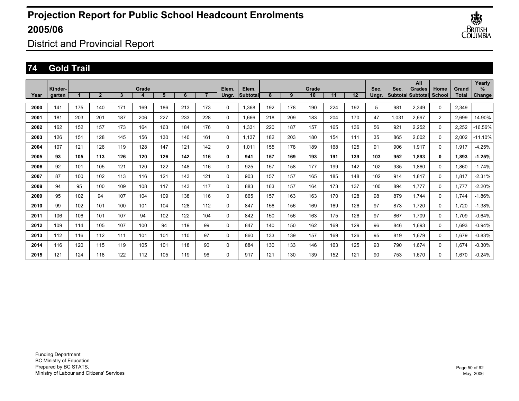

District and Provincial Report

### **74 Gold Trail**

|      | Kinder- |     |                |                | Grade |     |     |     | Elem.    | Elem.          |     |     | Grade |     |     | Sec.  | Sec.  | All<br>Grades     | Home           | Grand | Yearly<br>$\%$ |
|------|---------|-----|----------------|----------------|-------|-----|-----|-----|----------|----------------|-----|-----|-------|-----|-----|-------|-------|-------------------|----------------|-------|----------------|
| Year | garten  |     | $\overline{2}$ | $\overline{3}$ |       | 5   | 6   |     | Ungr.    | <b>Subtota</b> | 8   | 9   | 10    | 11  | 12  | Unar. |       | Subtotal Subtotal | School         | Total | Change         |
| 2000 | 141     | 175 | 140            | 171            | 169   | 186 | 213 | 173 | 0        | 1,368          | 192 | 178 | 190   | 224 | 192 | 5     | 981   | 2,349             | $\Omega$       | 2,349 |                |
| 2001 | 181     | 203 | 201            | 187            | 206   | 227 | 233 | 228 | 0        | 1.666          | 218 | 209 | 183   | 204 | 170 | 47    | 1.031 | 2,697             | $\overline{2}$ | 2,699 | 14.90%         |
| 2002 | 162     | 152 | 157            | 173            | 164   | 163 | 184 | 176 | 0        | 1,331          | 220 | 187 | 157   | 165 | 136 | 56    | 921   | 2,252             | 0              | 2,252 | -16.56%        |
| 2003 | 126     | 151 | 128            | 145            | 156   | 130 | 140 | 161 | 0        | 1.137          | 182 | 203 | 180   | 154 | 111 | 35    | 865   | 2,002             | 0              | 2,002 | $-11.10%$      |
| 2004 | 107     | 121 | 126            | 119            | 128   | 147 | 121 | 142 | $\Omega$ | 1.011          | 155 | 178 | 189   | 168 | 125 | 91    | 906   | 1,917             | 0              | 1,917 | $-4.25%$       |
| 2005 | 93      | 105 | 113            | 126            | 120   | 126 | 142 | 116 | 0        | 941            | 157 | 169 | 193   | 191 | 139 | 103   | 952   | 1.893             | 0              | 1,893 | $-1.25%$       |
| 2006 | 92      | 101 | 105            | 121            | 120   | 122 | 148 | 116 | $\Omega$ | 925            | 157 | 158 | 177   | 199 | 142 | 102   | 935   | 1.860             | 0              | 1,860 | $-1.74%$       |
| 2007 | 87      | 100 | 102            | 113            | 116   | 121 | 143 | 121 | $\Omega$ | 903            | 157 | 157 | 165   | 185 | 148 | 102   | 914   | 1,817             | $\Omega$       | 1,817 | $-2.31%$       |
| 2008 | 94      | 95  | 100            | 109            | 108   | 117 | 143 | 117 | $\Omega$ | 883            | 163 | 157 | 164   | 173 | 137 | 100   | 894   | 1.777             | $\Omega$       | 1,777 | $-2.20%$       |
| 2009 | 95      | 102 | 94             | 107            | 104   | 109 | 138 | 116 | $\Omega$ | 865            | 157 | 163 | 163   | 170 | 128 | 98    | 879   | 1.744             | $\Omega$       | 1,744 | $-1.86%$       |
| 2010 | 99      | 102 | 101            | 100            | 101   | 104 | 128 | 112 | $\Omega$ | 847            | 156 | 156 | 169   | 169 | 126 | 97    | 873   | 1,720             | 0              | 1,720 | $-1.38%$       |
| 2011 | 106     | 106 | 101            | 107            | 94    | 102 | 122 | 104 | 0        | 842            | 150 | 156 | 163   | 175 | 126 | 97    | 867   | 1.709             | $\mathbf 0$    | 1,709 | $-0.64%$       |
| 2012 | 109     | 114 | 105            | 107            | 100   | 94  | 119 | 99  | 0        | 847            | 140 | 150 | 162   | 169 | 129 | 96    | 846   | 1.693             | 0              | 1,693 | $-0.94%$       |
| 2013 | 112     | 116 | 112            | 111            | 101   | 101 | 110 | 97  | 0        | 860            | 133 | 139 | 157   | 169 | 126 | 95    | 819   | 1,679             | 0              | 1,679 | $-0.83%$       |
| 2014 | 116     | 120 | 115            | 119            | 105   | 101 | 118 | 90  | 0        | 884            | 130 | 133 | 146   | 163 | 125 | 93    | 790   | 1.674             | 0              | 1,674 | $-0.30%$       |
| 2015 | 121     | 124 | 118            | 122            | 112   | 105 | 119 | 96  | 0        | 917            | 121 | 130 | 139   | 152 | 121 | 90    | 753   | 1.670             | $\Omega$       | 1.670 | $-0.24%$       |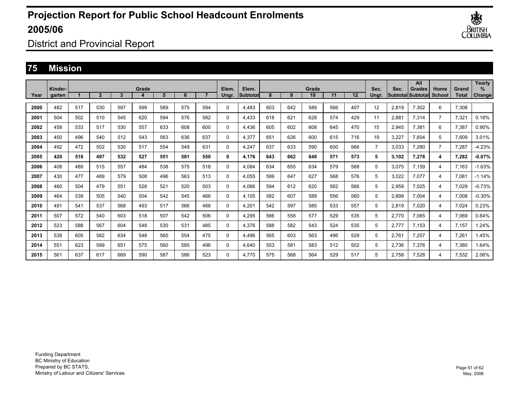

District and Provincial Report

### **75 Mission**

|      | Kinder- |     |                |     | Grade |     |     |     |                | Elem.    |     |     | Grade |     |     | Sec.           | Sec.  | All<br>Grades            |                       | Grand        | Yearly<br>$\frac{9}{6}$ |
|------|---------|-----|----------------|-----|-------|-----|-----|-----|----------------|----------|-----|-----|-------|-----|-----|----------------|-------|--------------------------|-----------------------|--------------|-------------------------|
| Year | garten  |     | $\overline{2}$ | 3   | 4     | 5   | 6   |     | Elem.<br>Ungr. | Subtotal | 8   | 9   | 10    | 11  | 12  | Unar.          |       | <b>Subtotal Subtotal</b> | Home<br><b>School</b> | <b>Total</b> | Change                  |
| 2000 | 482     | 517 | 530            | 597 | 599   | 589 | 575 | 594 | 0              | 4.483    | 603 | 642 | 589   | 566 | 407 | 12             | 2.819 | 7,302                    | 6                     | 7,308        |                         |
| 2001 | 504     | 502 | 510            | 545 | 620   | 594 | 576 | 582 | 0              | 4.433    | 618 | 621 | 628   | 574 | 429 | 11             | 2.881 | 7,314                    | $\overline{7}$        | 7,321        | 0.18%                   |
| 2002 | 458     | 533 | 517            | 530 | 557   | 633 | 608 | 600 | 0              | 4,436    | 605 | 602 | 608   | 645 | 470 | 15             | 2,945 | 7,381                    | 6                     | 7,387        | 0.90%                   |
| 2003 | 450     | 496 | 540            | 512 | 543   | 563 | 636 | 637 | $\Omega$       | 4,377    | 651 | 626 | 600   | 615 | 716 | 19             | 3,227 | 7,604                    | 5                     | 7,609        | 3.01%                   |
| 2004 | 492     | 472 | 502            | 530 | 517   | 554 | 549 | 631 | $\Omega$       | 4.247    | 637 | 633 | 590   | 600 | 566 | $\overline{7}$ | 3,033 | 7.280                    | $\overline{7}$        | 7,287        | $-4.23%$                |
| 2005 | 420     | 518 | 497            | 532 | 527   | 551 | 581 | 550 | 0              | 4,176    | 643 | 662 | 648   | 571 | 573 | 5              | 3,102 | 7,278                    | 4                     | 7,282        | $-0.07%$                |
| 2006 | 408     | 489 | 515            | 557 | 484   | 538 | 575 | 518 | $\Omega$       | 4,084    | 634 | 655 | 634   | 579 | 568 | 5              | 3,075 | 7,159                    | 4                     | 7,163        | $-1.63%$                |
| 2007 | 430     | 477 | 489            | 579 | 508   | 496 | 563 | 513 | 0              | 4,055    | 599 | 647 | 627   | 568 | 576 | 5              | 3,022 | 7,077                    | 4                     | 7,081        | $-1.14%$                |
| 2008 | 460     | 504 | 479            | 551 | 528   | 521 | 520 | 503 | 0              | 4.066    | 594 | 612 | 620   | 562 | 566 | 5              | 2,959 | 7,025                    | 4                     | 7,029        | $-0.73%$                |
| 2009 | 464     | 539 | 505            | 540 | 504   | 542 | 545 | 466 | 0              | 4.105    | 582 | 607 | 589   | 556 | 560 | 5              | 2,899 | 7.004                    | 4                     | 7,008        | $-0.30%$                |
| 2010 | 491     | 541 | 537            | 568 | 493   | 517 | 566 | 488 | 0              | 4.201    | 542 | 597 | 585   | 533 | 557 | 5              | 2,819 | 7.020                    | 4                     | 7.024        | 0.23%                   |
| 2011 | 507     | 572 | 540            | 603 | 518   | 507 | 542 | 506 | 0              | 4.295    | 566 | 558 | 577   | 529 | 535 | 5              | 2.770 | 7.065                    | 4                     | 7.069        | 0.64%                   |
| 2012 | 523     | 588 | 567            | 604 | 548   | 530 | 531 | 485 | 0              | 4.376    | 588 | 582 | 543   | 524 | 535 | 5              | 2.777 | 7.153                    | 4                     | 7.157        | .24%                    |
| 2013 | 538     | 605 | 582            | 634 | 548   | 560 | 554 | 475 | 0              | 4.496    | 565 | 603 | 563   | 496 | 529 | 5              | 2.761 | 7.257                    | 4                     | 7.261        | .45%                    |
| 2014 | 551     | 623 | 599            | 651 | 575   | 560 | 585 | 496 | $\Omega$       | 4,640    | 553 | 581 | 583   | 512 | 502 | 5              | 2,736 | 7,376                    | 4                     | 7,380        | .64%                    |
| 2015 | 561     | 637 | 617            | 669 | 590   | 587 | 586 | 523 | 0              | 4.770    | 575 | 568 | 564   | 529 | 517 | 5              | 2.758 | 7,528                    | 4                     | 7,532        | 2.06%                   |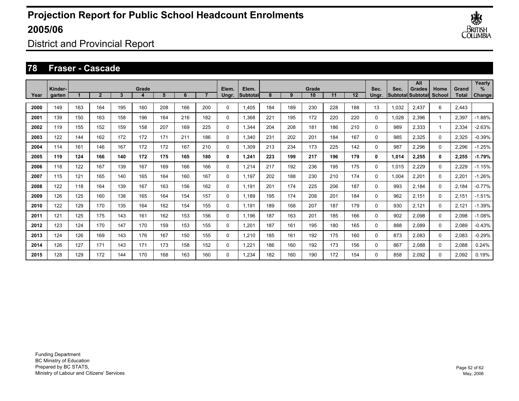

District and Provincial Report

#### **78 Fraser - Cascade**

|      | Kinder- |     |                |     | Grade |     |     |     | Elem.    | Elem.     |     |     | Grade |     |     | Sec.     | Sec.  | All<br>Grades             | Home   | Grand | Yearly<br>$\%$ |
|------|---------|-----|----------------|-----|-------|-----|-----|-----|----------|-----------|-----|-----|-------|-----|-----|----------|-------|---------------------------|--------|-------|----------------|
| Year | garten  |     | $\overline{2}$ | 3   |       | 5   | 6   |     | Ungr.    | lSubtotal | 8   | 9   | 10    | 11  | 12  | Unar.    |       | <b>SubtotallSubtotall</b> | School | Total | Change         |
| 2000 | 149     | 163 | 164            | 195 | 160   | 208 | 166 | 200 | 0        | 1,405     | 184 | 189 | 230   | 228 | 188 | 13       | 1.032 | 2,437                     | 6      | 2,443 |                |
| 2001 | 139     | 150 | 163            | 158 | 196   | 164 | 216 | 182 | 0        | 1,368     | 221 | 195 | 172   | 220 | 220 | 0        | 1,028 | 2,396                     |        | 2,397 | $-1.88%$       |
| 2002 | 119     | 155 | 152            | 159 | 158   | 207 | 169 | 225 | 0        | 1,344     | 204 | 208 | 181   | 186 | 210 | 0        | 989   | 2,333                     |        | 2,334 | $-2.63%$       |
| 2003 | 122     | 144 | 162            | 172 | 172   | 171 | 211 | 186 | 0        | 1,340     | 231 | 202 | 201   | 184 | 167 | 0        | 985   | 2,325                     | 0      | 2,325 | $-0.39%$       |
| 2004 | 114     | 161 | 146            | 167 | 172   | 172 | 167 | 210 | 0        | 1,309     | 213 | 234 | 173   | 225 | 142 | 0        | 987   | 2,296                     | 0      | 2,296 | -1.25%         |
| 2005 | 119     | 124 | 166            | 140 | 172   | 175 | 165 | 180 | 0        | 1.241     | 223 | 199 | 217   | 196 | 179 | 0        | 1,014 | 2,255                     | 0      | 2,255 | $-1.79%$       |
| 2006 | 118     | 122 | 167            | 139 | 167   | 169 | 166 | 166 | 0        | 1.214     | 217 | 192 | 236   | 195 | 175 | $\Omega$ | 1,015 | 2,229                     | 0      | 2,229 | $-1.15%$       |
| 2007 | 115     | 121 | 165            | 140 | 165   | 164 | 160 | 167 | 0        | 1.197     | 202 | 188 | 230   | 210 | 174 | $\Omega$ | 1,004 | 2,201                     | 0      | 2,201 | -1.26%         |
| 2008 | 122     | 118 | 164            | 139 | 167   | 163 | 156 | 162 | 0        | 1.191     | 201 | 174 | 225   | 206 | 187 | 0        | 993   | 2,184                     | 0      | 2,184 | $-0.77%$       |
| 2009 | 126     | 125 | 160            | 138 | 165   | 164 | 154 | 157 | 0        | 1,189     | 195 | 174 | 208   | 201 | 184 | 0        | 962   | 2,151                     | 0      | 2,151 | $-1.51%$       |
| 2010 | 122     | 129 | 170            | 135 | 164   | 162 | 154 | 155 | 0        | 1,191     | 189 | 168 | 207   | 187 | 179 | 0        | 930   | 2,121                     | 0      | 2,121 | $-1.39%$       |
| 2011 | 121     | 125 | 175            | 143 | 161   | 162 | 153 | 156 | 0        | 1.196     | 187 | 163 | 201   | 185 | 166 | 0        | 902   | 2,098                     | 0      | 2,098 | $-1.08%$       |
| 2012 | 123     | 124 | 170            | 147 | 170   | 159 | 153 | 155 | 0        | 1,201     | 187 | 161 | 195   | 180 | 165 | 0        | 888   | 2,089                     | 0      | 2,089 | $-0.43%$       |
| 2013 | 124     | 126 | 169            | 143 | 176   | 167 | 150 | 155 | 0        | 1.210     | 185 | 161 | 192   | 175 | 160 | 0        | 873   | 2,083                     | 0      | 2,083 | $-0.29%$       |
| 2014 | 126     | 127 | 171            | 143 | 171   | 173 | 158 | 152 | 0        | 1,221     | 186 | 160 | 192   | 173 | 156 | 0        | 867   | 2,088                     | 0      | 2,088 | 0.24%          |
| 2015 | 128     | 129 | 172            | 144 | 170   | 168 | 163 | 160 | $\Omega$ | 1.234     | 182 | 160 | 190   | 172 | 154 | 0        | 858   | 2.092                     | 0      | 2,092 | 0.19%          |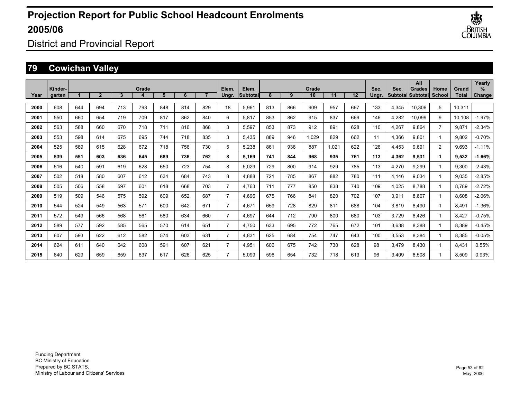

District and Provincial Report

## **79 Cowichan Valley**

|      |                   |     |                |     |       |     |     |     |                |                    |     |     |             |       |     |               |       | All                                       |                |                       | Yearly      |
|------|-------------------|-----|----------------|-----|-------|-----|-----|-----|----------------|--------------------|-----|-----|-------------|-------|-----|---------------|-------|-------------------------------------------|----------------|-----------------------|-------------|
| Year | Kinder-<br>garten |     | $\overline{2}$ | 3   | Grade | 5   | 6   |     | Elem.<br>Ungr. | Elem.<br>Subtotall | 8   | 9   | Grade<br>10 | 11    | 12  | Sec.<br>Ungr. | Sec.  | <b>Grades</b><br><b>Subtotal Subtotal</b> | Home<br>School | Grand<br><b>Total</b> | %<br>Change |
|      |                   |     |                |     |       |     |     |     |                |                    |     |     |             |       |     |               |       |                                           |                |                       |             |
| 2000 | 608               | 644 | 694            | 713 | 793   | 848 | 814 | 829 | 18             | 5,961              | 813 | 866 | 909         | 957   | 667 | 133           | 4,345 | 10,306                                    | 5              | 10,311                |             |
| 2001 | 550               | 660 | 654            | 719 | 709   | 817 | 862 | 840 | 6              | 5,817              | 853 | 862 | 915         | 837   | 669 | 146           | 4,282 | 10,099                                    | 9              | 10,108                | $-1.97%$    |
| 2002 | 563               | 588 | 660            | 670 | 718   | 711 | 816 | 868 | 3              | 5,597              | 853 | 873 | 912         | 891   | 628 | 110           | 4,267 | 9,864                                     | $\overline{7}$ | 9,871                 | $-2.34%$    |
| 2003 | 553               | 598 | 614            | 675 | 695   | 744 | 718 | 835 | 3              | 5,435              | 889 | 946 | 1,029       | 829   | 662 | 11            | 4,366 | 9,801                                     | 1              | 9,802                 | $-0.70%$    |
| 2004 | 525               | 589 | 615            | 628 | 672   | 718 | 756 | 730 | 5              | 5,238              | 861 | 936 | 887         | 1,021 | 622 | 126           | 4,453 | 9,691                                     | $\overline{2}$ | 9,693                 | $-1.11%$    |
| 2005 | 539               | 551 | 603            | 636 | 645   | 689 | 736 | 762 | 8              | 5.169              | 741 | 844 | 968         | 935   | 761 | 113           | 4,362 | 9,531                                     | 1              | 9,532                 | $-1.66%$    |
| 2006 | 516               | 540 | 591            | 619 | 628   | 650 | 723 | 754 | 8              | 5.029              | 729 | 800 | 914         | 929   | 785 | 113           | 4,270 | 9,299                                     | 1              | 9,300                 | $-2.43%$    |
| 2007 | 502               | 518 | 580            | 607 | 612   | 634 | 684 | 743 | 8              | 4,888              | 721 | 785 | 867         | 882   | 780 | 111           | 4,146 | 9,034                                     | 1              | 9,035                 | $-2.85%$    |
| 2008 | 505               | 506 | 558            | 597 | 601   | 618 | 668 | 703 | $\overline{7}$ | 4.763              | 711 | 777 | 850         | 838   | 740 | 109           | 4,025 | 8.788                                     | 1              | 8,789                 | $-2.72%$    |
| 2009 | 519               | 509 | 546            | 575 | 592   | 609 | 652 | 687 | $\overline{7}$ | 4.696              | 675 | 766 | 841         | 820   | 702 | 107           | 3,911 | 8.607                                     | 1              | 8,608                 | $-2.06%$    |
| 2010 | 544               | 524 | 549            | 563 | 571   | 600 | 642 | 671 | $\overline{7}$ | 4,671              | 659 | 728 | 829         | 811   | 688 | 104           | 3,819 | 8.490                                     | 1              | 8,491                 | $-1.36%$    |
| 2011 | 572               | 549 | 566            | 568 | 561   | 580 | 634 | 660 | $\overline{7}$ | 4,697              | 644 | 712 | 790         | 800   | 680 | 103           | 3,729 | 8,426                                     | 1              | 8,427                 | $-0.75%$    |
| 2012 | 589               | 577 | 592            | 585 | 565   | 570 | 614 | 651 | $\overline{7}$ | 4,750              | 633 | 695 | 772         | 765   | 672 | 101           | 3,638 | 8,388                                     | 1              | 8,389                 | $-0.45%$    |
| 2013 | 607               | 593 | 622            | 612 | 582   | 574 | 603 | 631 | $\overline{7}$ | 4,831              | 625 | 684 | 754         | 747   | 643 | 100           | 3,553 | 8,384                                     | 1              | 8,385                 | $-0.05%$    |
| 2014 | 624               | 611 | 640            | 642 | 608   | 591 | 607 | 621 | $\overline{7}$ | 4,951              | 606 | 675 | 742         | 730   | 628 | 98            | 3,479 | 8,430                                     | 1              | 8,431                 | 0.55%       |
| 2015 | 640               | 629 | 659            | 659 | 637   | 617 | 626 | 625 | $\overline{7}$ | 5.099              | 596 | 654 | 732         | 718   | 613 | 96            | 3,409 | 8,508                                     |                | 8,509                 | 0.93%       |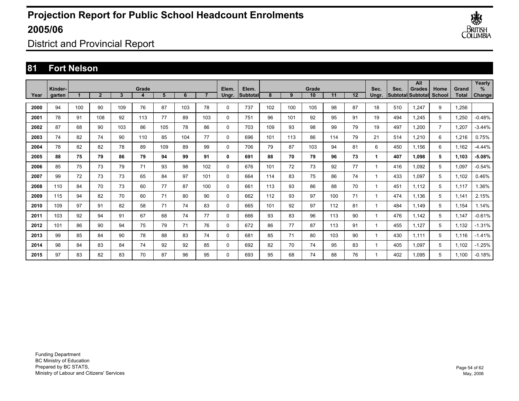

District and Provincial Report

### **81 Fort Nelson**

|      |                   |     |              |     |       |     |     |     | Elem.        |                          |     |     |             |     |         |               |      | All                         |                       |                | Yearly<br>$\%$ |
|------|-------------------|-----|--------------|-----|-------|-----|-----|-----|--------------|--------------------------|-----|-----|-------------|-----|---------|---------------|------|-----------------------------|-----------------------|----------------|----------------|
| Year | Kinder-<br>garten |     | $\mathbf{2}$ | 3   | Grade | 5   | 6   |     | Ungr.        | Elem.<br><b>Subtotal</b> | 8   | 9   | Grade<br>10 | 11  | $12 \,$ | Sec.<br>Ungr. | Sec. | Grades<br>Subtotal Subtotal | Home<br><b>School</b> | Grand<br>Total | Change         |
| 2000 | 94                | 100 | 90           | 109 | 76    | 87  | 103 | 78  | 0            | 737                      | 102 | 100 | 105         | 98  | 87      | 18            | 510  | 1.247                       | 9                     | 1,256          |                |
| 2001 | 78                | 91  | 108          | 92  | 113   | 77  | 89  | 103 | 0            | 751                      | 96  | 101 | 92          | 95  | 91      | 19            | 494  | 1.245                       | 5                     | 1,250          | $-0.48%$       |
| 2002 | 87                | 68  | 90           | 103 | 86    | 105 | 78  | 86  | 0            | 703                      | 109 | 93  | 98          | 99  | 79      | 19            | 497  | 1,200                       | $\overline{7}$        | 1,207          | $-3.44%$       |
| 2003 | 74                | 82  | 74           | 90  | 110   | 85  | 104 | 77  | 0            | 696                      | 101 | 113 | 86          | 114 | 79      | 21            | 514  | 1,210                       | 6                     | 1,216          | 0.75%          |
| 2004 | 78                | 82  | 82           | 78  | 89    | 109 | 89  | 99  | 0            | 706                      | 79  | 87  | 103         | 94  | 81      | 6             | 450  | 1,156                       | 6                     | 1,162          | $-4.44%$       |
| 2005 | 88                | 75  | 79           | 86  | 79    | 94  | 99  | 91  | 0            | 691                      | 88  | 70  | 79          | 96  | 73      | 1             | 407  | 1.098                       | 5                     | 1,103          | $-5.08%$       |
| 2006 | 85                | 75  | 73           | 79  | 71    | 93  | 98  | 102 | 0            | 676                      | 101 | 72  | 73          | 92  | 77      | $\mathbf{1}$  | 416  | 1.092                       | 5                     | 1,097          | $-0.54%$       |
| 2007 | 99                | 72  | 73           | 73  | 65    | 84  | 97  | 101 | 0            | 664                      | 114 | 83  | 75          | 86  | 74      | $\mathbf{1}$  | 433  | 1.097                       | 5                     | 1,102          | 0.46%          |
| 2008 | 110               | 84  | 70           | 73  | 60    | 77  | 87  | 100 | 0            | 661                      | 113 | 93  | 86          | 88  | 70      | 1             | 451  | 1.112                       | 5                     | 1,117          | 1.36%          |
| 2009 | 115               | 94  | 82           | 70  | 60    | 71  | 80  | 90  | 0            | 662                      | 112 | 93  | 97          | 100 | 71      | 1             | 474  | 1,136                       | 5                     | 1,141          | 2.15%          |
| 2010 | 109               | 97  | 91           | 82  | 58    | 71  | 74  | 83  | 0            | 665                      | 101 | 92  | 97          | 112 | 81      | 1             | 484  | 1.149                       | 5                     | 1,154          | 1.14%          |
| 2011 | 103               | 92  | 94           | 91  | 67    | 68  | 74  | 77  | 0            | 666                      | 93  | 83  | 96          | 113 | 90      | 1             | 476  | 1,142                       | 5                     | 1,147          | $-0.61%$       |
| 2012 | 101               | 86  | 90           | 94  | 75    | 79  | 71  | 76  | 0            | 672                      | 86  | 77  | 87          | 113 | 91      | 1             | 455  | 1,127                       | 5                     | 1,132          | $-1.31%$       |
| 2013 | 99                | 85  | 84           | 90  | 78    | 88  | 83  | 74  | 0            | 681                      | 85  | 71  | 80          | 103 | 90      | 1             | 430  | 1.111                       | 5                     | 1,116          | $-1.41%$       |
| 2014 | 98                | 84  | 83           | 84  | 74    | 92  | 92  | 85  | 0            | 692                      | 82  | 70  | 74          | 95  | 83      | 1             | 405  | 1,097                       | 5                     | 1,102          | $-1.25%$       |
| 2015 | 97                | 83  | 82           | 83  | 70    | 87  | 96  | 95  | $\mathbf{0}$ | 693                      | 95  | 68  | 74          | 88  | 76      | 1             | 402  | 1.095                       | 5                     | 1.100          | $-0.18%$       |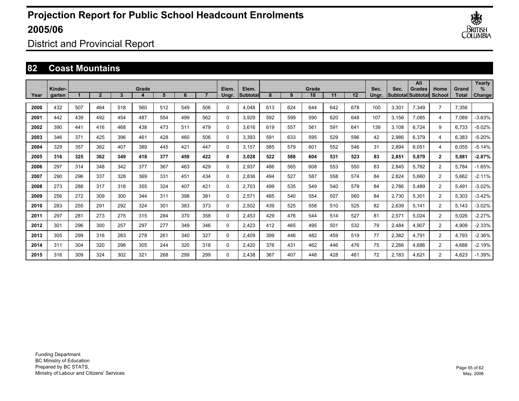

District and Provincial Report

#### **82 Coast Mountains**

|      | Kinder- |     |                |     | Grade |     |     |     | Elem.    | Elem.    |     |     | Grade |     |     | Sec.  | Sec.  | All<br>Grades             | Home           | Grand | Yearly<br>$\%$ |
|------|---------|-----|----------------|-----|-------|-----|-----|-----|----------|----------|-----|-----|-------|-----|-----|-------|-------|---------------------------|----------------|-------|----------------|
| Year | garten  |     | $\overline{2}$ | 3   |       | 5   | 6   |     | Unar.    | Subtotal | 8   | 9   | 10    | 11  | 12  | Unar. |       | <b>SubtotallSubtotall</b> | School         | Total | Change         |
| 2000 | 432     | 507 | 464            | 518 | 560   | 512 | 549 | 506 | $\Omega$ | 4,048    | 613 | 624 | 644   | 642 | 678 | 100   | 3,301 | 7,349                     | $\overline{7}$ | 7,356 |                |
| 2001 | 442     | 439 | 492            | 454 | 487   | 554 | 499 | 562 | $\Omega$ | 3,929    | 592 | 599 | 590   | 620 | 648 | 107   | 3,156 | 7,085                     | 4              | 7,089 | $-3.63%$       |
| 2002 | 390     | 441 | 416            | 468 | 438   | 473 | 511 | 479 | $\Omega$ | 3,616    | 619 | 557 | 561   | 591 | 641 | 139   | 3,108 | 6,724                     | 9              | 6,733 | $-5.02%$       |
| 2003 | 346     | 371 | 425            | 396 | 461   | 428 | 460 | 506 | $\Omega$ | 3,393    | 591 | 633 | 595   | 529 | 596 | 42    | 2,986 | 6,379                     | 4              | 6,383 | $-5.20%$       |
| 2004 | 329     | 357 | 362            | 407 | 389   | 445 | 421 | 447 | 0        | 3.157    | 585 | 579 | 601   | 552 | 546 | 31    | 2,894 | 6,051                     | 4              | 6,055 | $-5.14%$       |
| 2005 | 316     | 325 | 362            | 349 | 418   | 377 | 459 | 422 | 0        | 3,028    | 522 | 588 | 604   | 531 | 523 | 83    | 2,851 | 5,879                     | $\mathbf{2}$   | 5,881 | $-2.87%$       |
| 2006 | 297     | 314 | 348            | 342 | 377   | 367 | 463 | 429 | 0        | 2,937    | 486 | 565 | 608   | 553 | 550 | 83    | 2,845 | 5,782                     | $\overline{2}$ | 5,784 | $-1.65%$       |
| 2007 | 290     | 296 | 337            | 328 | 369   | 331 | 451 | 434 | 0        | 2,836    | 494 | 527 | 587   | 558 | 574 | 84    | 2,824 | 5,660                     | $\overline{2}$ | 5,662 | $-2.11%$       |
| 2008 | 273     | 288 | 317            | 318 | 355   | 324 | 407 | 421 | 0        | 2,703    | 499 | 535 | 549   | 540 | 579 | 84    | 2,786 | 5,489                     | $\overline{2}$ | 5,491 | $-3.02%$       |
| 2009 | 256     | 272 | 309            | 300 | 344   | 311 | 398 | 381 | 0        | 2,571    | 485 | 540 | 554   | 507 | 560 | 84    | 2,730 | 5,301                     | $\overline{2}$ | 5,303 | $-3.42%$       |
| 2010 | 283     | 255 | 291            | 292 | 324   | 301 | 383 | 373 | 0        | 2,502    | 439 | 525 | 558   | 510 | 525 | 82    | 2,639 | 5.141                     | $\overline{2}$ | 5,143 | $-3.02%$       |
| 2011 | 297     | 281 | 273            | 275 | 315   | 284 | 370 | 358 | 0        | 2,453    | 429 | 476 | 544   | 514 | 527 | 81    | 2,571 | 5,024                     | $\overline{2}$ | 5,026 | $-2.27%$       |
| 2012 | 301     | 296 | 300            | 257 | 297   | 277 | 349 | 346 | $\Omega$ | 2,423    | 412 | 465 | 495   | 501 | 532 | 79    | 2,484 | 4,907                     | $\overline{2}$ | 4,909 | $-2.33%$       |
| 2013 | 305     | 299 | 316            | 283 | 278   | 261 | 340 | 327 | $\Omega$ | 2,409    | 399 | 446 | 482   | 459 | 519 | 77    | 2,382 | 4,791                     | $\overline{2}$ | 4,793 | $-2.36%$       |
| 2014 | 311     | 304 | 320            | 298 | 305   | 244 | 320 | 318 | $\Omega$ | 2,420    | 376 | 431 | 462   | 446 | 476 | 75    | 2,266 | 4,686                     | $\overline{2}$ | 4,688 | $-2.19%$       |
| 2015 | 316     | 309 | 324            | 302 | 321   | 268 | 299 | 299 | $\Omega$ | 2,438    | 367 | 407 | 448   | 428 | 461 | 72    | 2.183 | 4,621                     | $\overline{2}$ | 4,623 | $-1.39%$       |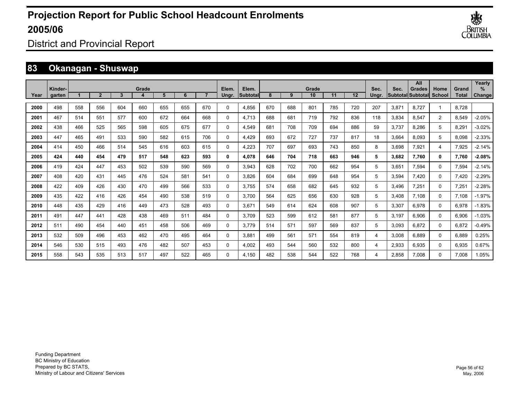

District and Provincial Report

### **83 Okanagan - Shuswap**

|      | Kinder- |     |                |     | Grade |     |     |     | Elem.       | Elem.    |     |     | Grade |     |     | Sec.  | Sec.  | All<br><b>Grades</b>     | Home           | Grand | Yearly<br>℅ |
|------|---------|-----|----------------|-----|-------|-----|-----|-----|-------------|----------|-----|-----|-------|-----|-----|-------|-------|--------------------------|----------------|-------|-------------|
| Year | garten  |     | $\overline{2}$ | 3   |       | 5   | 6   |     | Ungr.       | Subtotal | 8   | 9   | 10    | 11  | 12  | Ungr. |       | <b>SubtotallSubtotal</b> | School         | Total | Change      |
| 2000 | 498     | 558 | 556            | 604 | 660   | 655 | 655 | 670 | $\Omega$    | 4,856    | 670 | 688 | 801   | 785 | 720 | 207   | 3,871 | 8,727                    | 1              | 8,728 |             |
| 2001 | 467     | 514 | 551            | 577 | 600   | 672 | 664 | 668 | $\Omega$    | 4,713    | 688 | 681 | 719   | 792 | 836 | 118   | 3,834 | 8,547                    | $\overline{2}$ | 8,549 | $-2.05%$    |
| 2002 | 438     | 466 | 525            | 565 | 598   | 605 | 675 | 677 | $\Omega$    | 4,549    | 681 | 708 | 709   | 694 | 886 | 59    | 3,737 | 8,286                    | 5              | 8,291 | $-3.02%$    |
| 2003 | 447     | 465 | 491            | 533 | 590   | 582 | 615 | 706 | $\Omega$    | 4,429    | 693 | 672 | 727   | 737 | 817 | 18    | 3,664 | 8,093                    | 5              | 8,098 | $-2.33%$    |
| 2004 | 414     | 450 | 466            | 514 | 545   | 616 | 603 | 615 | $\mathbf 0$ | 4,223    | 707 | 697 | 693   | 743 | 850 | 8     | 3,698 | 7,921                    | 4              | 7,925 | $-2.14%$    |
| 2005 | 424     | 440 | 454            | 479 | 517   | 548 | 623 | 593 | 0           | 4,078    | 646 | 704 | 718   | 663 | 946 | 5     | 3,682 | 7,760                    | 0              | 7,760 | $-2.08%$    |
| 2006 | 419     | 424 | 447            | 453 | 502   | 539 | 590 | 569 | 0           | 3,943    | 628 | 702 | 700   | 662 | 954 | 5     | 3,651 | 7,594                    | 0              | 7,594 | $-2.14%$    |
| 2007 | 408     | 420 | 431            | 445 | 476   | 524 | 581 | 541 | $\Omega$    | 3,826    | 604 | 684 | 699   | 648 | 954 | 5     | 3,594 | 7,420                    | 0              | 7,420 | $-2.29%$    |
| 2008 | 422     | 409 | 426            | 430 | 470   | 499 | 566 | 533 | $\Omega$    | 3,755    | 574 | 658 | 682   | 645 | 932 | 5     | 3,496 | 7,251                    | 0              | 7,251 | $-2.28%$    |
| 2009 | 435     | 422 | 416            | 426 | 454   | 490 | 538 | 519 | $\mathbf 0$ | 3.700    | 564 | 625 | 656   | 630 | 928 | 5     | 3,408 | 7.108                    | 0              | 7,108 | $-1.97%$    |
| 2010 | 448     | 435 | 429            | 416 | 449   | 473 | 528 | 493 | $\mathbf 0$ | 3,671    | 549 | 614 | 624   | 608 | 907 | 5     | 3,307 | 6,978                    | 0              | 6,978 | $-1.83%$    |
| 2011 | 491     | 447 | 441            | 428 | 438   | 469 | 511 | 484 | 0           | 3.709    | 523 | 599 | 612   | 581 | 877 | 5     | 3,197 | 6,906                    | 0              | 6,906 | $-1.03%$    |
| 2012 | 511     | 490 | 454            | 440 | 451   | 458 | 506 | 469 | $\Omega$    | 3.779    | 514 | 571 | 597   | 569 | 837 | 5     | 3,093 | 6,872                    | 0              | 6,872 | $-0.49%$    |
| 2013 | 532     | 509 | 496            | 453 | 462   | 470 | 495 | 464 | $\Omega$    | 3,881    | 499 | 561 | 571   | 554 | 819 | 4     | 3,008 | 6,889                    | 0              | 6,889 | 0.25%       |
| 2014 | 546     | 530 | 515            | 493 | 476   | 482 | 507 | 453 | $\Omega$    | 4,002    | 493 | 544 | 560   | 532 | 800 | 4     | 2,933 | 6,935                    | 0              | 6,935 | 0.67%       |
| 2015 | 558     | 543 | 535            | 513 | 517   | 497 | 522 | 465 | $\Omega$    | 4.150    | 482 | 538 | 544   | 522 | 768 | 4     | 2,858 | 7.008                    | 0              | 7.008 | 1.05%       |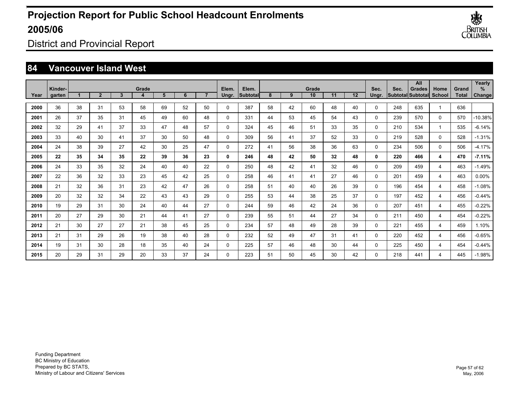

District and Provincial Report

### **84 Vancouver Island West**

|      |                   |    |                |              |            |    |    |    |                |                   |    |    |             |    |    |               |      | All                                       |          |                       | Yearly         |
|------|-------------------|----|----------------|--------------|------------|----|----|----|----------------|-------------------|----|----|-------------|----|----|---------------|------|-------------------------------------------|----------|-----------------------|----------------|
| Year | Kinder-<br>garten | 1  | $\overline{2}$ | $\mathbf{3}$ | Grade<br>4 | 5  | 6  |    | Elem.<br>Ungr. | Elem.<br>Subtotal | 8  | 9  | Grade<br>10 | 11 | 12 | Sec.<br>Ungr. | Sec. | <b>Grades</b><br>Subtotal Subtotal School | Home     | Grand<br><b>Total</b> | $\%$<br>Change |
|      |                   |    |                |              |            |    |    |    |                |                   |    |    |             |    |    |               |      |                                           |          |                       |                |
| 2000 | 36                | 38 | 31             | 53           | 58         | 69 | 52 | 50 | $\mathbf 0$    | 387               | 58 | 42 | 60          | 48 | 40 | $\Omega$      | 248  | 635                                       | -1       | 636                   |                |
| 2001 | 26                | 37 | 35             | 31           | 45         | 49 | 60 | 48 | $\mathbf{0}$   | 331               | 44 | 53 | 45          | 54 | 43 | $\Omega$      | 239  | 570                                       | $\Omega$ | 570                   | -10.38%        |
| 2002 | 32                | 29 | 41             | 37           | 33         | 47 | 48 | 57 | $\mathbf 0$    | 324               | 45 | 46 | 51          | 33 | 35 | $\Omega$      | 210  | 534                                       | -1       | 535                   | $-6.14%$       |
| 2003 | 33                | 40 | 30             | 41           | 37         | 30 | 50 | 48 | $\mathbf 0$    | 309               | 56 | 41 | 37          | 52 | 33 | $\Omega$      | 219  | 528                                       | $\Omega$ | 528                   | $-1.31%$       |
| 2004 | 24                | 38 | 39             | 27           | 42         | 30 | 25 | 47 | $\mathbf 0$    | 272               | 41 | 56 | 38          | 36 | 63 | $\Omega$      | 234  | 506                                       | $\Omega$ | 506                   | $-4.17%$       |
| 2005 | 22                | 35 | 34             | 35           | 22         | 39 | 36 | 23 | $\mathbf 0$    | 246               | 48 | 42 | 50          | 32 | 48 | 0             | 220  | 466                                       | 4        | 470                   | $-7.11%$       |
| 2006 | 24                | 33 | 35             | 32           | 24         | 40 | 40 | 22 | $\mathbf 0$    | 250               | 48 | 42 | 41          | 32 | 46 | 0             | 209  | 459                                       | 4        | 463                   | $-1.49%$       |
| 2007 | 22                | 36 | 32             | 33           | 23         | 45 | 42 | 25 | $\mathbf 0$    | 258               | 46 | 41 | 41          | 27 | 46 | 0             | 201  | 459                                       | 4        | 463                   | 0.00%          |
| 2008 | 21                | 32 | 36             | 31           | 23         | 42 | 47 | 26 | $\mathbf 0$    | 258               | 51 | 40 | 40          | 26 | 39 | 0             | 196  | 454                                       | 4        | 458                   | $-1.08%$       |
| 2009 | 20                | 32 | 32             | 34           | 22         | 43 | 43 | 29 | $\mathbf 0$    | 255               | 53 | 44 | 38          | 25 | 37 | $\Omega$      | 197  | 452                                       | 4        | 456                   | $-0.44%$       |
| 2010 | 19                | 29 | 31             | 30           | 24         | 40 | 44 | 27 | $\mathbf 0$    | 244               | 59 | 46 | 42          | 24 | 36 | $\Omega$      | 207  | 451                                       | 4        | 455                   | $-0.22%$       |
| 2011 | 20                | 27 | 29             | 30           | 21         | 44 | 41 | 27 | $\mathbf 0$    | 239               | 55 | 51 | 44          | 27 | 34 | $\Omega$      | 211  | 450                                       | 4        | 454                   | $-0.22%$       |
| 2012 | 21                | 30 | 27             | 27           | 21         | 38 | 45 | 25 | $\mathbf 0$    | 234               | 57 | 48 | 49          | 28 | 39 | $\Omega$      | 221  | 455                                       | 4        | 459                   | 1.10%          |
| 2013 | 21                | 31 | 29             | 26           | 19         | 38 | 40 | 28 | $\mathbf 0$    | 232               | 52 | 49 | 47          | 31 | 41 | $\Omega$      | 220  | 452                                       | 4        | 456                   | $-0.65%$       |
| 2014 | 19                | 31 | 30             | 28           | 18         | 35 | 40 | 24 | $\mathbf 0$    | 225               | 57 | 46 | 48          | 30 | 44 | 0             | 225  | 450                                       | 4        | 454                   | $-0.44%$       |
| 2015 | 20                | 29 | 31             | 29           | 20         | 33 | 37 | 24 | $\Omega$       | 223               | 51 | 50 | 45          | 30 | 42 | $\Omega$      | 218  | 441                                       | 4        | 445                   | $-1.98%$       |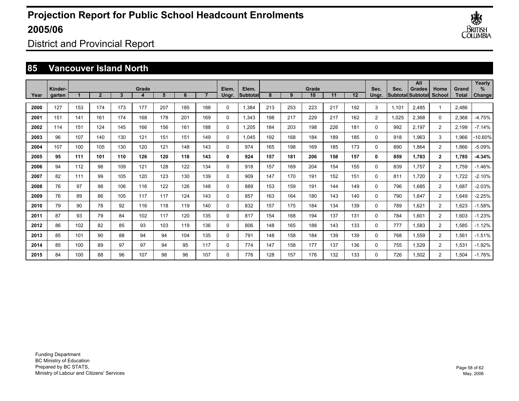

District and Provincial Report

### **85 Vancouver Island North**

|      | Kinder- |     |                |     | Grade |     |     |     | Elem.       | Elem.            |     |     | Grade |     |     | Sec.           | Sec.  | All<br><b>Grades</b>     | Home           | Grand        | Yearly<br>$\%$ |
|------|---------|-----|----------------|-----|-------|-----|-----|-----|-------------|------------------|-----|-----|-------|-----|-----|----------------|-------|--------------------------|----------------|--------------|----------------|
| Year | garten  |     | $\overline{2}$ | 3   |       | 5   | 6   |     | Ungr.       | <b>Subtotall</b> | 8   | 9   | 10    | 11  | 12  | Unar.          |       | Subtotal Subtotal School |                | <b>Total</b> | Change         |
| 2000 | 127     | 153 | 174            | 173 | 177   | 207 | 185 | 188 | $\Omega$    | 1,384            | 213 | 253 | 223   | 217 | 192 | 3              | 1,101 | 2,485                    | 1              | 2,486        |                |
| 2001 | 151     | 141 | 161            | 174 | 168   | 178 | 201 | 169 | $\mathbf 0$ | 1,343            | 198 | 217 | 229   | 217 | 162 | $\overline{2}$ | 1,025 | 2,368                    | $\Omega$       | 2,368        | $-4.75%$       |
| 2002 | 114     | 151 | 124            | 145 | 166   | 156 | 161 | 188 | $\mathbf 0$ | 1,205            | 184 | 203 | 198   | 226 | 181 | $\Omega$       | 992   | 2,197                    | $\overline{2}$ | 2,199        | $-7.14%$       |
| 2003 | 96      | 107 | 140            | 130 | 121   | 151 | 151 | 149 | $\mathbf 0$ | 1,045            | 192 | 168 | 184   | 189 | 185 | $\Omega$       | 918   | 1,963                    | 3              | 1,966        | 10.60%         |
| 2004 | 107     | 100 | 105            | 130 | 120   | 121 | 148 | 143 | $\mathbf 0$ | 974              | 165 | 198 | 169   | 185 | 173 | $\Omega$       | 890   | 1,864                    | $\overline{2}$ | 1,866        | $-5.09%$       |
| 2005 | 95      | 111 | 101            | 110 | 126   | 120 | 118 | 143 | 0           | 924              | 157 | 181 | 206   | 158 | 157 | $\mathbf{0}$   | 859   | 1.783                    | $\mathbf{2}$   | 1.785        | $-4.34%$       |
| 2006 | 94      | 112 | 98             | 109 | 121   | 128 | 122 | 134 | $\mathbf 0$ | 918              | 157 | 169 | 204   | 154 | 155 | $\Omega$       | 839   | 1.757                    | 2              | 1,759        | $-1.46%$       |
| 2007 | 82      | 111 | 99             | 105 | 120   | 123 | 130 | 139 | 0           | 909              | 147 | 170 | 191   | 152 | 151 | $\Omega$       | 811   | 1.720                    | 2              | 1,722        | $-2.10%$       |
| 2008 | 76      | 97  | 98             | 106 | 116   | 122 | 126 | 148 | $\mathbf 0$ | 889              | 153 | 159 | 191   | 144 | 149 | $\Omega$       | 796   | 1,685                    | $\overline{2}$ | 1,687        | $-2.03%$       |
| 2009 | 76      | 89  | 86             | 105 | 117   | 117 | 124 | 143 | 0           | 857              | 163 | 164 | 180   | 143 | 140 | 0              | 790   | 1.647                    | $\overline{2}$ | 1,649        | $-2.25%$       |
| 2010 | 79      | 90  | 78             | 92  | 116   | 118 | 119 | 140 | 0           | 832              | 157 | 175 | 184   | 134 | 139 | 0              | 789   | 1.621                    | $\overline{2}$ | 1,623        | $-1.58%$       |
| 2011 | 87      | 93  | 79             | 84  | 102   | 117 | 120 | 135 | 0           | 817              | 154 | 168 | 194   | 137 | 131 | $\Omega$       | 784   | 1.601                    | $\overline{2}$ | 1,603        | $-1.23%$       |
| 2012 | 86      | 102 | 82             | 85  | 93    | 103 | 119 | 136 | 0           | 806              | 148 | 165 | 188   | 143 | 133 | 0              | 777   | 1,583                    | 2              | 1,585        | $-1.12%$       |
| 2013 | 85      | 101 | 90             | 88  | 94    | 94  | 104 | 135 | 0           | 791              | 148 | 158 | 184   | 139 | 139 | 0              | 768   | 1,559                    | $\overline{2}$ | 1,561        | $-1.51%$       |
| 2014 | 85      | 100 | 89             | 97  | 97    | 94  | 95  | 117 | 0           | 774              | 147 | 158 | 177   | 137 | 136 | 0              | 755   | 1,529                    | 2              | 1,531        | $-1.92%$       |
| 2015 | 84      | 100 | 88             | 96  | 107   | 98  | 96  | 107 | 0           | 776              | 128 | 157 | 176   | 132 | 133 | $\Omega$       | 726   | 1,502                    | $\overline{2}$ | 1,504        | $-1.76%$       |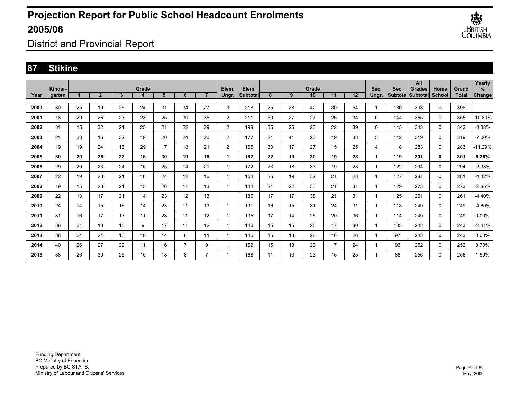

District and Provincial Report

### **87 Stikine**

|      |                   |    |                |                |            |    |                |                |                |                          |    |    |             |    |    |               |      | All                                       |                       |                | Yearly         |
|------|-------------------|----|----------------|----------------|------------|----|----------------|----------------|----------------|--------------------------|----|----|-------------|----|----|---------------|------|-------------------------------------------|-----------------------|----------------|----------------|
| Year | Kinder-<br>garten |    | $\overline{2}$ | $\overline{3}$ | Grade<br>4 | 5  | 6              | $\overline{ }$ | Elem.<br>Ungr. | Elem.<br><b>Subtotal</b> | 8  | 9  | Grade<br>10 | 11 | 12 | Sec.<br>Ungr. | Sec. | <b>Grades</b><br><b>Subtotal Subtotal</b> | Home<br><b>School</b> | Grand<br>Total | $\%$<br>Change |
|      |                   |    |                |                |            |    |                |                |                |                          |    |    |             |    |    |               |      |                                           |                       |                |                |
| 2000 | 30                | 25 | 19             | 25             | 24         | 31 | 34             | 27             | 3              | 218                      | 25 | 28 | 42          | 30 | 54 | -1            | 180  | 398                                       | $\Omega$              | 398            |                |
| 2001 | 18                | 29 | 26             | 23             | 23         | 25 | 30             | 35             | 2              | 211                      | 30 | 27 | 27          | 26 | 34 | 0             | 144  | 355                                       | $\mathbf 0$           | 355            | 10.80%         |
| 2002 | 31                | 15 | 32             | 21             | 25         | 21 | 22             | 29             | $\overline{2}$ | 198                      | 35 | 26 | 23          | 22 | 39 | 0             | 145  | 343                                       | 0                     | 343            | $-3.38%$       |
| 2003 | 21                | 23 | 16             | 32             | 19         | 20 | 24             | 20             | $\overline{2}$ | 177                      | 24 | 41 | 20          | 19 | 33 | 5             | 142  | 319                                       | 0                     | 319            | $-7.00%$       |
| 2004 | 19                | 19 | 24             | 16             | 29         | 17 | 18             | 21             | 2              | 165                      | 30 | 17 | 27          | 15 | 25 | 4             | 118  | 283                                       | 0                     | 283            | -11.29%        |
| 2005 | 30                | 20 | 26             | 22             | 16         | 30 | 19             | 18             | 1              | 182                      | 22 | 19 | 30          | 19 | 28 |               | 119  | 301                                       | 0                     | 301            | 6.36%          |
| 2006 | 29                | 20 | 23             | 24             | 15         | 25 | 14             | 21             | 1              | 172                      | 23 | 18 | 33          | 19 | 28 |               | 122  | 294                                       | $\mathbf 0$           | 294            | $-2.33%$       |
| 2007 | 22                | 19 | 23             | 21             | 16         | 24 | 12             | 16             |                | 154                      | 26 | 19 | 32          | 21 | 28 |               | 127  | 281                                       | $\mathbf 0$           | 281            | $-4.42%$       |
| 2008 | 19                | 15 | 23             | 21             | 15         | 26 | 11             | 13             | 1              | 144                      | 21 | 22 | 33          | 21 | 31 |               | 129  | 273                                       | $\mathbf 0$           | 273            | $-2.85%$       |
| 2009 | 22                | 13 | 17             | 21             | 14         | 23 | 12             | 13             | 1              | 136                      | 17 | 17 | 38          | 21 | 31 |               | 125  | 261                                       | $\mathbf 0$           | 261            | $-4.40%$       |
| 2010 | 24                | 14 | 15             | 16             | 14         | 23 | 11             | 13             | 1              | 131                      | 16 | 15 | 31          | 24 | 31 |               | 118  | 249                                       | $\mathbf 0$           | 249            | -4.60%         |
| 2011 | 31                | 16 | 17             | 13             | 11         | 23 | 11             | 12             | 1              | 135                      | 17 | 14 | 26          | 20 | 36 |               | 114  | 249                                       | $\mathbf 0$           | 249            | 0.00%          |
| 2012 | 36                | 21 | 18             | 15             | 9          | 17 | 11             | 12             | 1              | 140                      | 15 | 15 | 25          | 17 | 30 |               | 103  | 243                                       | $\mathbf 0$           | 243            | $-2.41%$       |
| 2013 | 38                | 24 | 24             | 16             | 10         | 14 | 8              | 11             | 1              | 146                      | 15 | 13 | 26          | 16 | 26 |               | 97   | 243                                       | $\mathbf 0$           | 243            | 0.00%          |
| 2014 | 40                | 26 | 27             | 22             | 11         | 16 | $\overline{7}$ | 9              |                | 159                      | 15 | 13 | 23          | 17 | 24 |               | 93   | 252                                       | 0                     | 252            | 3.70%          |
| 2015 | 38                | 26 | 30             | 25             | 15         | 18 | 8              |                |                | 168                      | 11 | 13 | 23          | 15 | 25 |               | 88   | 256                                       | 0                     | 256            | 1.59%          |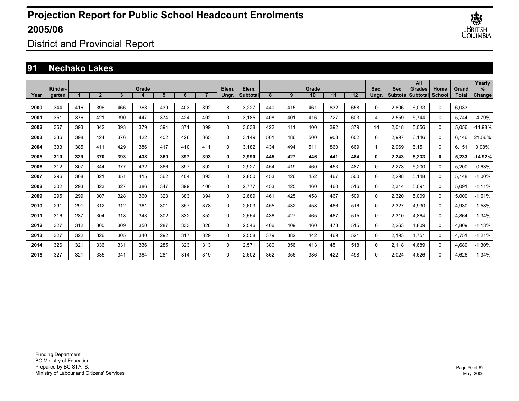

District and Provincial Report

### **91 Nechako Lakes**

|      |                   |     |                |     |       |     |     |     |                |                          |     |     |             |     |     |               |       | All                                       |                |                       | Yearly         |
|------|-------------------|-----|----------------|-----|-------|-----|-----|-----|----------------|--------------------------|-----|-----|-------------|-----|-----|---------------|-------|-------------------------------------------|----------------|-----------------------|----------------|
| Year | Kinder-<br>garten |     | $\overline{2}$ | 3   | Grade | 5   | 6   |     | Elem.<br>Ungr. | Elem.<br><b>Subtotal</b> | 8   | 9   | Grade<br>10 | 11  | 12  | Sec.<br>Unar. | Sec.  | <b>Grades</b><br><b>Subtotal Subtotal</b> | Home<br>School | Grand<br><b>Total</b> | $\%$<br>Change |
|      |                   |     |                |     |       |     |     |     |                |                          |     |     |             |     |     |               |       |                                           |                |                       |                |
| 2000 | 344               | 416 | 396            | 466 | 363   | 439 | 403 | 392 | 8              | 3,227                    | 440 | 415 | 461         | 832 | 658 | $\mathbf{0}$  | 2,806 | 6.033                                     | $\Omega$       | 6.033                 |                |
| 2001 | 351               | 376 | 421            | 390 | 447   | 374 | 424 | 402 | 0              | 3,185                    | 408 | 401 | 416         | 727 | 603 | 4             | 2,559 | 5,744                                     | $\Omega$       | 5,744                 | $-4.79%$       |
| 2002 | 367               | 393 | 342            | 393 | 379   | 394 | 371 | 399 | 0              | 3,038                    | 422 | 411 | 400         | 392 | 379 | 14            | 2,018 | 5,056                                     | 0              | 5,056                 | -11.98%        |
| 2003 | 336               | 398 | 424            | 376 | 422   | 402 | 426 | 365 | 0              | 3.149                    | 501 | 486 | 500         | 908 | 602 | 0             | 2,997 | 6,146                                     | $\Omega$       | 6.146                 | 21.56%         |
| 2004 | 333               | 385 | 411            | 429 | 386   | 417 | 410 | 411 | 0              | 3.182                    | 434 | 494 | 511         | 860 | 669 | $\mathbf{1}$  | 2,969 | 6.151                                     | $\Omega$       | 6,151                 | 0.08%          |
| 2005 | 310               | 329 | 370            | 393 | 438   | 360 | 397 | 393 | 0              | 2,990                    | 445 | 427 | 446         | 441 | 484 | 0             | 2,243 | 5,233                                     | 0              | 5,233                 | -14.92%        |
| 2006 | 312               | 307 | 344            | 377 | 432   | 366 | 397 | 392 | 0              | 2.927                    | 454 | 419 | 460         | 453 | 487 | 0             | 2,273 | 5,200                                     | $\Omega$       | 5,200                 | -0.63%         |
| 2007 | 296               | 308 | 321            | 351 | 415   | 362 | 404 | 393 | 0              | 2.850                    | 453 | 426 | 452         | 467 | 500 | 0             | 2,298 | 5,148                                     | $\Omega$       | 5.148                 | $-1.00\%$      |
| 2008 | 302               | 293 | 323            | 327 | 386   | 347 | 399 | 400 | 0              | 2,777                    | 453 | 425 | 460         | 460 | 516 | 0             | 2,314 | 5,091                                     | 0              | 5,091                 | $-1.11%$       |
| 2009 | 295               | 299 | 307            | 328 | 360   | 323 | 383 | 394 | 0              | 2,689                    | 461 | 425 | 458         | 467 | 509 | 0             | 2,320 | 5,009                                     | 0              | 5,009                 | $-1.61%$       |
| 2010 | 291               | 291 | 312            | 312 | 361   | 301 | 357 | 378 | 0              | 2,603                    | 455 | 432 | 458         | 466 | 516 | 0             | 2,327 | 4,930                                     | 0              | 4,930                 | $-1.58%$       |
| 2011 | 316               | 287 | 304            | 318 | 343   | 302 | 332 | 352 | 0              | 2,554                    | 436 | 427 | 465         | 467 | 515 | 0             | 2,310 | 4,864                                     | 0              | 4,864                 | $-1.34%$       |
| 2012 | 327               | 312 | 300            | 309 | 350   | 287 | 333 | 328 | 0              | 2,546                    | 406 | 409 | 460         | 473 | 515 | 0             | 2,263 | 4,809                                     | 0              | 4,809                 | $-1.13%$       |
| 2013 | 327               | 322 | 326            | 305 | 340   | 292 | 317 | 329 | 0              | 2,558                    | 379 | 382 | 442         | 469 | 521 | $\Omega$      | 2,193 | 4.751                                     | 0              | 4,751                 | $-1.21%$       |
| 2014 | 326               | 321 | 336            | 331 | 336   | 285 | 323 | 313 | 0              | 2,571                    | 380 | 356 | 413         | 451 | 518 | $\Omega$      | 2,118 | 4.689                                     | $\Omega$       | 4,689                 | $-1.30%$       |
| 2015 | 327               | 321 | 335            | 341 | 364   | 281 | 314 | 319 | $\Omega$       | 2.602                    | 362 | 356 | 386         | 422 | 498 | $\Omega$      | 2.024 | 4.626                                     | $\Omega$       | 4.626                 | $-1.34%$       |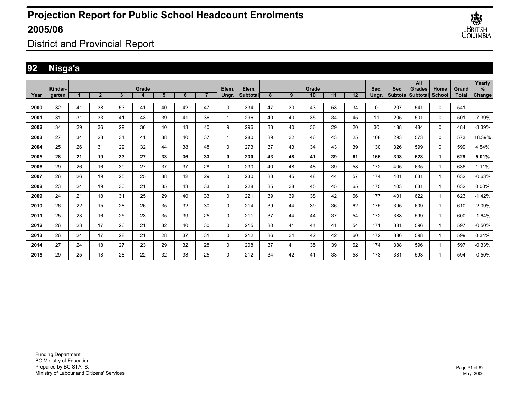

District and Provincial Report

### **92 Nisga'a**

|      | Kinder- |    |                |    | Grade |    |    |    | Elem. | Elem.    |    |    | Grade |    |    | Sec.  | Sec. | All<br><b>Grades</b>     | Home     | Grand        | Yearly<br>% |
|------|---------|----|----------------|----|-------|----|----|----|-------|----------|----|----|-------|----|----|-------|------|--------------------------|----------|--------------|-------------|
| Year | aarten  |    | $\overline{2}$ | 3  | 4     | 5  | 6  |    | Ungr. | Subtotal | 8  | 9  | 10    | 11 | 12 | Ungr. |      | <b>Subtotal Subtotal</b> | School   | <b>Total</b> | Change      |
| 2000 | 32      | 41 | 38             | 53 | 41    | 40 | 42 | 47 | 0     | 334      | 47 | 30 | 43    | 53 | 34 | 0     | 207  | 541                      | $\Omega$ | 541          |             |
| 2001 | 31      | 31 | 33             | 41 | 43    | 39 | 41 | 36 |       | 296      | 40 | 40 | 35    | 34 | 45 | 11    | 205  | 501                      | 0        | 501          | $-7.39%$    |
| 2002 | 34      | 29 | 36             | 29 | 36    | 40 | 43 | 40 | 9     | 296      | 33 | 40 | 36    | 29 | 20 | 30    | 188  | 484                      | 0        | 484          | $-3.39%$    |
| 2003 | 27      | 34 | 28             | 34 | 41    | 38 | 40 | 37 |       | 280      | 39 | 32 | 46    | 43 | 25 | 108   | 293  | 573                      | 0        | 573          | 18.39%      |
| 2004 | 25      | 26 | 31             | 29 | 32    | 44 | 38 | 48 | 0     | 273      | 37 | 43 | 34    | 43 | 39 | 130   | 326  | 599                      | 0        | 599          | 4.54%       |
| 2005 | 28      | 21 | 19             | 33 | 27    | 33 | 36 | 33 | 0     | 230      | 43 | 48 | 41    | 39 | 61 | 166   | 398  | 628                      | 1        | 629          | 5.01%       |
| 2006 | 29      | 26 | 16             | 30 | 27    | 37 | 37 | 28 | 0     | 230      | 40 | 48 | 48    | 39 | 58 | 172   | 405  | 635                      | 1        | 636          | 1.11%       |
| 2007 | 26      | 26 | 19             | 25 | 25    | 38 | 42 | 29 | 0     | 230      | 33 | 45 | 48    | 44 | 57 | 174   | 401  | 631                      | 1        | 632          | $-0.63%$    |
| 2008 | 23      | 24 | 19             | 30 | 21    | 35 | 43 | 33 | 0     | 228      | 35 | 38 | 45    | 45 | 65 | 175   | 403  | 631                      | 1        | 632          | 0.00%       |
| 2009 | 24      | 21 | 18             | 31 | 25    | 29 | 40 | 33 | 0     | 221      | 39 | 39 | 38    | 42 | 66 | 177   | 401  | 622                      | 1        | 623          | $-1.42%$    |
| 2010 | 26      | 22 | 15             | 28 | 26    | 35 | 32 | 30 | 0     | 214      | 39 | 44 | 39    | 36 | 62 | 175   | 395  | 609                      | 1        | 610          | $-2.09%$    |
| 2011 | 25      | 23 | 16             | 25 | 23    | 35 | 39 | 25 | 0     | 211      | 37 | 44 | 44    | 37 | 54 | 172   | 388  | 599                      | 1        | 600          | $-1.64%$    |
| 2012 | 26      | 23 | 17             | 26 | 21    | 32 | 40 | 30 | 0     | 215      | 30 | 41 | 44    | 41 | 54 | 171   | 381  | 596                      | 1        | 597          | $-0.50%$    |
| 2013 | 26      | 24 | 17             | 28 | 21    | 28 | 37 | 31 | 0     | 212      | 36 | 34 | 42    | 42 | 60 | 172   | 386  | 598                      | 1        | 599          | 0.34%       |
| 2014 | 27      | 24 | 18             | 27 | 23    | 29 | 32 | 28 | 0     | 208      | 37 | 41 | 35    | 39 | 62 | 174   | 388  | 596                      | 1        | 597          | $-0.33%$    |
| 2015 | 29      | 25 | 18             | 28 | 22    | 32 | 33 | 25 | 0     | 212      | 34 | 42 | 41    | 33 | 58 | 173   | 381  | 593                      |          | 594          | $-0.50%$    |